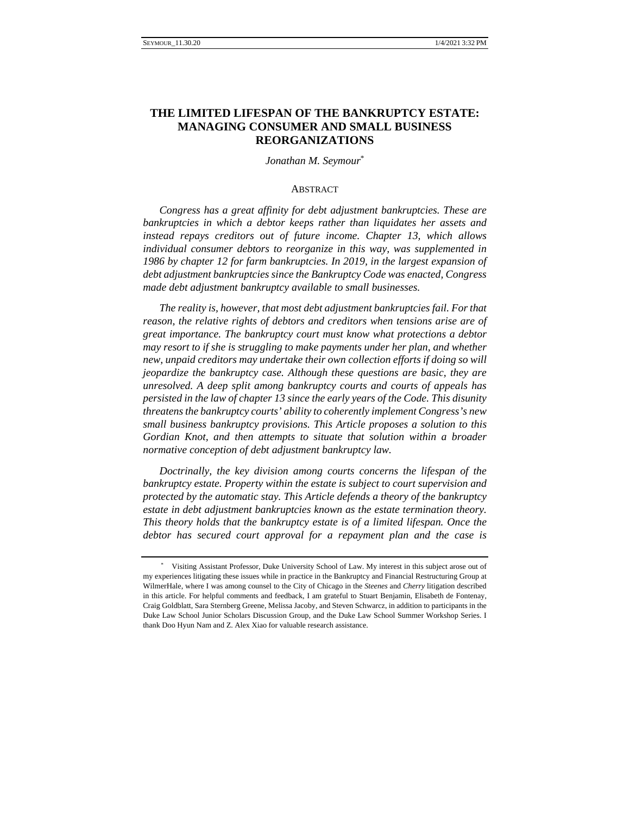# **THE LIMITED LIFESPAN OF THE BANKRUPTCY ESTATE: MANAGING CONSUMER AND SMALL BUSINESS REORGANIZATIONS**

## *Jonathan M. Seymour*\*

## **ABSTRACT**

*Congress has a great affinity for debt adjustment bankruptcies. These are bankruptcies in which a debtor keeps rather than liquidates her assets and instead repays creditors out of future income. Chapter 13, which allows individual consumer debtors to reorganize in this way, was supplemented in 1986 by chapter 12 for farm bankruptcies. In 2019, in the largest expansion of debt adjustment bankruptcies since the Bankruptcy Code was enacted, Congress made debt adjustment bankruptcy available to small businesses.*

*The reality is, however, that most debt adjustment bankruptcies fail. For that reason, the relative rights of debtors and creditors when tensions arise are of great importance. The bankruptcy court must know what protections a debtor may resort to if she is struggling to make payments under her plan, and whether new, unpaid creditors may undertake their own collection efforts if doing so will jeopardize the bankruptcy case. Although these questions are basic, they are unresolved. A deep split among bankruptcy courts and courts of appeals has persisted in the law of chapter 13 since the early years of the Code. This disunity threatens the bankruptcy courts' ability to coherently implement Congress's new small business bankruptcy provisions. This Article proposes a solution to this Gordian Knot, and then attempts to situate that solution within a broader normative conception of debt adjustment bankruptcy law.*

*Doctrinally, the key division among courts concerns the lifespan of the bankruptcy estate. Property within the estate is subject to court supervision and protected by the automatic stay. This Article defends a theory of the bankruptcy estate in debt adjustment bankruptcies known as the estate termination theory. This theory holds that the bankruptcy estate is of a limited lifespan. Once the debtor has secured court approval for a repayment plan and the case is* 

<sup>\*</sup> Visiting Assistant Professor, Duke University School of Law. My interest in this subject arose out of my experiences litigating these issues while in practice in the Bankruptcy and Financial Restructuring Group at WilmerHale, where I was among counsel to the City of Chicago in the *Steenes* and *Cherry* litigation described in this article. For helpful comments and feedback, I am grateful to Stuart Benjamin, Elisabeth de Fontenay, Craig Goldblatt, Sara Sternberg Greene, Melissa Jacoby, and Steven Schwarcz, in addition to participants in the Duke Law School Junior Scholars Discussion Group, and the Duke Law School Summer Workshop Series. I thank Doo Hyun Nam and Z. Alex Xiao for valuable research assistance.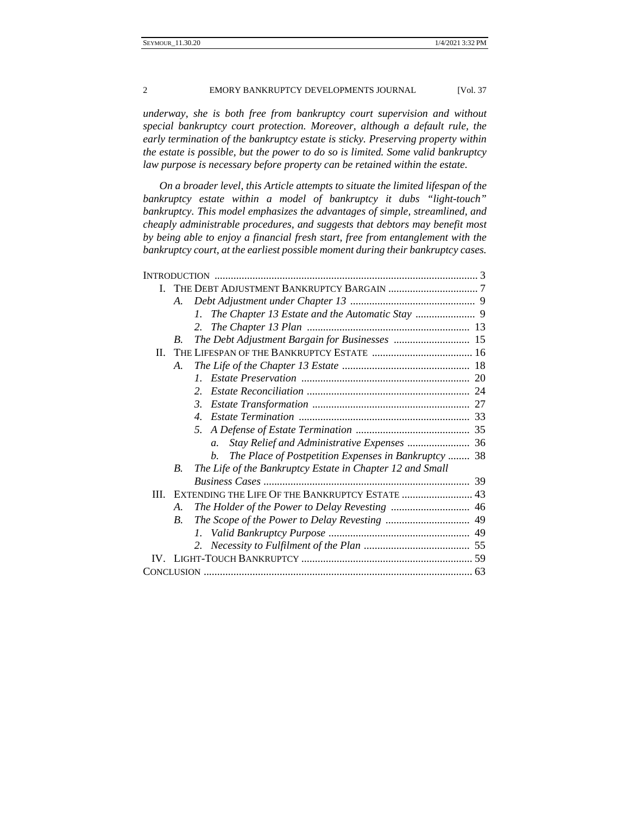*underway, she is both free from bankruptcy court supervision and without special bankruptcy court protection. Moreover, although a default rule, the early termination of the bankruptcy estate is sticky. Preserving property within the estate is possible, but the power to do so is limited. Some valid bankruptcy law purpose is necessary before property can be retained within the estate.*

*On a broader level, this Article attempts to situate the limited lifespan of the bankruptcy estate within a model of bankruptcy it dubs "light-touch" bankruptcy. This model emphasizes the advantages of simple, streamlined, and cheaply administrable procedures, and suggests that debtors may benefit most by being able to enjoy a financial fresh start, free from entanglement with the bankruptcy court, at the earliest possible moment during their bankruptcy cases.*

|         | A.                                              |                                                                 |  |
|---------|-------------------------------------------------|-----------------------------------------------------------------|--|
|         |                                                 | 1.                                                              |  |
|         |                                                 | 2.                                                              |  |
|         | $B_{\cdot}$                                     |                                                                 |  |
| $\Pi$ . |                                                 |                                                                 |  |
|         | А.                                              |                                                                 |  |
|         |                                                 | $\mathcal{I}$                                                   |  |
|         |                                                 | $\mathcal{L}$                                                   |  |
|         |                                                 | $\mathcal{E}$                                                   |  |
|         |                                                 | $\mathcal{A}_{\cdot}$                                           |  |
|         |                                                 | .5.                                                             |  |
|         |                                                 | Stay Relief and Administrative Expenses  36<br>$\mathfrak{a}$ . |  |
|         |                                                 | The Place of Postpetition Expenses in Bankruptcy  38<br>$b_{1}$ |  |
|         | $B_{\cdot}$                                     | The Life of the Bankruptcy Estate in Chapter 12 and Small       |  |
|         |                                                 |                                                                 |  |
| Ш       | EXTENDING THE LIFE OF THE BANKRUPTCY ESTATE  43 |                                                                 |  |
|         | A.                                              |                                                                 |  |
|         | $\overline{B}$ .                                |                                                                 |  |
|         |                                                 |                                                                 |  |
|         |                                                 |                                                                 |  |
|         |                                                 |                                                                 |  |
|         |                                                 |                                                                 |  |
|         |                                                 |                                                                 |  |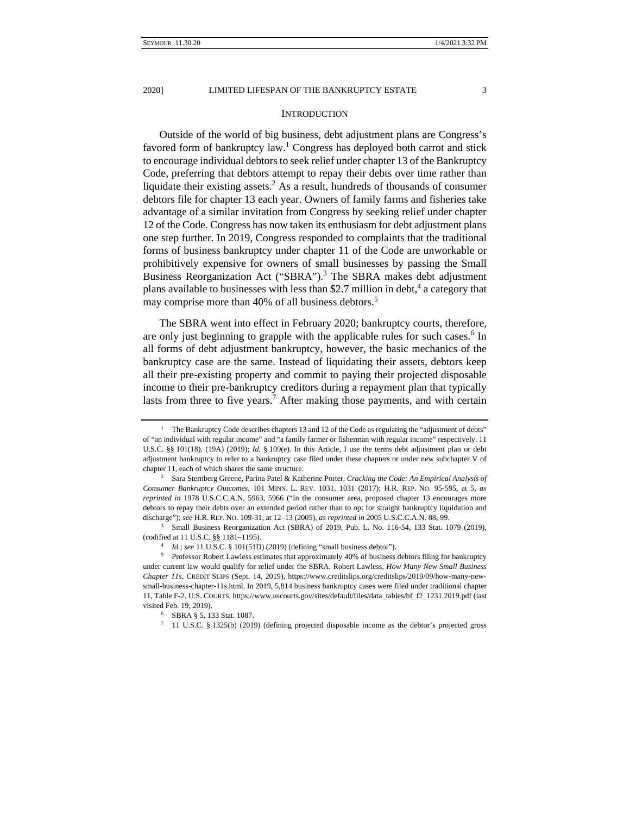#### **INTRODUCTION**

Outside of the world of big business, debt adjustment plans are Congress's favored form of bankruptcy law.<sup>1</sup> Congress has deployed both carrot and stick to encourage individual debtors to seek relief under chapter 13 of the Bankruptcy Code, preferring that debtors attempt to repay their debts over time rather than liquidate their existing assets.<sup>2</sup> As a result, hundreds of thousands of consumer debtors file for chapter 13 each year. Owners of family farms and fisheries take advantage of a similar invitation from Congress by seeking relief under chapter 12 of the Code. Congress has now taken its enthusiasm for debt adjustment plans one step further. In 2019, Congress responded to complaints that the traditional forms of business bankruptcy under chapter 11 of the Code are unworkable or prohibitively expensive for owners of small businesses by passing the Small Business Reorganization Act ("SBRA").<sup>3</sup> The SBRA makes debt adjustment plans available to businesses with less than \$2.7 million in debt,<sup>4</sup> a category that may comprise more than 40% of all business debtors.<sup>5</sup>

The SBRA went into effect in February 2020; bankruptcy courts, therefore, are only just beginning to grapple with the applicable rules for such cases.<sup>6</sup> In all forms of debt adjustment bankruptcy, however, the basic mechanics of the bankruptcy case are the same. Instead of liquidating their assets, debtors keep all their pre-existing property and commit to paying their projected disposable income to their pre-bankruptcy creditors during a repayment plan that typically lasts from three to five years.<sup>7</sup> After making those payments, and with certain

<sup>1</sup> The Bankruptcy Code describes chapters 13 and 12 of the Code as regulating the "adjustment of debts" of "an individual with regular income" and "a family farmer or fisherman with regular income" respectively. 11 U.S.C. §§ 101(18), (19A) (2019); *Id.* § 109(e). In this Article, I use the terms debt adjustment plan or debt adjustment bankruptcy to refer to a bankruptcy case filed under these chapters or under new subchapter V of chapter 11, each of which shares the same structure. 2 Sara Sternberg Greene, Parina Patel & Katherine Porter, *Cracking the Code: An Empirical Analysis of* 

*Consumer Bankruptcy Outcomes*, 101 MINN. L. REV. 1031, 1031 (2017); H.R. REP. NO. 95-595, at 5, *as reprinted in* 1978 U.S.C.C.A.N. 5963, 5966 ("In the consumer area, proposed chapter 13 encourages more debtors to repay their debts over an extended period rather than to opt for straight bankruptcy liquidation and discharge"); *see* H.R. REP. NO. 109-31, at 12–13 (2005), *as reprinted in* 2005 U.S.C.C.A.N. 88, 99.<br><sup>3</sup> Small Business Reorganization Act (SBRA) of 2019, Pub. L. No. 116-54, 133 Stat. 1079 (2019),

<sup>% (</sup>codified at 11 U.S.C. § § 1181–1195).<br>
<sup>4</sup> *Id.*; *see* 11 U.S.C. § 101(51D) (2019) (defining "small business debtor").<br>
<sup>5</sup> Professor Robert Lawless estimates that approximately 40% of business debtors filing for bank under current law would qualify for relief under the SBRA. Robert Lawless, *How Many New Small Business Chapter 11s*, CREDIT SLIPS (Sept. 14, 2019), https://www.creditslips.org/creditslips/2019/09/how-many-newsmall-business-chapter-11s.html. In 2019, 5,814 business bankruptcy cases were filed under traditional chapter 11, Table F-2, U.S. COURTS, https://www.uscourts.gov/sites/default/files/data\_tables/bf\_f2\_1231.2019.pdf (last visited Feb. 19, 2019).<br><sup>6</sup> SBRA § 5, 133 Stat. 1087.

<sup>7 11</sup> U.S.C. § 1325(b) (2019) (defining projected disposable income as the debtor's projected gross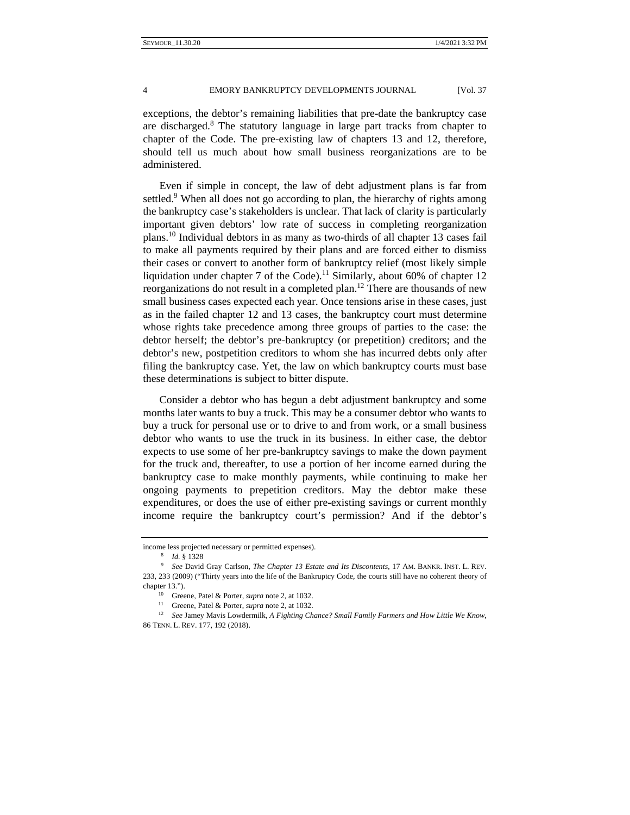exceptions, the debtor's remaining liabilities that pre-date the bankruptcy case are discharged.<sup>8</sup> The statutory language in large part tracks from chapter to chapter of the Code. The pre-existing law of chapters 13 and 12, therefore, should tell us much about how small business reorganizations are to be administered.

Even if simple in concept, the law of debt adjustment plans is far from settled.<sup>9</sup> When all does not go according to plan, the hierarchy of rights among the bankruptcy case's stakeholders is unclear. That lack of clarity is particularly important given debtors' low rate of success in completing reorganization plans.10 Individual debtors in as many as two-thirds of all chapter 13 cases fail to make all payments required by their plans and are forced either to dismiss their cases or convert to another form of bankruptcy relief (most likely simple liquidation under chapter 7 of the Code).<sup>11</sup> Similarly, about 60% of chapter 12 reorganizations do not result in a completed plan.12 There are thousands of new small business cases expected each year. Once tensions arise in these cases, just as in the failed chapter 12 and 13 cases, the bankruptcy court must determine whose rights take precedence among three groups of parties to the case: the debtor herself; the debtor's pre-bankruptcy (or prepetition) creditors; and the debtor's new, postpetition creditors to whom she has incurred debts only after filing the bankruptcy case. Yet, the law on which bankruptcy courts must base these determinations is subject to bitter dispute.

Consider a debtor who has begun a debt adjustment bankruptcy and some months later wants to buy a truck. This may be a consumer debtor who wants to buy a truck for personal use or to drive to and from work, or a small business debtor who wants to use the truck in its business. In either case, the debtor expects to use some of her pre-bankruptcy savings to make the down payment for the truck and, thereafter, to use a portion of her income earned during the bankruptcy case to make monthly payments, while continuing to make her ongoing payments to prepetition creditors. May the debtor make these expenditures, or does the use of either pre-existing savings or current monthly income require the bankruptcy court's permission? And if the debtor's

income less projected necessary or permitted expenses). 8 *Id.* § 1328 9 *See* David Gray Carlson, *The Chapter 13 Estate and Its Discontents*, 17 AM. BANKR. INST. L. REV. 233, 233 (2009) ("Thirty years into the life of the Bankruptcy Code, the courts still have no coherent theory of

chapter 13.").<br><sup>10</sup> Greene, Patel & Porter, *supra* note 2, at 1032.<br><sup>11</sup> Greene, Patel & Porter, *supra* note 2, at 1032.<br><sup>12</sup> See Jamey Mavis Lowdermilk, A Fighting Chance? Small Family Farmers and How Little We Know, 86 TENN. L. REV. 177, 192 (2018).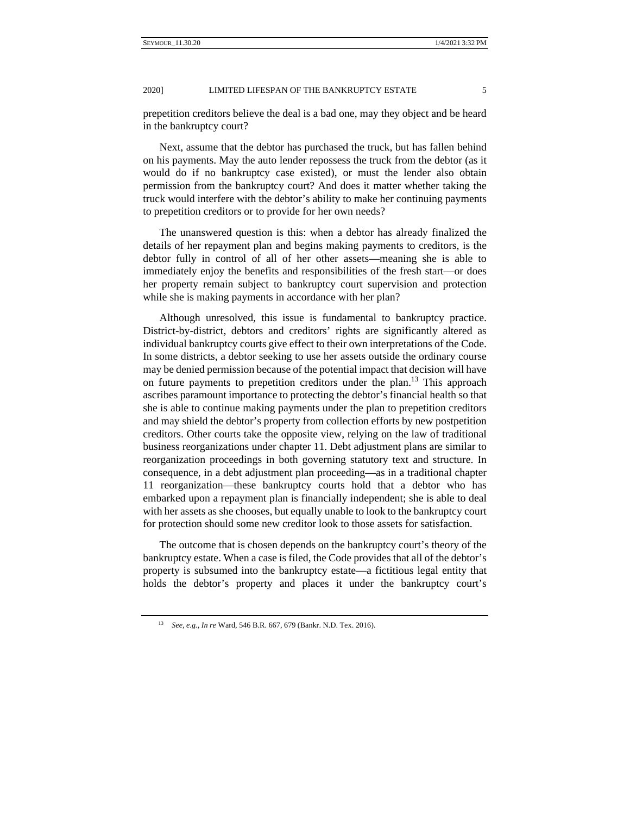prepetition creditors believe the deal is a bad one, may they object and be heard in the bankruptcy court?

Next, assume that the debtor has purchased the truck, but has fallen behind on his payments. May the auto lender repossess the truck from the debtor (as it would do if no bankruptcy case existed), or must the lender also obtain permission from the bankruptcy court? And does it matter whether taking the truck would interfere with the debtor's ability to make her continuing payments to prepetition creditors or to provide for her own needs?

The unanswered question is this: when a debtor has already finalized the details of her repayment plan and begins making payments to creditors, is the debtor fully in control of all of her other assets—meaning she is able to immediately enjoy the benefits and responsibilities of the fresh start—or does her property remain subject to bankruptcy court supervision and protection while she is making payments in accordance with her plan?

Although unresolved, this issue is fundamental to bankruptcy practice. District-by-district, debtors and creditors' rights are significantly altered as individual bankruptcy courts give effect to their own interpretations of the Code. In some districts, a debtor seeking to use her assets outside the ordinary course may be denied permission because of the potential impact that decision will have on future payments to prepetition creditors under the plan.<sup>13</sup> This approach ascribes paramount importance to protecting the debtor's financial health so that she is able to continue making payments under the plan to prepetition creditors and may shield the debtor's property from collection efforts by new postpetition creditors. Other courts take the opposite view, relying on the law of traditional business reorganizations under chapter 11. Debt adjustment plans are similar to reorganization proceedings in both governing statutory text and structure. In consequence, in a debt adjustment plan proceeding––as in a traditional chapter 11 reorganization––these bankruptcy courts hold that a debtor who has embarked upon a repayment plan is financially independent; she is able to deal with her assets as she chooses, but equally unable to look to the bankruptcy court for protection should some new creditor look to those assets for satisfaction.

The outcome that is chosen depends on the bankruptcy court's theory of the bankruptcy estate. When a case is filed, the Code provides that all of the debtor's property is subsumed into the bankruptcy estate—a fictitious legal entity that holds the debtor's property and places it under the bankruptcy court's

<sup>13</sup> *See, e.g.*, *In re* Ward, 546 B.R. 667, 679 (Bankr. N.D. Tex. 2016).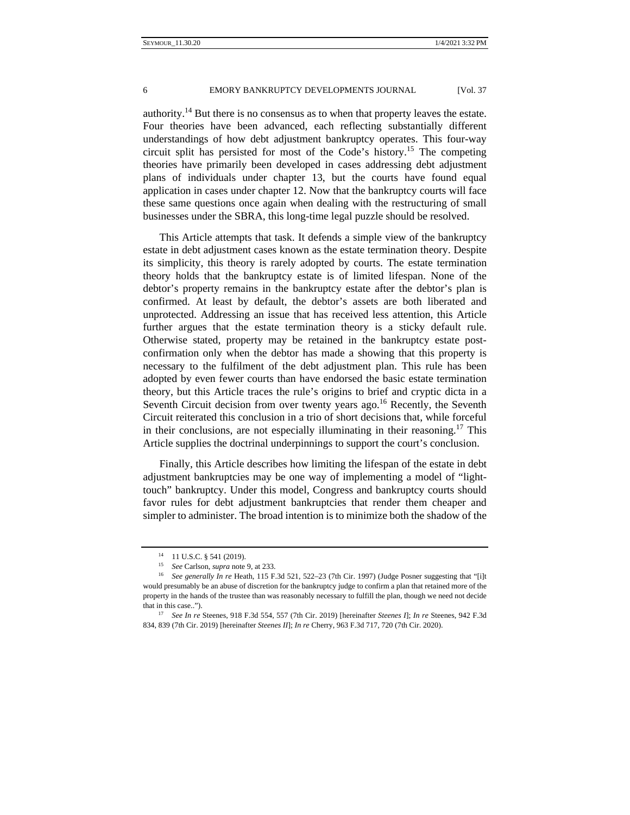authority.<sup>14</sup> But there is no consensus as to when that property leaves the estate. Four theories have been advanced, each reflecting substantially different understandings of how debt adjustment bankruptcy operates. This four-way circuit split has persisted for most of the Code's history.<sup>15</sup> The competing theories have primarily been developed in cases addressing debt adjustment plans of individuals under chapter 13, but the courts have found equal application in cases under chapter 12. Now that the bankruptcy courts will face these same questions once again when dealing with the restructuring of small businesses under the SBRA, this long-time legal puzzle should be resolved.

This Article attempts that task. It defends a simple view of the bankruptcy estate in debt adjustment cases known as the estate termination theory. Despite its simplicity, this theory is rarely adopted by courts. The estate termination theory holds that the bankruptcy estate is of limited lifespan. None of the debtor's property remains in the bankruptcy estate after the debtor's plan is confirmed. At least by default, the debtor's assets are both liberated and unprotected. Addressing an issue that has received less attention, this Article further argues that the estate termination theory is a sticky default rule. Otherwise stated, property may be retained in the bankruptcy estate postconfirmation only when the debtor has made a showing that this property is necessary to the fulfilment of the debt adjustment plan. This rule has been adopted by even fewer courts than have endorsed the basic estate termination theory, but this Article traces the rule's origins to brief and cryptic dicta in a Seventh Circuit decision from over twenty years ago.<sup>16</sup> Recently, the Seventh Circuit reiterated this conclusion in a trio of short decisions that, while forceful in their conclusions, are not especially illuminating in their reasoning.<sup>17</sup> This Article supplies the doctrinal underpinnings to support the court's conclusion.

Finally, this Article describes how limiting the lifespan of the estate in debt adjustment bankruptcies may be one way of implementing a model of "lighttouch" bankruptcy. Under this model, Congress and bankruptcy courts should favor rules for debt adjustment bankruptcies that render them cheaper and simpler to administer. The broad intention is to minimize both the shadow of the

<sup>14 11</sup> U.S.C. § 541 (2019).

<sup>&</sup>lt;sup>15</sup> *See Carlson, supra note 9, at 233.*<br><sup>16</sup> *See generally In re* Heath, 115 F.3d 521, 522–23 (7th Cir. 1997) (Judge Posner suggesting that "[i]t would presumably be an abuse of discretion for the bankruptcy judge to confirm a plan that retained more of the property in the hands of the trustee than was reasonably necessary to fulfill the plan, though we need not decide that in this case.."). 17 *See In re* Steenes, 918 F.3d 554, 557 (7th Cir. 2019) [hereinafter *Steenes I*]; *In re* Steenes, 942 F.3d

<sup>834, 839 (7</sup>th Cir. 2019) [hereinafter *Steenes II*]; *In re* Cherry, 963 F.3d 717, 720 (7th Cir. 2020).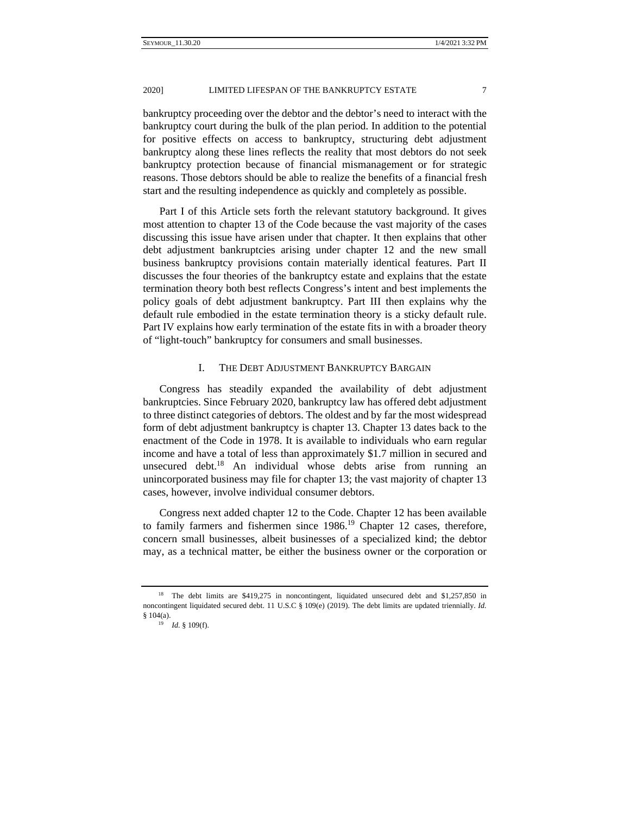bankruptcy proceeding over the debtor and the debtor's need to interact with the bankruptcy court during the bulk of the plan period. In addition to the potential for positive effects on access to bankruptcy, structuring debt adjustment bankruptcy along these lines reflects the reality that most debtors do not seek bankruptcy protection because of financial mismanagement or for strategic reasons. Those debtors should be able to realize the benefits of a financial fresh start and the resulting independence as quickly and completely as possible.

Part I of this Article sets forth the relevant statutory background. It gives most attention to chapter 13 of the Code because the vast majority of the cases discussing this issue have arisen under that chapter. It then explains that other debt adjustment bankruptcies arising under chapter 12 and the new small business bankruptcy provisions contain materially identical features. Part II discusses the four theories of the bankruptcy estate and explains that the estate termination theory both best reflects Congress's intent and best implements the policy goals of debt adjustment bankruptcy. Part III then explains why the default rule embodied in the estate termination theory is a sticky default rule. Part IV explains how early termination of the estate fits in with a broader theory of "light-touch" bankruptcy for consumers and small businesses.

## I. THE DEBT ADJUSTMENT BANKRUPTCY BARGAIN

Congress has steadily expanded the availability of debt adjustment bankruptcies. Since February 2020, bankruptcy law has offered debt adjustment to three distinct categories of debtors. The oldest and by far the most widespread form of debt adjustment bankruptcy is chapter 13. Chapter 13 dates back to the enactment of the Code in 1978. It is available to individuals who earn regular income and have a total of less than approximately \$1.7 million in secured and unsecured debt.<sup>18</sup> An individual whose debts arise from running an unincorporated business may file for chapter 13; the vast majority of chapter 13 cases, however, involve individual consumer debtors.

Congress next added chapter 12 to the Code. Chapter 12 has been available to family farmers and fishermen since  $1986$ <sup>19</sup> Chapter 12 cases, therefore, concern small businesses, albeit businesses of a specialized kind; the debtor may, as a technical matter, be either the business owner or the corporation or

<sup>&</sup>lt;sup>18</sup> The debt limits are \$419,275 in noncontingent, liquidated unsecured debt and \$1,257,850 in noncontingent liquidated secured debt. 11 U.S.C § 109(e) (2019). The debt limits are updated triennially. *Id.*   $$104(a).$ <sup>19</sup> *Id.*  $$109(f).$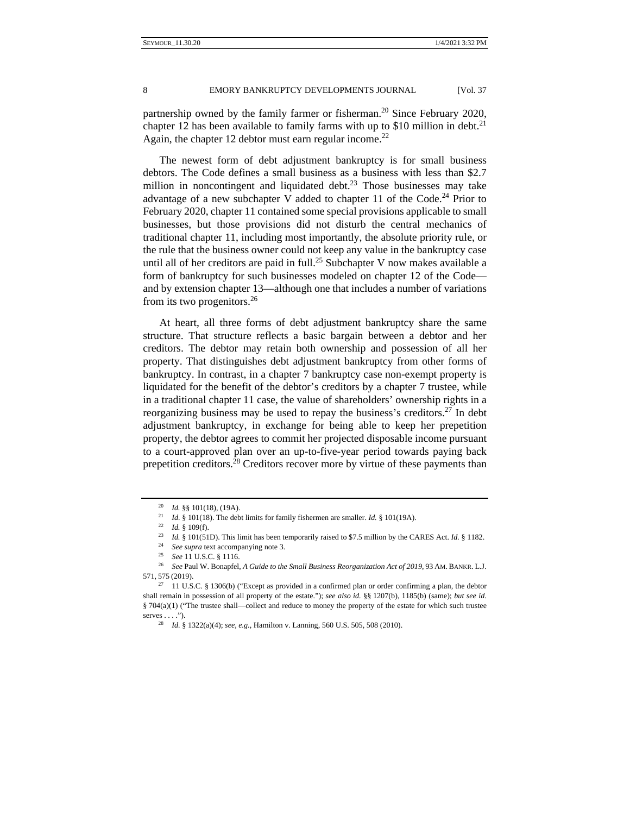partnership owned by the family farmer or fisherman.<sup>20</sup> Since February 2020, chapter 12 has been available to family farms with up to \$10 million in debt.<sup>21</sup> Again, the chapter 12 debtor must earn regular income.<sup>22</sup>

The newest form of debt adjustment bankruptcy is for small business debtors. The Code defines a small business as a business with less than \$2.7 million in noncontingent and liquidated debt.<sup>23</sup> Those businesses may take advantage of a new subchapter V added to chapter 11 of the Code.<sup>24</sup> Prior to February 2020, chapter 11 contained some special provisions applicable to small businesses, but those provisions did not disturb the central mechanics of traditional chapter 11, including most importantly, the absolute priority rule, or the rule that the business owner could not keep any value in the bankruptcy case until all of her creditors are paid in full.<sup>25</sup> Subchapter V now makes available a form of bankruptcy for such businesses modeled on chapter 12 of the Code and by extension chapter 13—although one that includes a number of variations from its two progenitors.26

At heart, all three forms of debt adjustment bankruptcy share the same structure. That structure reflects a basic bargain between a debtor and her creditors. The debtor may retain both ownership and possession of all her property. That distinguishes debt adjustment bankruptcy from other forms of bankruptcy. In contrast, in a chapter 7 bankruptcy case non-exempt property is liquidated for the benefit of the debtor's creditors by a chapter 7 trustee, while in a traditional chapter 11 case, the value of shareholders' ownership rights in a reorganizing business may be used to repay the business's creditors.<sup>27</sup> In debt adjustment bankruptcy, in exchange for being able to keep her prepetition property, the debtor agrees to commit her projected disposable income pursuant to a court-approved plan over an up-to-five-year period towards paying back prepetition creditors.<sup>28</sup> Creditors recover more by virtue of these payments than

<sup>&</sup>lt;sup>20</sup> *Id.* §§ 101(18), (19A).<br><sup>21</sup> *Id.* § 101(18). The debt limits for family fishermen are smaller. *Id.* § 101(19A).<br><sup>22</sup> *Id.* § 109(f).<br><sup>23</sup> *Id.* § 101(51D). This limit has been temporarily raised to \$7.5 million by 571, 575 (2019).<br><sup>27</sup> 11 U.S.C. § 1306(b) ("Except as provided in a confirmed plan or order confirming a plan, the debtor

shall remain in possession of all property of the estate."); *see also id.* §§ 1207(b), 1185(b) (same); *but see id.*  § 704(a)(1) ("The trustee shall—collect and reduce to money the property of the estate for which such trustee serves . . . ."). 28 *Id.* § 1322(a)(4); *see, e.g.*, Hamilton v. Lanning, 560 U.S. 505, 508 (2010).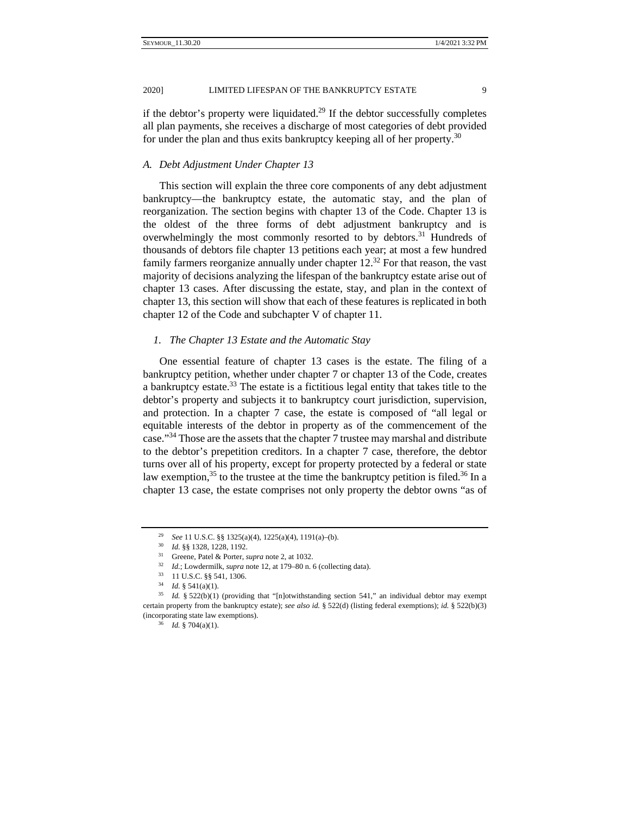2020] LIMITED LIFESPAN OF THE BANKRUPTCY ESTATE 9

if the debtor's property were liquidated.<sup>29</sup> If the debtor successfully completes all plan payments, she receives a discharge of most categories of debt provided for under the plan and thus exits bankruptcy keeping all of her property.<sup>30</sup>

## *A. Debt Adjustment Under Chapter 13*

This section will explain the three core components of any debt adjustment bankruptcy—the bankruptcy estate, the automatic stay, and the plan of reorganization. The section begins with chapter 13 of the Code. Chapter 13 is the oldest of the three forms of debt adjustment bankruptcy and is overwhelmingly the most commonly resorted to by debtors.<sup>31</sup> Hundreds of thousands of debtors file chapter 13 petitions each year; at most a few hundred family farmers reorganize annually under chapter  $12<sup>32</sup>$  For that reason, the vast majority of decisions analyzing the lifespan of the bankruptcy estate arise out of chapter 13 cases. After discussing the estate, stay, and plan in the context of chapter 13, this section will show that each of these features is replicated in both chapter 12 of the Code and subchapter V of chapter 11.

## *1. The Chapter 13 Estate and the Automatic Stay*

One essential feature of chapter 13 cases is the estate. The filing of a bankruptcy petition, whether under chapter 7 or chapter 13 of the Code, creates a bankruptcy estate.<sup>33</sup> The estate is a fictitious legal entity that takes title to the debtor's property and subjects it to bankruptcy court jurisdiction, supervision, and protection. In a chapter 7 case, the estate is composed of "all legal or equitable interests of the debtor in property as of the commencement of the case."34 Those are the assets that the chapter 7 trustee may marshal and distribute to the debtor's prepetition creditors. In a chapter 7 case, therefore, the debtor turns over all of his property, except for property protected by a federal or state law exemption,  $35$  to the trustee at the time the bankruptcy petition is filed.  $36$  In a chapter 13 case, the estate comprises not only property the debtor owns "as of

<sup>&</sup>lt;sup>29</sup> *See* 11 U.S.C. §§ 1325(a)(4), 1225(a)(4), 1191(a)-(b).<br><sup>30</sup> *Id.* §§ 1328, 1228, 1192.<br><sup>31</sup> Greene, Patel & Porter, *supra* note 2, at 1032.<br><sup>32</sup> *Id.*; Lowdermilk, *supra* note 12, at 179–80 n. 6 (collecting data).

<sup>&</sup>lt;sup>35</sup> *Id.* § 522(b)(1) (providing that "[n]otwithstanding section 541," an individual debtor may exempt certain property from the bankruptcy estate); *see also id.* § 522(d) (listing federal exemptions); *id.* § 522(b)(3) (incorporating state law exemptions). 36 *Id.* § 704(a)(1).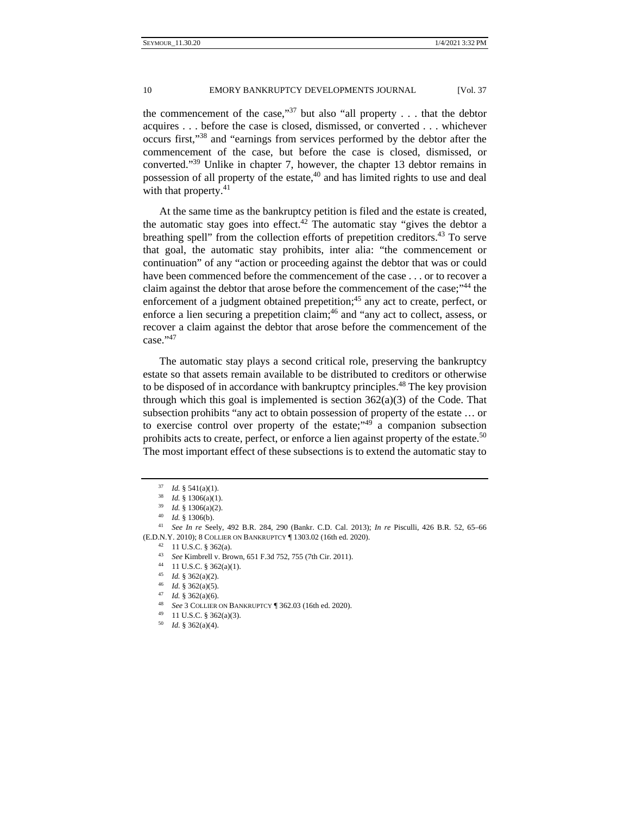the commencement of the case,"<sup>37</sup> but also "all property  $\dots$  that the debtor acquires . . . before the case is closed, dismissed, or converted . . . whichever occurs first,"38 and "earnings from services performed by the debtor after the commencement of the case, but before the case is closed, dismissed, or converted."39 Unlike in chapter 7, however, the chapter 13 debtor remains in possession of all property of the estate,<sup>40</sup> and has limited rights to use and deal with that property.<sup>41</sup>

At the same time as the bankruptcy petition is filed and the estate is created, the automatic stay goes into effect.<sup>42</sup> The automatic stay "gives the debtor a breathing spell" from the collection efforts of prepetition creditors.<sup>43</sup> To serve that goal, the automatic stay prohibits, inter alia: "the commencement or continuation" of any "action or proceeding against the debtor that was or could have been commenced before the commencement of the case . . . or to recover a claim against the debtor that arose before the commencement of the case;"<sup>44</sup> the enforcement of a judgment obtained prepetition;  $45$  any act to create, perfect, or enforce a lien securing a prepetition claim; $46$  and "any act to collect, assess, or recover a claim against the debtor that arose before the commencement of the case."47

The automatic stay plays a second critical role, preserving the bankruptcy estate so that assets remain available to be distributed to creditors or otherwise to be disposed of in accordance with bankruptcy principles.<sup>48</sup> The key provision through which this goal is implemented is section  $362(a)(3)$  of the Code. That subsection prohibits "any act to obtain possession of property of the estate … or to exercise control over property of the estate;" $49$  a companion subsection prohibits acts to create, perfect, or enforce a lien against property of the estate.<sup>50</sup> The most important effect of these subsections is to extend the automatic stay to

- <sup>43</sup> *See* Kimbrell v. Brown, 651 F.3d 752, 755 (7th Cir. 2011). 44 11 U.S.C. § 362(a)(1).
- 
- 
- 
- 
- <sup>45</sup> *Id.* § 362(a)(2). 46 *Id.* § 362(a)(5). 47 *Id.* § 362(a)(6). 48 *See* 3 COLLIER ON BANKRUPTCY ¶ 362.03 (16th ed. 2020). 49 11 U.S.C. § 362(a)(3). 50 *Id.* § 362(a)(4).
- 
- 

<sup>&</sup>lt;sup>37</sup> *Id.* § 541(a)(1).<br><sup>38</sup> *Id.* § 1306(a)(1).<br><sup>39</sup> *Id.* § 1306(a)(2).<br><sup>40</sup> *Id.* § 1306(b).<br><sup>41</sup> *See In re* Seely, 492 B.R. 284, 290 (Bankr. C.D. Cal. 2013); *In re* Pisculli, 426 B.R. 52, 65–66 (E.D.N.Y. 2010); 8 COLLIER ON BANKRUPTCY ¶ 1303.02 (16th ed. 2020). 42 11 U.S.C. § 362(a).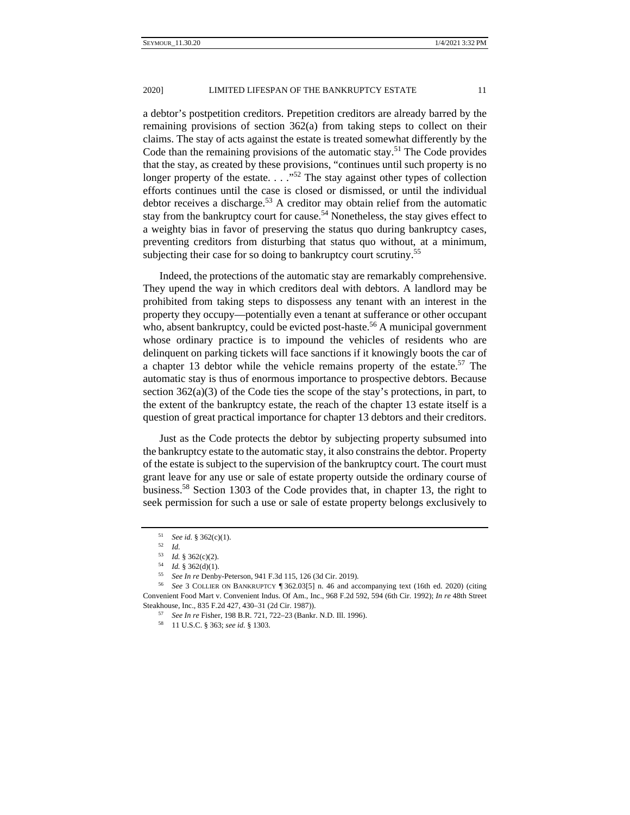a debtor's postpetition creditors. Prepetition creditors are already barred by the remaining provisions of section 362(a) from taking steps to collect on their claims. The stay of acts against the estate is treated somewhat differently by the Code than the remaining provisions of the automatic stay.<sup>51</sup> The Code provides that the stay, as created by these provisions, "continues until such property is no longer property of the estate. . . ."52 The stay against other types of collection efforts continues until the case is closed or dismissed, or until the individual debtor receives a discharge.<sup>53</sup> A creditor may obtain relief from the automatic stay from the bankruptcy court for cause.<sup>54</sup> Nonetheless, the stay gives effect to a weighty bias in favor of preserving the status quo during bankruptcy cases, preventing creditors from disturbing that status quo without, at a minimum, subjecting their case for so doing to bankruptcy court scrutiny.<sup>55</sup>

Indeed, the protections of the automatic stay are remarkably comprehensive. They upend the way in which creditors deal with debtors. A landlord may be prohibited from taking steps to dispossess any tenant with an interest in the property they occupy—potentially even a tenant at sufferance or other occupant who, absent bankruptcy, could be evicted post-haste.<sup>56</sup> A municipal government whose ordinary practice is to impound the vehicles of residents who are delinquent on parking tickets will face sanctions if it knowingly boots the car of a chapter 13 debtor while the vehicle remains property of the estate.<sup>57</sup> The automatic stay is thus of enormous importance to prospective debtors. Because section  $362(a)(3)$  of the Code ties the scope of the stay's protections, in part, to the extent of the bankruptcy estate, the reach of the chapter 13 estate itself is a question of great practical importance for chapter 13 debtors and their creditors.

Just as the Code protects the debtor by subjecting property subsumed into the bankruptcy estate to the automatic stay, it also constrains the debtor. Property of the estate is subject to the supervision of the bankruptcy court. The court must grant leave for any use or sale of estate property outside the ordinary course of business.<sup>58</sup> Section 1303 of the Code provides that, in chapter 13, the right to seek permission for such a use or sale of estate property belongs exclusively to

<sup>51</sup> *See id.* § 362(c)(1).<br>
52 *Id.*<br>
53 *Id.* § 362(c)(2).

<sup>&</sup>lt;sup>54</sup> *Id.* § 362(d)(1).<br><sup>55</sup> *See In re* Denby-Peterson, 941 F.3d 115, 126 (3d Cir. 2019).<br><sup>56</sup> *See* 3 COLLIER ON BANKRUPTCY ¶ 362.03[5] n. 46 and accompanying text (16th ed. 2020) (citing Convenient Food Mart v. Convenient Indus. Of Am., Inc., 968 F.2d 592, 594 (6th Cir. 1992); *In re* 48th Street Steakhouse, Inc., 835 F.2d 427, 430–31 (2d Cir. 1987)). 57 *See In re* Fisher, 198 B.R. 721, 722–23 (Bankr. N.D. Ill. 1996). 58 11 U.S.C. § 363; *see id.* § 1303.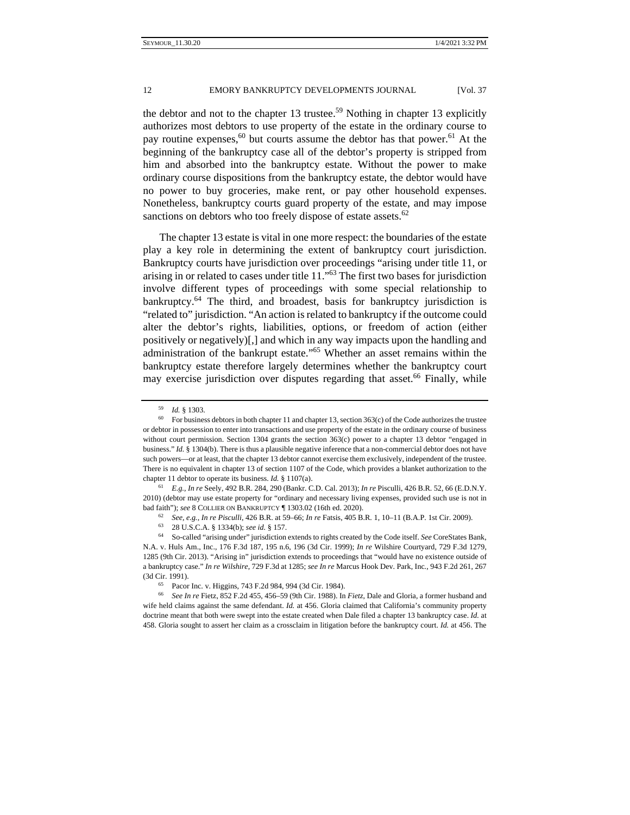the debtor and not to the chapter 13 trustee.<sup>59</sup> Nothing in chapter 13 explicitly authorizes most debtors to use property of the estate in the ordinary course to pay routine expenses,<sup>60</sup> but courts assume the debtor has that power.<sup>61</sup> At the beginning of the bankruptcy case all of the debtor's property is stripped from him and absorbed into the bankruptcy estate. Without the power to make ordinary course dispositions from the bankruptcy estate, the debtor would have no power to buy groceries, make rent, or pay other household expenses. Nonetheless, bankruptcy courts guard property of the estate, and may impose sanctions on debtors who too freely dispose of estate assets. $62$ 

The chapter 13 estate is vital in one more respect: the boundaries of the estate play a key role in determining the extent of bankruptcy court jurisdiction. Bankruptcy courts have jurisdiction over proceedings "arising under title 11, or arising in or related to cases under title 11."63 The first two bases for jurisdiction involve different types of proceedings with some special relationship to bankruptcy.64 The third, and broadest, basis for bankruptcy jurisdiction is "related to" jurisdiction. "An action is related to bankruptcy if the outcome could alter the debtor's rights, liabilities, options, or freedom of action (either positively or negatively)[,] and which in any way impacts upon the handling and administration of the bankrupt estate."65 Whether an asset remains within the bankruptcy estate therefore largely determines whether the bankruptcy court may exercise jurisdiction over disputes regarding that asset.<sup>66</sup> Finally, while

2010) (debtor may use estate property for "ordinary and necessary living expenses, provided such use is not in

<sup>&</sup>lt;sup>59</sup> *Id.* § 1303.<br><sup>60</sup> For business debtors in both chapter 11 and chapter 13, section 363(c) of the Code authorizes the trustee or debtor in possession to enter into transactions and use property of the estate in the ordinary course of business without court permission. Section 1304 grants the section 363(c) power to a chapter 13 debtor "engaged in business." *Id.* § 1304(b). There is thus a plausible negative inference that a non-commercial debtor does not have such powers—or at least, that the chapter 13 debtor cannot exercise them exclusively, independent of the trustee. There is no equivalent in chapter 13 of section 1107 of the Code, which provides a blanket authorization to the chapter 11 debtor to operate its business. *Id.* § 1107(a). 61 *E.g.*, *In re* Seely, 492 B.R. 284, 290 (Bankr. C.D. Cal. 2013); *In re* Pisculli, 426 B.R. 52, 66 (E.D.N.Y.

bad faith"); see 8 COLLER ON BANKRUPTCY ¶ 1303.02 (16th ed. 2020).<br>
<sup>62</sup> See, e.g., *In re Pisculli*, 426 B.R. at 59–66; *In re* Fatsis, 405 B.R. 1, 10–11 (B.A.P. 1st Cir. 2009).<br>
<sup>63</sup> 28 U.S.C.A. § 1334(b); see id. § 157

N.A. v. Huls Am., Inc., 176 F.3d 187, 195 n.6, 196 (3d Cir. 1999); *In re* Wilshire Courtyard, 729 F.3d 1279, 1285 (9th Cir. 2013). "Arising in" jurisdiction extends to proceedings that "would have no existence outside of a bankruptcy case." *In re Wilshire*, 729 F.3d at 1285; *see In re* Marcus Hook Dev. Park, Inc*.*, 943 F.2d 261, 267 (3d Cir. 1991). 65 Pacor Inc. v. Higgins, 743 F.2d 984, 994 (3d Cir. 1984).

<sup>66</sup> *See In re* Fietz, 852 F.2d 455, 456–59 (9th Cir. 1988). In *Fietz*, Dale and Gloria, a former husband and wife held claims against the same defendant. *Id.* at 456. Gloria claimed that California's community property doctrine meant that both were swept into the estate created when Dale filed a chapter 13 bankruptcy case. *Id.* at 458. Gloria sought to assert her claim as a crossclaim in litigation before the bankruptcy court. *Id.* at 456. The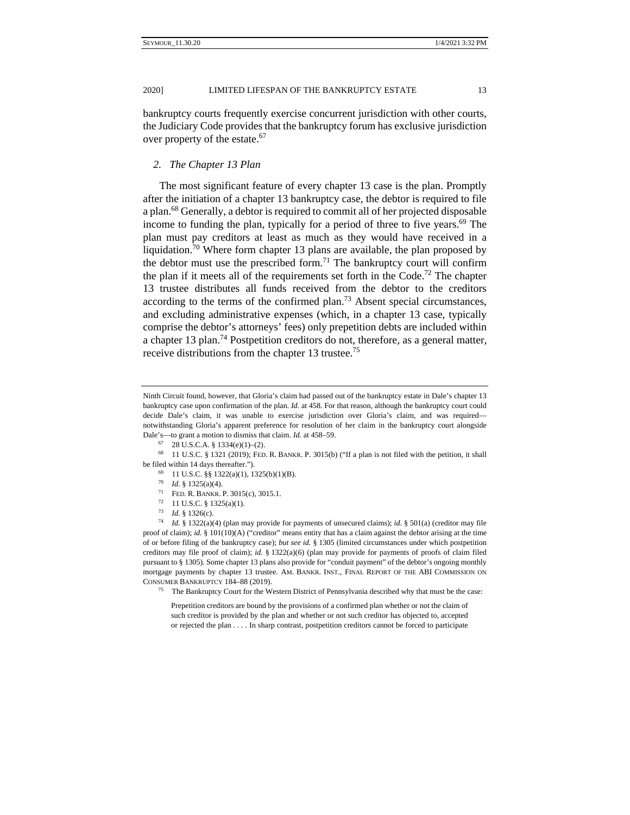bankruptcy courts frequently exercise concurrent jurisdiction with other courts, the Judiciary Code provides that the bankruptcy forum has exclusive jurisdiction over property of the estate.<sup>67</sup>

#### *2. The Chapter 13 Plan*

The most significant feature of every chapter 13 case is the plan. Promptly after the initiation of a chapter 13 bankruptcy case, the debtor is required to file a plan.68 Generally, a debtor is required to commit all of her projected disposable income to funding the plan, typically for a period of three to five years.<sup>69</sup> The plan must pay creditors at least as much as they would have received in a liquidation.<sup>70</sup> Where form chapter 13 plans are available, the plan proposed by the debtor must use the prescribed form.<sup>71</sup> The bankruptcy court will confirm the plan if it meets all of the requirements set forth in the Code.<sup>72</sup> The chapter 13 trustee distributes all funds received from the debtor to the creditors according to the terms of the confirmed plan.<sup>73</sup> Absent special circumstances, and excluding administrative expenses (which, in a chapter 13 case, typically comprise the debtor's attorneys' fees) only prepetition debts are included within a chapter 13 plan.<sup>74</sup> Postpetition creditors do not, therefore, as a general matter, receive distributions from the chapter 13 trustee.<sup>75</sup>

- 
- 
- <sup>71</sup> **FED. R. BANKR. P. 3015(c), 3015.1.** <sup>72</sup> **11 U.S.C.** § **1325(a)(1).**
- 
- 

<sup>73</sup> *Id.* § 1326(c).<br><sup>74</sup> *Id.* § 1322(a)(4) (plan may provide for payments of unsecured claims); *id.* § 501(a) (creditor may file proof of claim); *id.* § 101(10)(A) ("creditor" means entity that has a claim against the debtor arising at the time of or before filing of the bankruptcy case); *but see id.* § 1305 (limited circumstances under which postpetition creditors may file proof of claim); *id.* § 1322(a)(6) (plan may provide for payments of proofs of claim filed pursuant to § 1305). Some chapter 13 plans also provide for "conduit payment" of the debtor's ongoing monthly mortgage payments by chapter 13 trustee. AM. BANKR. INST., FINAL REPORT OF THE ABI COMMISSION ON CONSUMER BANKRUPTCY 184–88 (2019). 75 The Bankruptcy Court for the Western District of Pennsylvania described why that must be the case:

Prepetition creditors are bound by the provisions of a confirmed plan whether or not the claim of such creditor is provided by the plan and whether or not such creditor has objected to, accepted or rejected the plan . . . . In sharp contrast, postpetition creditors cannot be forced to participate

Ninth Circuit found, however, that Gloria's claim had passed out of the bankruptcy estate in Dale's chapter 13 bankruptcy case upon confirmation of the plan. *Id.* at 458. For that reason, although the bankruptcy court could decide Dale's claim, it was unable to exercise jurisdiction over Gloria's claim, and was required notwithstanding Gloria's apparent preference for resolution of her claim in the bankruptcy court alongside Dale's—to grant a motion to dismiss that claim. *Id.* at 458–59. <sup>67</sup> 28 U.S.C.A. § 1334(e)(1)–(2).

<sup>68 11</sup> U.S.C. § 1321 (2019); FED. R. BANKR. P. 3015(b) ("If a plan is not filed with the petition, it shall be filed within 14 days thereafter.").<br>
<sup>69</sup> 11 U.S.C. §§ 1322(a)(1), 1325(b)(1)(B).<br>
<sup>70</sup> *Id.* § 1325(a)(4).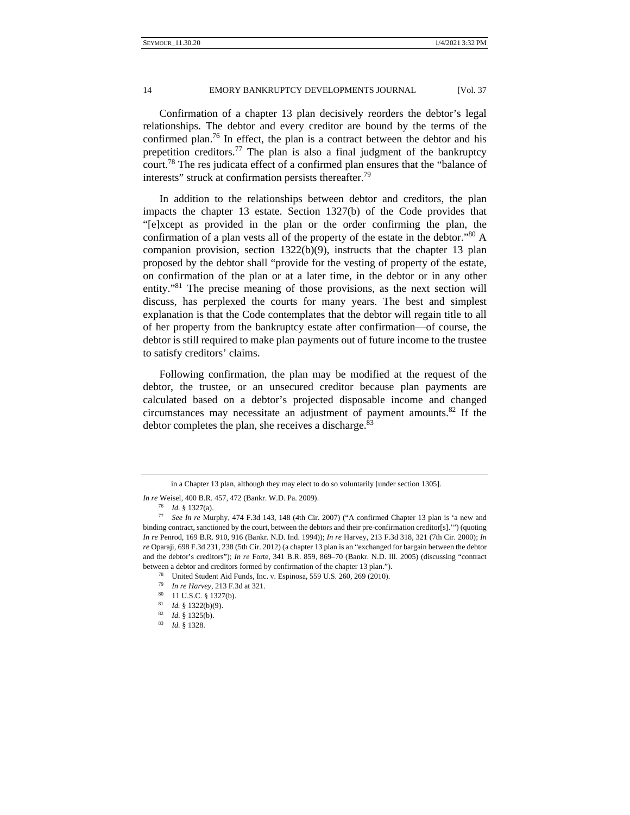Confirmation of a chapter 13 plan decisively reorders the debtor's legal relationships. The debtor and every creditor are bound by the terms of the confirmed plan.76 In effect, the plan is a contract between the debtor and his prepetition creditors.<sup>77</sup> The plan is also a final judgment of the bankruptcy court.78 The res judicata effect of a confirmed plan ensures that the "balance of interests" struck at confirmation persists thereafter.<sup>79</sup>

In addition to the relationships between debtor and creditors, the plan impacts the chapter 13 estate. Section 1327(b) of the Code provides that "[e]xcept as provided in the plan or the order confirming the plan, the confirmation of a plan vests all of the property of the estate in the debtor." $80$  A companion provision, section 1322(b)(9), instructs that the chapter 13 plan proposed by the debtor shall "provide for the vesting of property of the estate, on confirmation of the plan or at a later time, in the debtor or in any other entity."81 The precise meaning of those provisions, as the next section will discuss, has perplexed the courts for many years. The best and simplest explanation is that the Code contemplates that the debtor will regain title to all of her property from the bankruptcy estate after confirmation—of course, the debtor is still required to make plan payments out of future income to the trustee to satisfy creditors' claims.

Following confirmation, the plan may be modified at the request of the debtor, the trustee, or an unsecured creditor because plan payments are calculated based on a debtor's projected disposable income and changed circumstances may necessitate an adjustment of payment amounts. $82$  If the debtor completes the plan, she receives a discharge. $83$ 

in a Chapter 13 plan, although they may elect to do so voluntarily [under section 1305].

*In re* Weisel, 400 B.R. 457, 472 (Bankr. W.D. Pa. 2009).

<sup>76</sup> *Id.* § 1327(a). 77 *See In re* Murphy, 474 F.3d 143, 148 (4th Cir. 2007) ("A confirmed Chapter 13 plan is 'a new and binding contract, sanctioned by the court, between the debtors and their pre-confirmation creditor[s].'") (quoting *In re* Penrod, 169 B.R. 910, 916 (Bankr. N.D. Ind. 1994)); *In re* Harvey, 213 F.3d 318, 321 (7th Cir. 2000); *In re* Oparaji, 698 F.3d 231, 238 (5th Cir. 2012) (a chapter 13 plan is an "exchanged for bargain between the debtor and the debtor's creditors"); *In re* Forte, 341 B.R. 859, 869–70 (Bankr. N.D. Ill. 2005) (discussing "contract between a debtor and creditors formed by confirmation of the chapter 13 plan."). 78 United Student Aid Funds, Inc. v. Espinosa, 559 U.S. 260, 269 (2010).

<sup>79</sup> *In re Harvey*, 213 F.3d at 321. 80 11 U.S.C. § 1327(b).

<sup>81</sup> *Id.* § 1322(b)(9). 82 *Id.* § 1325(b). 83 *Id.* § 1328.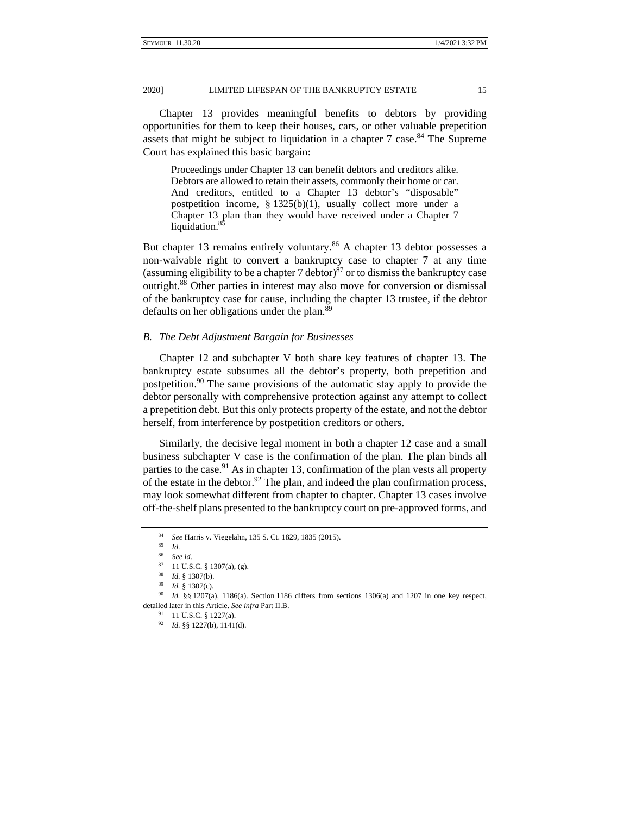20201 LIMITED LIFESPAN OF THE BANKRUPTCY ESTATE 15

Chapter 13 provides meaningful benefits to debtors by providing opportunities for them to keep their houses, cars, or other valuable prepetition assets that might be subject to liquidation in a chapter 7 case.<sup>84</sup> The Supreme Court has explained this basic bargain:

Proceedings under Chapter 13 can benefit debtors and creditors alike. Debtors are allowed to retain their assets, commonly their home or car. And creditors, entitled to a Chapter 13 debtor's "disposable" postpetition income, § 1325(b)(1), usually collect more under a Chapter 13 plan than they would have received under a Chapter 7 liquidation.<sup>8</sup>

But chapter 13 remains entirely voluntary.<sup>86</sup> A chapter 13 debtor possesses a non-waivable right to convert a bankruptcy case to chapter 7 at any time (assuming eligibility to be a chapter 7 debtor) $^{87}$  or to dismiss the bankruptcy case outright.88 Other parties in interest may also move for conversion or dismissal of the bankruptcy case for cause, including the chapter 13 trustee, if the debtor defaults on her obligations under the plan.<sup>89</sup>

## *B. The Debt Adjustment Bargain for Businesses*

Chapter 12 and subchapter V both share key features of chapter 13. The bankruptcy estate subsumes all the debtor's property, both prepetition and postpetition.<sup>90</sup> The same provisions of the automatic stay apply to provide the debtor personally with comprehensive protection against any attempt to collect a prepetition debt. But this only protects property of the estate, and not the debtor herself, from interference by postpetition creditors or others.

Similarly, the decisive legal moment in both a chapter 12 case and a small business subchapter V case is the confirmation of the plan. The plan binds all parties to the case.<sup>91</sup> As in chapter 13, confirmation of the plan vests all property of the estate in the debtor.<sup>92</sup> The plan, and indeed the plan confirmation process, may look somewhat different from chapter to chapter. Chapter 13 cases involve off-the-shelf plans presented to the bankruptcy court on pre-approved forms, and

<sup>84</sup> *See* Harris v. Viegelahn, 135 S. Ct. 1829, 1835 (2015). 85 *Id.* 

<sup>&</sup>lt;sup>87</sup> 11 U.S.C. § 1307(a), (g).<br><sup>88</sup> *Id.* § 1307(b).

<sup>88</sup> *Id.* § 1307(b). 89 *Id.* § 1307(c). 90 *Id.* §§ 1207(a), 1186(a). Section 1186 differs from sections 1306(a) and 1207 in one key respect, detailed later in this Article. *See infra* Part II.B.<br><sup>91</sup> 11 U.S.C. § 1227(a).

<sup>92</sup> *Id.* §§ 1227(b), 1141(d).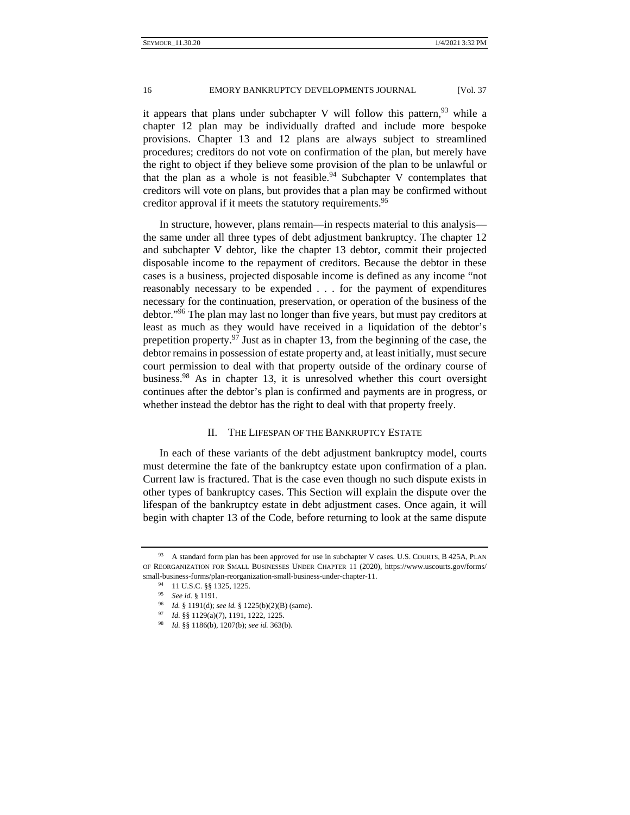it appears that plans under subchapter V will follow this pattern,  $93$  while a chapter 12 plan may be individually drafted and include more bespoke provisions. Chapter 13 and 12 plans are always subject to streamlined procedures; creditors do not vote on confirmation of the plan, but merely have the right to object if they believe some provision of the plan to be unlawful or that the plan as a whole is not feasible.<sup>94</sup> Subchapter V contemplates that creditors will vote on plans, but provides that a plan may be confirmed without creditor approval if it meets the statutory requirements.<sup>95</sup>

In structure, however, plans remain—in respects material to this analysis the same under all three types of debt adjustment bankruptcy. The chapter 12 and subchapter V debtor, like the chapter 13 debtor, commit their projected disposable income to the repayment of creditors. Because the debtor in these cases is a business, projected disposable income is defined as any income "not reasonably necessary to be expended . . . for the payment of expenditures necessary for the continuation, preservation, or operation of the business of the debtor."96 The plan may last no longer than five years, but must pay creditors at least as much as they would have received in a liquidation of the debtor's prepetition property.<sup>97</sup> Just as in chapter 13, from the beginning of the case, the debtor remains in possession of estate property and, at least initially, must secure court permission to deal with that property outside of the ordinary course of business.98 As in chapter 13, it is unresolved whether this court oversight continues after the debtor's plan is confirmed and payments are in progress, or whether instead the debtor has the right to deal with that property freely.

## II. THE LIFESPAN OF THE BANKRUPTCY ESTATE

In each of these variants of the debt adjustment bankruptcy model, courts must determine the fate of the bankruptcy estate upon confirmation of a plan. Current law is fractured. That is the case even though no such dispute exists in other types of bankruptcy cases. This Section will explain the dispute over the lifespan of the bankruptcy estate in debt adjustment cases. Once again, it will begin with chapter 13 of the Code, before returning to look at the same dispute

<sup>93</sup> A standard form plan has been approved for use in subchapter V cases. U.S. COURTS, B 425A, PLAN OF REORGANIZATION FOR SMALL BUSINESSES UNDER CHAPTER 11 (2020), https://www.uscourts.gov/forms/ small-business-forms/plan-reorganization-small-business-under-chapter-11. 94 11 U.S.C. §§ 1325, 1225.

<sup>95</sup> *See id.* § 1191. 96 *Id.* § 1191(d); *see id.* § 1225(b)(2)(B) (same). 97 *Id.* §§ 1129(a)(7), 1191, 1222, 1225. 98 *Id.* §§ 1186(b), 1207(b); *see id.* 363(b).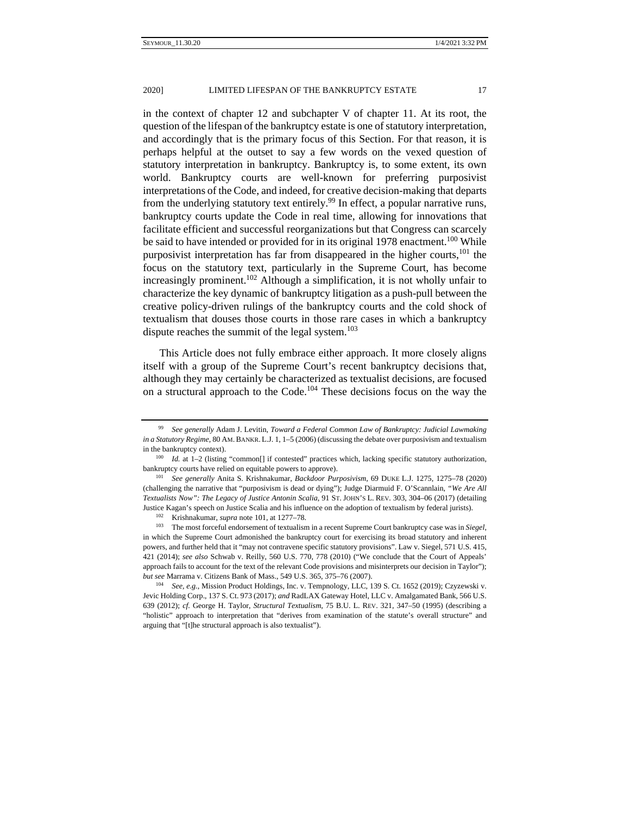in the context of chapter 12 and subchapter V of chapter 11. At its root, the question of the lifespan of the bankruptcy estate is one of statutory interpretation, and accordingly that is the primary focus of this Section. For that reason, it is perhaps helpful at the outset to say a few words on the vexed question of statutory interpretation in bankruptcy. Bankruptcy is, to some extent, its own world. Bankruptcy courts are well-known for preferring purposivist interpretations of the Code, and indeed, for creative decision-making that departs from the underlying statutory text entirely.<sup>99</sup> In effect, a popular narrative runs, bankruptcy courts update the Code in real time, allowing for innovations that facilitate efficient and successful reorganizations but that Congress can scarcely be said to have intended or provided for in its original 1978 enactment.<sup>100</sup> While purposivist interpretation has far from disappeared in the higher courts,<sup>101</sup> the focus on the statutory text, particularly in the Supreme Court, has become increasingly prominent.<sup>102</sup> Although a simplification, it is not wholly unfair to characterize the key dynamic of bankruptcy litigation as a push-pull between the creative policy-driven rulings of the bankruptcy courts and the cold shock of textualism that douses those courts in those rare cases in which a bankruptcy dispute reaches the summit of the legal system. $103$ 

This Article does not fully embrace either approach. It more closely aligns itself with a group of the Supreme Court's recent bankruptcy decisions that, although they may certainly be characterized as textualist decisions, are focused on a structural approach to the Code.104 These decisions focus on the way the

<sup>99</sup> *See generally* Adam J. Levitin, *Toward a Federal Common Law of Bankruptcy: Judicial Lawmaking in a Statutory Regime*, 80 AM.BANKR. L.J. 1, 1–5 (2006) (discussing the debate over purposivism and textualism in the bankruptcy context). 100 *Id.* at 1–2 (listing "common[] if contested" practices which, lacking specific statutory authorization,

bankruptcy courts have relied on equitable powers to approve). 101 *See generally* Anita S. Krishnakumar, *Backdoor Purposivism*, 69 DUKE L.J. 1275, 1275–78 (2020)

<sup>(</sup>challenging the narrative that "purposivism is dead or dying"); Judge Diarmuid F. O'Scannlain, *"We Are All Textualists Now": The Legacy of Justice Antonin Scalia*, 91 ST. JOHN'S L. REV. 303, 304–06 (2017) (detailing Justice Kagan's speech on Justice Scalia and his influence on the adoption of textualism by federal jurists).<br><sup>102</sup> Krishnakumar, *supra* note 101, at 1277–78.<br><sup>103</sup> The most forceful endorsement of textualism in a recent

in which the Supreme Court admonished the bankruptcy court for exercising its broad statutory and inherent powers, and further held that it "may not contravene specific statutory provisions". Law v. Siegel, 571 U.S. 415, 421 (2014); *see also* Schwab v. Reilly, 560 U.S. 770, 778 (2010) ("We conclude that the Court of Appeals' approach fails to account for the text of the relevant Code provisions and misinterprets our decision in Taylor"); *but see* Marrama v. Citizens Bank of Mass., 549 U.S. 365, 375–76 (2007).<br><sup>104</sup> *See, e.g.*, Mission Product Holdings, Inc. v. Tempnology, LLC, 139 S. Ct. 1652 (2019); Czyzewski v.

Jevic Holding Corp., 137 S. Ct. 973 (2017); *and* RadLAX Gateway Hotel, LLC v. Amalgamated Bank, 566 U.S. 639 (2012); *cf.* George H. Taylor, *Structural Textualism*, 75 B.U. L. REV. 321, 347–50 (1995) (describing a "holistic" approach to interpretation that "derives from examination of the statute's overall structure" and arguing that "[t]he structural approach is also textualist").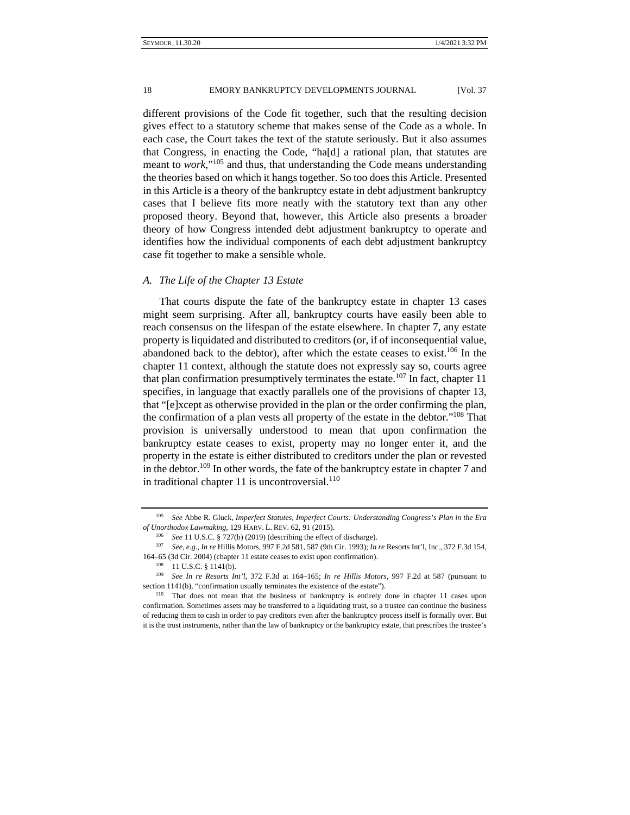different provisions of the Code fit together, such that the resulting decision gives effect to a statutory scheme that makes sense of the Code as a whole. In each case, the Court takes the text of the statute seriously. But it also assumes that Congress, in enacting the Code, "ha[d] a rational plan, that statutes are meant to *work*,"105 and thus, that understanding the Code means understanding the theories based on which it hangs together. So too does this Article. Presented in this Article is a theory of the bankruptcy estate in debt adjustment bankruptcy cases that I believe fits more neatly with the statutory text than any other proposed theory. Beyond that, however, this Article also presents a broader theory of how Congress intended debt adjustment bankruptcy to operate and identifies how the individual components of each debt adjustment bankruptcy case fit together to make a sensible whole.

## *A. The Life of the Chapter 13 Estate*

That courts dispute the fate of the bankruptcy estate in chapter 13 cases might seem surprising. After all, bankruptcy courts have easily been able to reach consensus on the lifespan of the estate elsewhere. In chapter 7, any estate property is liquidated and distributed to creditors (or, if of inconsequential value, abandoned back to the debtor), after which the estate ceases to exist.<sup>106</sup> In the chapter 11 context, although the statute does not expressly say so, courts agree that plan confirmation presumptively terminates the estate.<sup>107</sup> In fact, chapter 11 specifies, in language that exactly parallels one of the provisions of chapter 13, that "[e]xcept as otherwise provided in the plan or the order confirming the plan, the confirmation of a plan vests all property of the estate in the debtor."108 That provision is universally understood to mean that upon confirmation the bankruptcy estate ceases to exist, property may no longer enter it, and the property in the estate is either distributed to creditors under the plan or revested in the debtor.<sup>109</sup> In other words, the fate of the bankruptcy estate in chapter 7 and in traditional chapter 11 is uncontroversial. $110$ 

<sup>105</sup> *See* Abbe R. Gluck, *Imperfect Statutes, Imperfect Courts: Understanding Congress's Plan in the Era*  of Unorthodox Lawmaking, 129 HARV. L. REV. 62, 91 (2015).<br><sup>106</sup> See 11 U.S.C. § 727(b) (2019) (describing the effect of discharge).<br><sup>107</sup> See, e.g., In re Hillis Motors, 997 F.2d 581, 587 (9th Cir. 1993); In re Resorts Int

<sup>164–65 (3</sup>d Cir. 2004) (chapter 11 estate ceases to exist upon confirmation). 108 11 U.S.C. § 1141(b). 109 *See In re Resorts Int'l*, 372 F.3d at 164–165; *In re Hillis Motors*, 997 F.2d at 587 (pursuant to

section 1141(b), "confirmation usually terminates the existence of the estate").<br><sup>110</sup> That does not mean that the business of bankruptcy is entirely done in chapter 11 cases upon

confirmation. Sometimes assets may be transferred to a liquidating trust, so a trustee can continue the business of reducing them to cash in order to pay creditors even after the bankruptcy process itself is formally over. But it is the trust instruments, rather than the law of bankruptcy or the bankruptcy estate, that prescribes the trustee's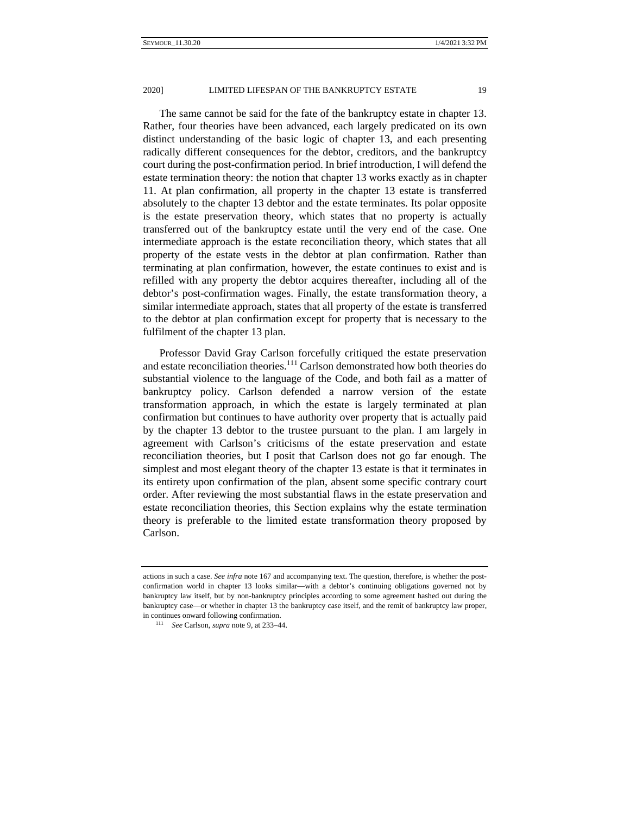The same cannot be said for the fate of the bankruptcy estate in chapter 13. Rather, four theories have been advanced, each largely predicated on its own distinct understanding of the basic logic of chapter 13, and each presenting radically different consequences for the debtor, creditors, and the bankruptcy court during the post-confirmation period. In brief introduction, I will defend the estate termination theory: the notion that chapter 13 works exactly as in chapter 11. At plan confirmation, all property in the chapter 13 estate is transferred absolutely to the chapter 13 debtor and the estate terminates. Its polar opposite is the estate preservation theory, which states that no property is actually transferred out of the bankruptcy estate until the very end of the case. One intermediate approach is the estate reconciliation theory, which states that all property of the estate vests in the debtor at plan confirmation. Rather than terminating at plan confirmation, however, the estate continues to exist and is refilled with any property the debtor acquires thereafter, including all of the debtor's post-confirmation wages. Finally, the estate transformation theory, a similar intermediate approach, states that all property of the estate is transferred to the debtor at plan confirmation except for property that is necessary to the fulfilment of the chapter 13 plan.

Professor David Gray Carlson forcefully critiqued the estate preservation and estate reconciliation theories.111 Carlson demonstrated how both theories do substantial violence to the language of the Code, and both fail as a matter of bankruptcy policy. Carlson defended a narrow version of the estate transformation approach, in which the estate is largely terminated at plan confirmation but continues to have authority over property that is actually paid by the chapter 13 debtor to the trustee pursuant to the plan. I am largely in agreement with Carlson's criticisms of the estate preservation and estate reconciliation theories, but I posit that Carlson does not go far enough. The simplest and most elegant theory of the chapter 13 estate is that it terminates in its entirety upon confirmation of the plan, absent some specific contrary court order. After reviewing the most substantial flaws in the estate preservation and estate reconciliation theories, this Section explains why the estate termination theory is preferable to the limited estate transformation theory proposed by Carlson.

actions in such a case. *See infra* note 167 and accompanying text. The question, therefore, is whether the postconfirmation world in chapter 13 looks similar—with a debtor's continuing obligations governed not by bankruptcy law itself, but by non-bankruptcy principles according to some agreement hashed out during the bankruptcy case—or whether in chapter 13 the bankruptcy case itself, and the remit of bankruptcy law proper, in continues onward following confirmation. 111 *See* Carlson, *supra* note 9, at 233–44.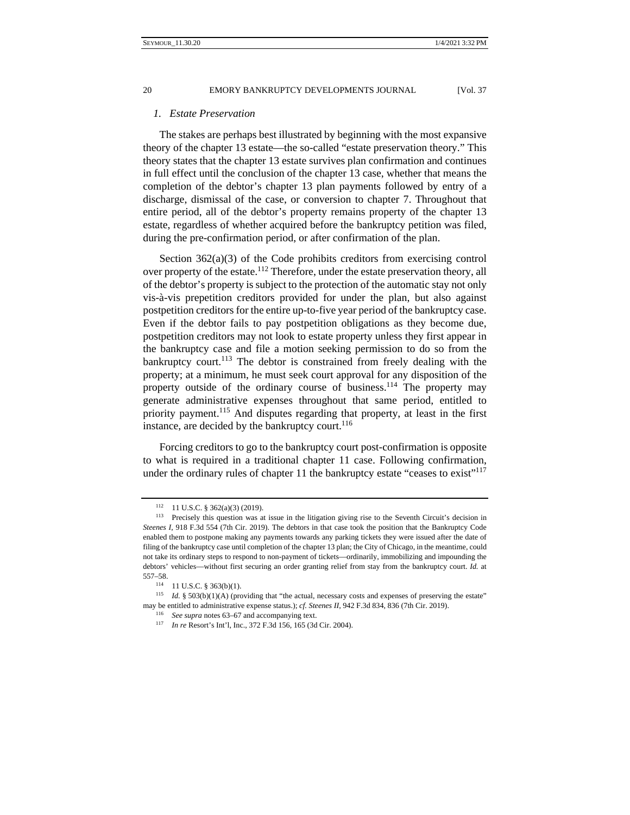## *1. Estate Preservation*

The stakes are perhaps best illustrated by beginning with the most expansive theory of the chapter 13 estate—the so-called "estate preservation theory." This theory states that the chapter 13 estate survives plan confirmation and continues in full effect until the conclusion of the chapter 13 case, whether that means the completion of the debtor's chapter 13 plan payments followed by entry of a discharge, dismissal of the case, or conversion to chapter 7. Throughout that entire period, all of the debtor's property remains property of the chapter 13 estate, regardless of whether acquired before the bankruptcy petition was filed, during the pre-confirmation period, or after confirmation of the plan.

Section 362(a)(3) of the Code prohibits creditors from exercising control over property of the estate.<sup>112</sup> Therefore, under the estate preservation theory, all of the debtor's property is subject to the protection of the automatic stay not only vis-à-vis prepetition creditors provided for under the plan, but also against postpetition creditors for the entire up-to-five year period of the bankruptcy case. Even if the debtor fails to pay postpetition obligations as they become due, postpetition creditors may not look to estate property unless they first appear in the bankruptcy case and file a motion seeking permission to do so from the bankruptcy court.<sup>113</sup> The debtor is constrained from freely dealing with the property; at a minimum, he must seek court approval for any disposition of the property outside of the ordinary course of business.<sup>114</sup> The property may generate administrative expenses throughout that same period, entitled to priority payment.<sup>115</sup> And disputes regarding that property, at least in the first instance, are decided by the bankruptcy court. $116$ 

Forcing creditors to go to the bankruptcy court post-confirmation is opposite to what is required in a traditional chapter 11 case. Following confirmation, under the ordinary rules of chapter 11 the bankruptcy estate "ceases to exist"<sup>117</sup>

<sup>&</sup>lt;sup>112</sup> 11 U.S.C. § 362(a)(3) (2019).<br><sup>113</sup> Precisely this question was at issue in the litigation giving rise to the Seventh Circuit's decision in *Steenes I*, 918 F.3d 554 (7th Cir. 2019). The debtors in that case took the position that the Bankruptcy Code enabled them to postpone making any payments towards any parking tickets they were issued after the date of filing of the bankruptcy case until completion of the chapter 13 plan; the City of Chicago, in the meantime, could not take its ordinary steps to respond to non-payment of tickets—ordinarily, immobilizing and impounding the debtors' vehicles—without first securing an order granting relief from stay from the bankruptcy court. *Id.* at 557–58.<br><sup>114</sup> 11 U.S.C. § 363(b)(1).<br><sup>115</sup> *Id.* § 503(b)(1)(A) (providing that "the actual, necessary costs and expenses of preserving the estate"

may be entitled to administrative expense status.); *cf. Steenes II*, 942 F.3d 834, 836 (7th Cir. 2019).<br><sup>116</sup> See supra notes 63–67 and accompanying text.<br><sup>117</sup> In re Resort's Int'l, Inc., 372 F.3d 156, 165 (3d Cir. 2004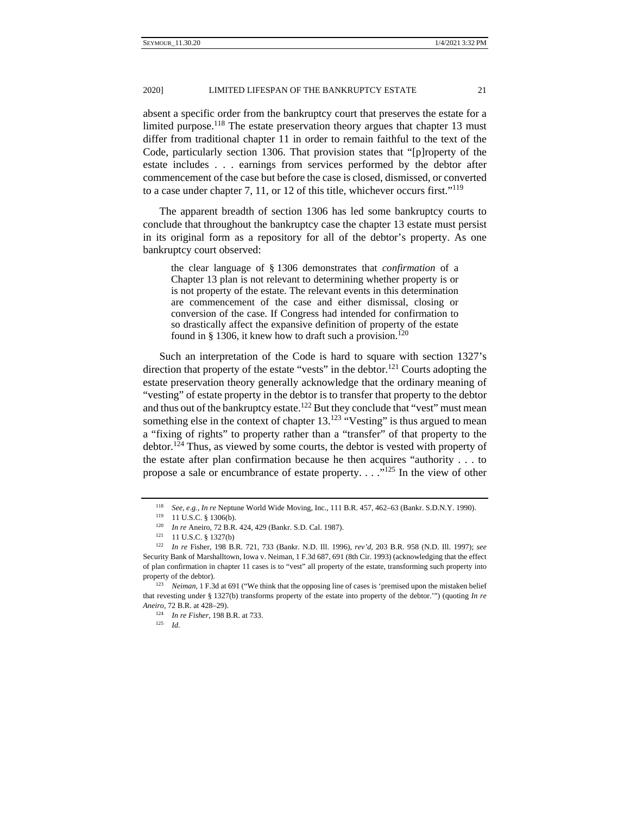absent a specific order from the bankruptcy court that preserves the estate for a limited purpose.<sup>118</sup> The estate preservation theory argues that chapter 13 must differ from traditional chapter 11 in order to remain faithful to the text of the Code, particularly section 1306. That provision states that "[p]roperty of the estate includes . . . earnings from services performed by the debtor after commencement of the case but before the case is closed, dismissed, or converted to a case under chapter 7, 11, or 12 of this title, whichever occurs first."119

The apparent breadth of section 1306 has led some bankruptcy courts to conclude that throughout the bankruptcy case the chapter 13 estate must persist in its original form as a repository for all of the debtor's property. As one bankruptcy court observed:

the clear language of § 1306 demonstrates that *confirmation* of a Chapter 13 plan is not relevant to determining whether property is or is not property of the estate. The relevant events in this determination are commencement of the case and either dismissal, closing or conversion of the case. If Congress had intended for confirmation to so drastically affect the expansive definition of property of the estate found in § 1306, it knew how to draft such a provision.<sup>120</sup>

Such an interpretation of the Code is hard to square with section 1327's direction that property of the estate "vests" in the debtor.<sup>121</sup> Courts adopting the estate preservation theory generally acknowledge that the ordinary meaning of "vesting" of estate property in the debtor is to transfer that property to the debtor and thus out of the bankruptcy estate.<sup>122</sup> But they conclude that "vest" must mean something else in the context of chapter  $13.^{123}$  "Vesting" is thus argued to mean a "fixing of rights" to property rather than a "transfer" of that property to the debtor.<sup>124</sup> Thus, as viewed by some courts, the debtor is vested with property of the estate after plan confirmation because he then acquires "authority . . . to propose a sale or encumbrance of estate property. . . ."125 In the view of other

<sup>&</sup>lt;sup>118</sup> *See, e.g., In re* Neptune World Wide Moving, Inc., 111 B.R. 457, 462–63 (Bankr. S.D.N.Y. 1990).<br><sup>119</sup> 11 U.S.C. § 1306(b).<br><sup>120</sup> *In re* Aneiro, 72 B.R. 424, 429 (Bankr. S.D. Cal. 1987).<br><sup>121</sup> 11 U.S.C. § 1327(b)<br><sup></sup>

Security Bank of Marshalltown, Iowa v. Neiman, 1 F.3d 687, 691 (8th Cir. 1993) (acknowledging that the effect of plan confirmation in chapter 11 cases is to "vest" all property of the estate, transforming such property into property of the debtor).<br><sup>123</sup> *Neiman*, 1 F.3d at 691 ("We think that the opposing line of cases is 'premised upon the mistaken belief

that revesting under § 1327(b) transforms property of the estate into property of the debtor.'") (quoting *In re Aneiro*, 72 B.R. at 428–29). 124 *In re Fisher*, 198 B.R. at 733. 125 *Id.*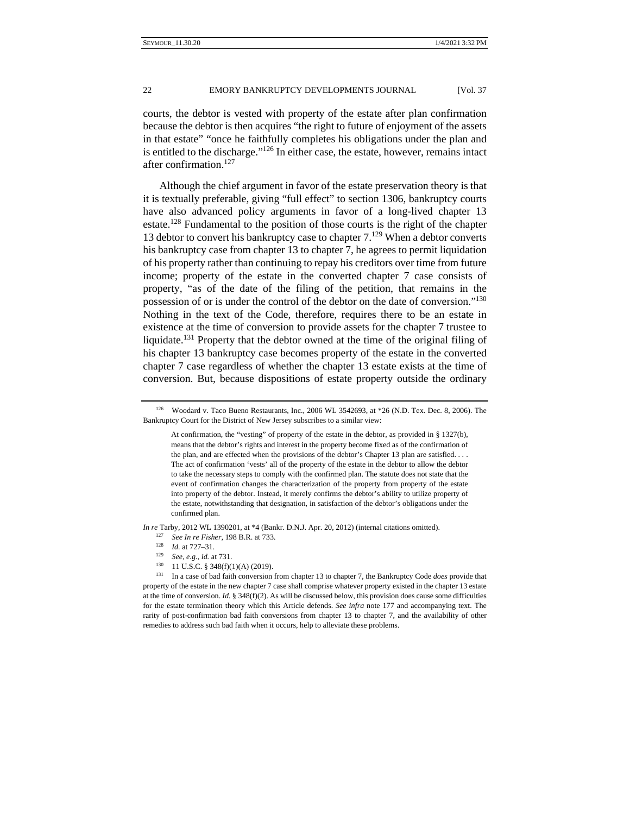courts, the debtor is vested with property of the estate after plan confirmation because the debtor is then acquires "the right to future of enjoyment of the assets in that estate" "once he faithfully completes his obligations under the plan and is entitled to the discharge."126 In either case, the estate, however, remains intact after confirmation.127

Although the chief argument in favor of the estate preservation theory is that it is textually preferable, giving "full effect" to section 1306, bankruptcy courts have also advanced policy arguments in favor of a long-lived chapter 13 estate.<sup>128</sup> Fundamental to the position of those courts is the right of the chapter 13 debtor to convert his bankruptcy case to chapter  $7.^{129}$  When a debtor converts his bankruptcy case from chapter 13 to chapter 7, he agrees to permit liquidation of his property rather than continuing to repay his creditors over time from future income; property of the estate in the converted chapter 7 case consists of property, "as of the date of the filing of the petition, that remains in the possession of or is under the control of the debtor on the date of conversion."130 Nothing in the text of the Code, therefore, requires there to be an estate in existence at the time of conversion to provide assets for the chapter 7 trustee to liquidate.131 Property that the debtor owned at the time of the original filing of his chapter 13 bankruptcy case becomes property of the estate in the converted chapter 7 case regardless of whether the chapter 13 estate exists at the time of conversion. But, because dispositions of estate property outside the ordinary

*In re* Tarby, 2012 WL 1390201, at \*4 (Bankr. D.N.J. Apr. 20, 2012) (internal citations omitted).

- <sup>127</sup> *See In re Fisher*, 198 B.R. at 733. 128 *Id.* at 727–31.
- 
- 
- 

<sup>126</sup> Woodard v. Taco Bueno Restaurants, Inc., 2006 WL 3542693, at \*26 (N.D. Tex. Dec. 8, 2006). The Bankruptcy Court for the District of New Jersey subscribes to a similar view:

At confirmation, the "vesting" of property of the estate in the debtor, as provided in § 1327(b), means that the debtor's rights and interest in the property become fixed as of the confirmation of the plan, and are effected when the provisions of the debtor's Chapter 13 plan are satisfied. . . . The act of confirmation 'vests' all of the property of the estate in the debtor to allow the debtor to take the necessary steps to comply with the confirmed plan. The statute does not state that the event of confirmation changes the characterization of the property from property of the estate into property of the debtor. Instead, it merely confirms the debtor's ability to utilize property of the estate, notwithstanding that designation, in satisfaction of the debtor's obligations under the confirmed plan.

<sup>&</sup>lt;sup>130</sup> 11 U.S.C. § 348(f)(1)(A) (2019).<br><sup>131</sup> In a case of bad faith conversion from chapter 13 to chapter 7, the Bankruptcy Code *does* provide that property of the estate in the new chapter 7 case shall comprise whatever property existed in the chapter 13 estate at the time of conversion. *Id.* § 348(f)(2). As will be discussed below, this provision does cause some difficulties for the estate termination theory which this Article defends. *See infra* note 177 and accompanying text. The rarity of post-confirmation bad faith conversions from chapter 13 to chapter 7, and the availability of other remedies to address such bad faith when it occurs, help to alleviate these problems.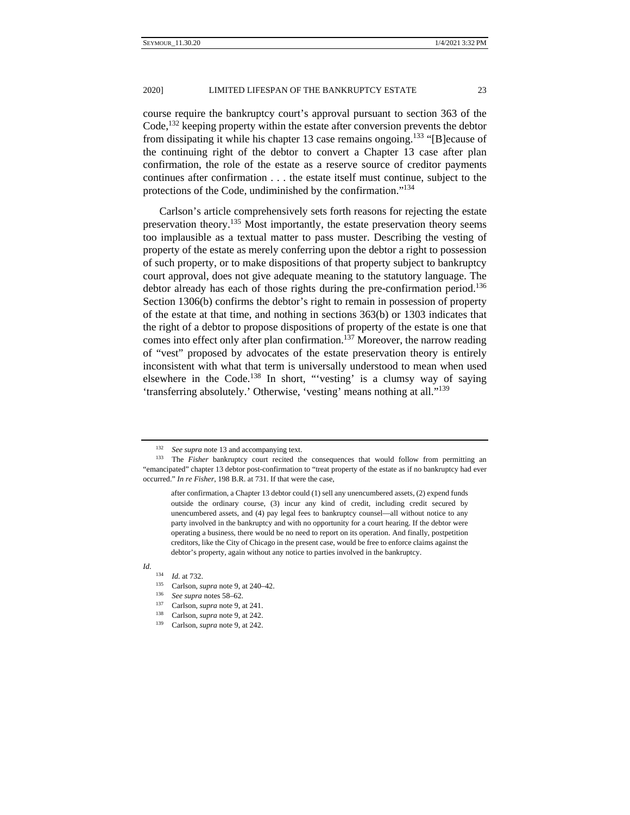protections of the Code, undiminished by the confirmation."134

course require the bankruptcy court's approval pursuant to section 363 of the Code,<sup>132</sup> keeping property within the estate after conversion prevents the debtor from dissipating it while his chapter 13 case remains ongoing.<sup>133</sup> "[B] ecause of the continuing right of the debtor to convert a Chapter 13 case after plan confirmation, the role of the estate as a reserve source of creditor payments continues after confirmation . . . the estate itself must continue, subject to the

Carlson's article comprehensively sets forth reasons for rejecting the estate preservation theory.<sup>135</sup> Most importantly, the estate preservation theory seems too implausible as a textual matter to pass muster. Describing the vesting of property of the estate as merely conferring upon the debtor a right to possession of such property, or to make dispositions of that property subject to bankruptcy court approval, does not give adequate meaning to the statutory language. The debtor already has each of those rights during the pre-confirmation period.<sup>136</sup> Section 1306(b) confirms the debtor's right to remain in possession of property of the estate at that time, and nothing in sections 363(b) or 1303 indicates that the right of a debtor to propose dispositions of property of the estate is one that comes into effect only after plan confirmation.<sup>137</sup> Moreover, the narrow reading of "vest" proposed by advocates of the estate preservation theory is entirely inconsistent with what that term is universally understood to mean when used elsewhere in the Code.<sup>138</sup> In short, "vesting' is a clumsy way of saying 'transferring absolutely.' Otherwise, 'vesting' means nothing at all."139

*Id*.

<sup>&</sup>lt;sup>132</sup> *See supra* note 13 and accompanying text.<br><sup>133</sup> The *Fisher* bankruptcy court recited the consequences that would follow from permitting an "emancipated" chapter 13 debtor post-confirmation to "treat property of the estate as if no bankruptcy had ever occurred." *In re Fisher*, 198 B.R. at 731. If that were the case,

after confirmation, a Chapter 13 debtor could (1) sell any unencumbered assets, (2) expend funds outside the ordinary course, (3) incur any kind of credit, including credit secured by unencumbered assets, and (4) pay legal fees to bankruptcy counsel—all without notice to any party involved in the bankruptcy and with no opportunity for a court hearing. If the debtor were operating a business, there would be no need to report on its operation. And finally, postpetition creditors, like the City of Chicago in the present case, would be free to enforce claims against the debtor's property, again without any notice to parties involved in the bankruptcy.

<sup>&</sup>lt;sup>134</sup> *Id.* at 732.<br>
<sup>135</sup> Carlson, *supra* note 9, at 240–42.<br>
<sup>136</sup> *See supra* notes 58–62.<br>
<sup>137</sup> Carlson, *supra* note 9, at 241.<br>
<sup>138</sup> Carlson, *supra* note 9, at 242.<br>
<sup>139</sup> Carlson, *supra* note 9, at 242.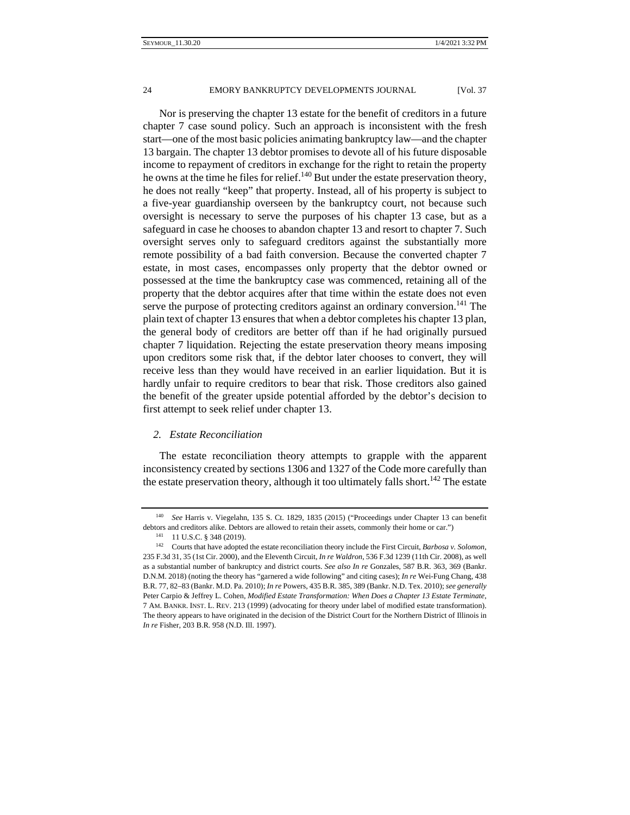Nor is preserving the chapter 13 estate for the benefit of creditors in a future chapter 7 case sound policy. Such an approach is inconsistent with the fresh start—one of the most basic policies animating bankruptcy law—and the chapter 13 bargain. The chapter 13 debtor promises to devote all of his future disposable income to repayment of creditors in exchange for the right to retain the property he owns at the time he files for relief.<sup>140</sup> But under the estate preservation theory, he does not really "keep" that property. Instead, all of his property is subject to a five-year guardianship overseen by the bankruptcy court, not because such oversight is necessary to serve the purposes of his chapter 13 case, but as a safeguard in case he chooses to abandon chapter 13 and resort to chapter 7. Such oversight serves only to safeguard creditors against the substantially more remote possibility of a bad faith conversion. Because the converted chapter 7 estate, in most cases, encompasses only property that the debtor owned or possessed at the time the bankruptcy case was commenced, retaining all of the property that the debtor acquires after that time within the estate does not even serve the purpose of protecting creditors against an ordinary conversion.<sup>141</sup> The plain text of chapter 13 ensures that when a debtor completes his chapter 13 plan, the general body of creditors are better off than if he had originally pursued chapter 7 liquidation. Rejecting the estate preservation theory means imposing upon creditors some risk that, if the debtor later chooses to convert, they will receive less than they would have received in an earlier liquidation. But it is hardly unfair to require creditors to bear that risk. Those creditors also gained the benefit of the greater upside potential afforded by the debtor's decision to first attempt to seek relief under chapter 13.

## *2. Estate Reconciliation*

The estate reconciliation theory attempts to grapple with the apparent inconsistency created by sections 1306 and 1327 of the Code more carefully than the estate preservation theory, although it too ultimately falls short.<sup>142</sup> The estate

<sup>140</sup> *See* Harris v. Viegelahn, 135 S. Ct. 1829, 1835 (2015) ("Proceedings under Chapter 13 can benefit debtors and creditors alike. Debtors are allowed to retain their assets, commonly their home or car.")<br><sup>141</sup> 11 U.S.C. § 348 (2019).<br><sup>142</sup> Courts that have adopted the estate reconciliation theory include the First Circuit

<sup>235</sup> F.3d 31, 35 (1st Cir. 2000), and the Eleventh Circuit, *In re Waldron*, 536 F.3d 1239 (11th Cir. 2008), as well as a substantial number of bankruptcy and district courts. *See also In re* Gonzales, 587 B.R. 363, 369 (Bankr. D.N.M. 2018) (noting the theory has "garnered a wide following" and citing cases); *In re* Wei-Fung Chang, 438 B.R. 77, 82–83 (Bankr. M.D. Pa. 2010); *In re* Powers, 435 B.R. 385, 389 (Bankr. N.D. Tex. 2010); *see generally* Peter Carpio & Jeffrey L. Cohen, *Modified Estate Transformation: When Does a Chapter 13 Estate Terminate*, 7 AM. BANKR. INST. L. REV. 213 (1999) (advocating for theory under label of modified estate transformation). The theory appears to have originated in the decision of the District Court for the Northern District of Illinois in *In re* Fisher, 203 B.R. 958 (N.D. Ill. 1997).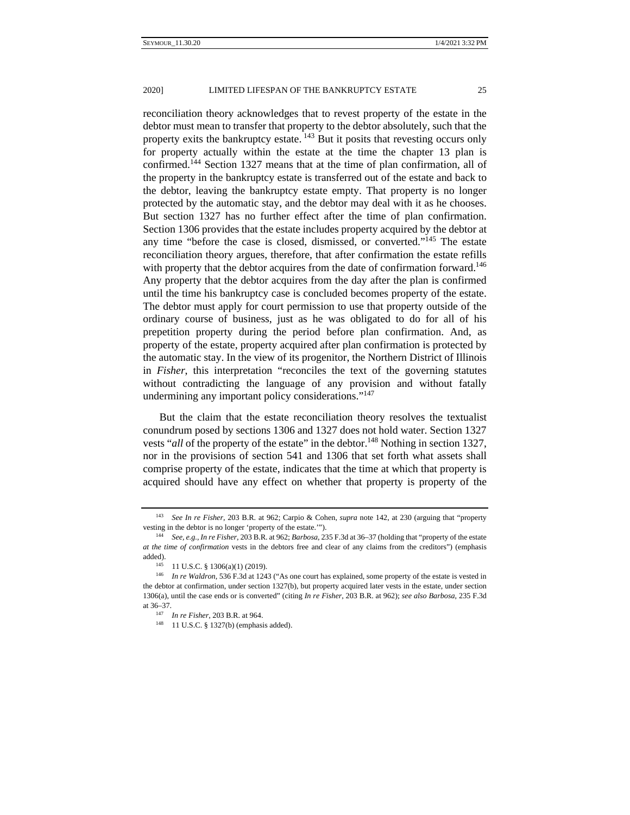reconciliation theory acknowledges that to revest property of the estate in the debtor must mean to transfer that property to the debtor absolutely, such that the property exits the bankruptcy estate. <sup>143</sup> But it posits that revesting occurs only for property actually within the estate at the time the chapter 13 plan is confirmed.144 Section 1327 means that at the time of plan confirmation, all of the property in the bankruptcy estate is transferred out of the estate and back to the debtor, leaving the bankruptcy estate empty. That property is no longer protected by the automatic stay, and the debtor may deal with it as he chooses. But section 1327 has no further effect after the time of plan confirmation. Section 1306 provides that the estate includes property acquired by the debtor at any time "before the case is closed, dismissed, or converted."145 The estate reconciliation theory argues, therefore, that after confirmation the estate refills with property that the debtor acquires from the date of confirmation forward.<sup>146</sup> Any property that the debtor acquires from the day after the plan is confirmed until the time his bankruptcy case is concluded becomes property of the estate. The debtor must apply for court permission to use that property outside of the ordinary course of business, just as he was obligated to do for all of his prepetition property during the period before plan confirmation. And, as property of the estate, property acquired after plan confirmation is protected by the automatic stay. In the view of its progenitor, the Northern District of Illinois in *Fisher*, this interpretation "reconciles the text of the governing statutes without contradicting the language of any provision and without fatally undermining any important policy considerations."<sup>147</sup>

But the claim that the estate reconciliation theory resolves the textualist conundrum posed by sections 1306 and 1327 does not hold water. Section 1327 vests "*all* of the property of the estate" in the debtor.<sup>148</sup> Nothing in section 1327, nor in the provisions of section 541 and 1306 that set forth what assets shall comprise property of the estate, indicates that the time at which that property is acquired should have any effect on whether that property is property of the

<sup>143</sup> *See In re Fisher*, 203 B.R. at 962; Carpio & Cohen, *supra* note 142, at 230 (arguing that "property vesting in the debtor is no longer 'property of the estate.'"). 144 *See, e.g.*, *In re Fisher*, 203 B.R. at 962; *Barbosa*, 235 F.3d at 36–37 (holding that "property of the estate

*at the time of confirmation* vests in the debtors free and clear of any claims from the creditors") (emphasis added).<br><sup>145</sup> 11 U.S.C. § 1306(a)(1) (2019).<br><sup>146</sup> *In re Waldron*, 536 F.3d at 1243 ("As one court has explained, some property of the estate is vested in

the debtor at confirmation, under section 1327(b), but property acquired later vests in the estate, under section 1306(a), until the case ends or is converted" (citing *In re Fisher*, 203 B.R. at 962); *see also Barbosa*, 235 F.3d at 36–37. 147 *In re Fisher*, 203 B.R. at 964. 148 11 U.S.C. § 1327(b) (emphasis added).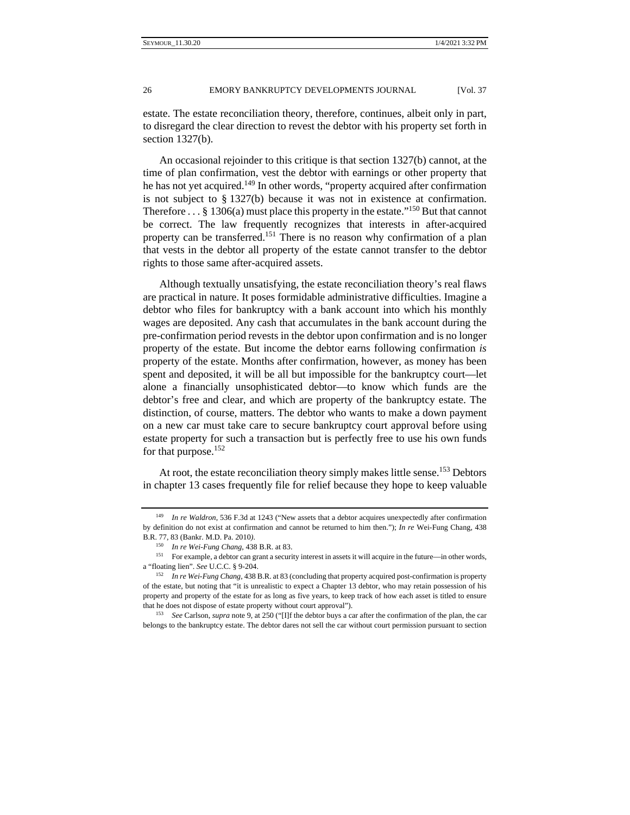estate. The estate reconciliation theory, therefore, continues, albeit only in part, to disregard the clear direction to revest the debtor with his property set forth in section 1327(b).

An occasional rejoinder to this critique is that section 1327(b) cannot, at the time of plan confirmation, vest the debtor with earnings or other property that he has not yet acquired.<sup>149</sup> In other words, "property acquired after confirmation is not subject to § 1327(b) because it was not in existence at confirmation. Therefore  $\dots$  § 1306(a) must place this property in the estate."<sup>150</sup> But that cannot be correct. The law frequently recognizes that interests in after-acquired property can be transferred.<sup>151</sup> There is no reason why confirmation of a plan that vests in the debtor all property of the estate cannot transfer to the debtor rights to those same after-acquired assets.

Although textually unsatisfying, the estate reconciliation theory's real flaws are practical in nature. It poses formidable administrative difficulties. Imagine a debtor who files for bankruptcy with a bank account into which his monthly wages are deposited. Any cash that accumulates in the bank account during the pre-confirmation period revests in the debtor upon confirmation and is no longer property of the estate. But income the debtor earns following confirmation *is*  property of the estate. Months after confirmation, however, as money has been spent and deposited, it will be all but impossible for the bankruptcy court—let alone a financially unsophisticated debtor—to know which funds are the debtor's free and clear, and which are property of the bankruptcy estate. The distinction, of course, matters. The debtor who wants to make a down payment on a new car must take care to secure bankruptcy court approval before using estate property for such a transaction but is perfectly free to use his own funds for that purpose.<sup>152</sup>

At root, the estate reconciliation theory simply makes little sense.<sup>153</sup> Debtors in chapter 13 cases frequently file for relief because they hope to keep valuable

In re Waldron, 536 F.3d at 1243 ("New assets that a debtor acquires unexpectedly after confirmation by definition do not exist at confirmation and cannot be returned to him then."); *In re* Wei-Fung Chang, 438

B.R. 77, 83 (Bankr. M.D. Pa. 2010).<br><sup>150</sup> *In re Wei-Fung Chang*, 438 B.R. at 83.<br><sup>151</sup> For example, a debtor can grant a security interest in assets it will acquire in the future—in other words, a "floating lien". *See* U.C.C. § 9-204. 152 *In re Wei-Fung Chang,* 438 B.R. at 83 (concluding that property acquired post-confirmation is property

of the estate, but noting that "it is unrealistic to expect a Chapter 13 debtor, who may retain possession of his property and property of the estate for as long as five years, to keep track of how each asset is titled to ensure that he does not dispose of estate property without court approval"). 153 *See* Carlson, *supra* note 9, at 250 ("[I]f the debtor buys a car after the confirmation of the plan, the car

belongs to the bankruptcy estate. The debtor dares not sell the car without court permission pursuant to section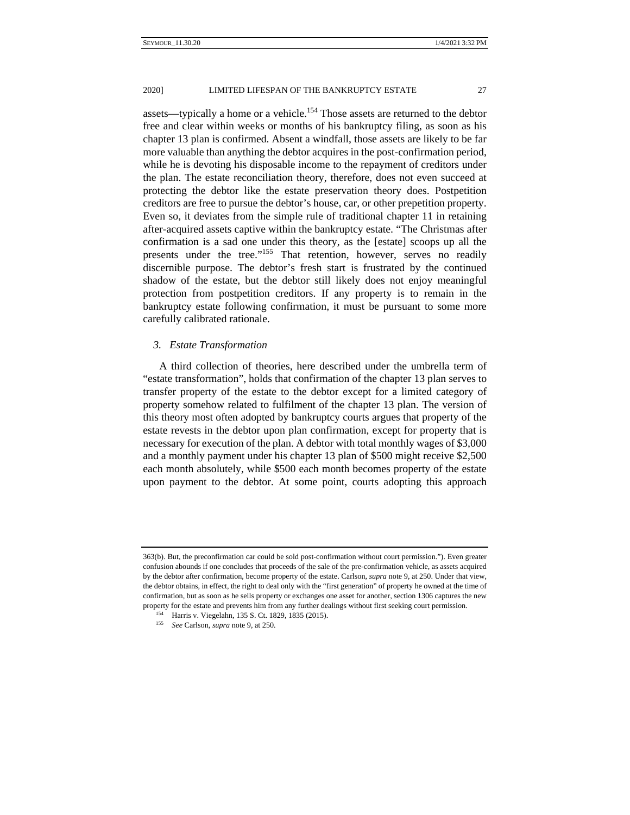assets—typically a home or a vehicle.<sup>154</sup> Those assets are returned to the debtor free and clear within weeks or months of his bankruptcy filing, as soon as his chapter 13 plan is confirmed. Absent a windfall, those assets are likely to be far more valuable than anything the debtor acquires in the post-confirmation period, while he is devoting his disposable income to the repayment of creditors under the plan. The estate reconciliation theory, therefore, does not even succeed at protecting the debtor like the estate preservation theory does. Postpetition creditors are free to pursue the debtor's house, car, or other prepetition property. Even so, it deviates from the simple rule of traditional chapter 11 in retaining after-acquired assets captive within the bankruptcy estate. "The Christmas after confirmation is a sad one under this theory, as the [estate] scoops up all the presents under the tree."155 That retention, however, serves no readily discernible purpose. The debtor's fresh start is frustrated by the continued shadow of the estate, but the debtor still likely does not enjoy meaningful protection from postpetition creditors. If any property is to remain in the bankruptcy estate following confirmation, it must be pursuant to some more carefully calibrated rationale.

## *3. Estate Transformation*

A third collection of theories, here described under the umbrella term of "estate transformation", holds that confirmation of the chapter 13 plan serves to transfer property of the estate to the debtor except for a limited category of property somehow related to fulfilment of the chapter 13 plan. The version of this theory most often adopted by bankruptcy courts argues that property of the estate revests in the debtor upon plan confirmation, except for property that is necessary for execution of the plan. A debtor with total monthly wages of \$3,000 and a monthly payment under his chapter 13 plan of \$500 might receive \$2,500 each month absolutely, while \$500 each month becomes property of the estate upon payment to the debtor. At some point, courts adopting this approach

<sup>363(</sup>b). But, the preconfirmation car could be sold post-confirmation without court permission."). Even greater confusion abounds if one concludes that proceeds of the sale of the pre-confirmation vehicle, as assets acquired by the debtor after confirmation, become property of the estate. Carlson, *supra* note 9, at 250. Under that view, the debtor obtains, in effect, the right to deal only with the "first generation" of property he owned at the time of confirmation, but as soon as he sells property or exchanges one asset for another, section 1306 captures the new property for the estate and prevents him from any further dealings without first seeking court permission. 154 Harris v. Viegelahn, 135 S. Ct. 1829, 1835 (2015). 155 *See* Carlson, *supra* note 9, at 250.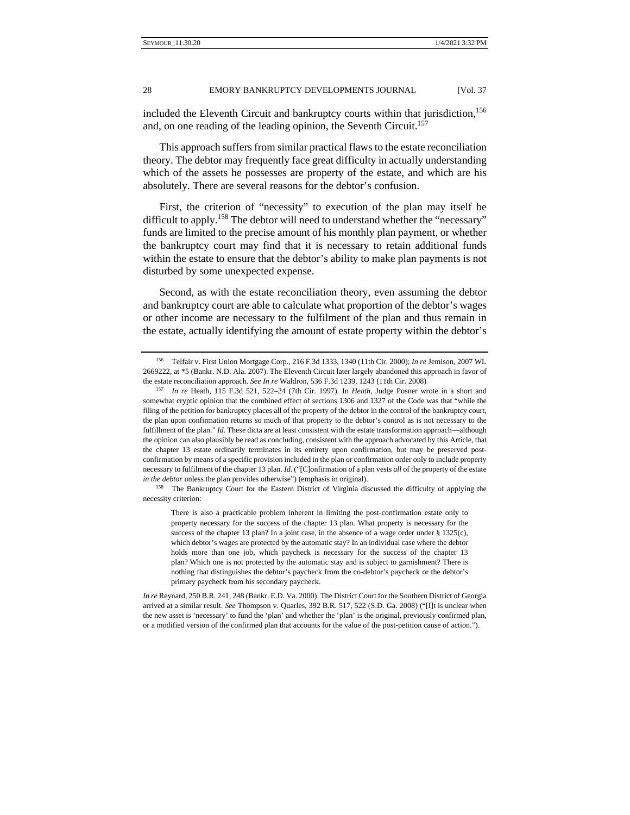included the Eleventh Circuit and bankruptcy courts within that jurisdiction, $156$ and, on one reading of the leading opinion, the Seventh Circuit.<sup>157</sup>

This approach suffers from similar practical flaws to the estate reconciliation theory. The debtor may frequently face great difficulty in actually understanding which of the assets he possesses are property of the estate, and which are his absolutely. There are several reasons for the debtor's confusion.

First, the criterion of "necessity" to execution of the plan may itself be difficult to apply.<sup>158</sup> The debtor will need to understand whether the "necessary" funds are limited to the precise amount of his monthly plan payment, or whether the bankruptcy court may find that it is necessary to retain additional funds within the estate to ensure that the debtor's ability to make plan payments is not disturbed by some unexpected expense.

Second, as with the estate reconciliation theory, even assuming the debtor and bankruptcy court are able to calculate what proportion of the debtor's wages or other income are necessary to the fulfilment of the plan and thus remain in the estate, actually identifying the amount of estate property within the debtor's

<sup>156</sup> Telfair v. First Union Mortgage Corp., 216 F.3d 1333, 1340 (11th Cir. 2000); *In re* Jemison, 2007 WL 2669222, at \*5 (Bankr. N.D. Ala. 2007). The Eleventh Circuit later largely abandoned this approach in favor of the estate reconciliation approach. *See In re* Waldron, 536 F.3d 1239, 1243 (11th Cir. 2008) 157 *In re* Heath, 115 F.3d 521, 522–24 (7th Cir. 1997). In *Heath*, Judge Posner wrote in a short and

somewhat cryptic opinion that the combined effect of sections 1306 and 1327 of the Code was that "while the filing of the petition for bankruptcy places all of the property of the debtor in the control of the bankruptcy court, the plan upon confirmation returns so much of that property to the debtor's control as is not necessary to the fulfillment of the plan." *Id.* These dicta are at least consistent with the estate transformation approach—although the opinion can also plausibly be read as concluding, consistent with the approach advocated by this Article, that the chapter 13 estate ordinarily terminates in its entirety upon confirmation, but may be preserved postconfirmation by means of a specific provision included in the plan or confirmation order only to include property necessary to fulfilment of the chapter 13 plan. *Id.* ("[C]onfirmation of a plan vests *all* of the property of the estate *in the debtor* unless the plan provides otherwise") (emphasis in original).<br><sup>158</sup> The Bankruptcy Court for the Eastern District of Virginia discussed the difficulty of applying the

necessity criterion:

There is also a practicable problem inherent in limiting the post-confirmation estate only to property necessary for the success of the chapter 13 plan. What property is necessary for the success of the chapter 13 plan? In a joint case, in the absence of a wage order under § 1325(c), which debtor's wages are protected by the automatic stay? In an individual case where the debtor holds more than one job, which paycheck is necessary for the success of the chapter 13 plan? Which one is not protected by the automatic stay and is subject to garnishment? There is nothing that distinguishes the debtor's paycheck from the co-debtor's paycheck or the debtor's primary paycheck from his secondary paycheck.

*In re* Reynard, 250 B.R. 241, 248 (Bankr. E.D. Va. 2000). The District Court for the Southern District of Georgia arrived at a similar result. *See* Thompson v. Quarles, 392 B.R. 517, 522 (S.D. Ga. 2008) ("[I]t is unclear when the new asset is 'necessary' to fund the 'plan' and whether the 'plan' is the original, previously confirmed plan, or a modified version of the confirmed plan that accounts for the value of the post-petition cause of action.").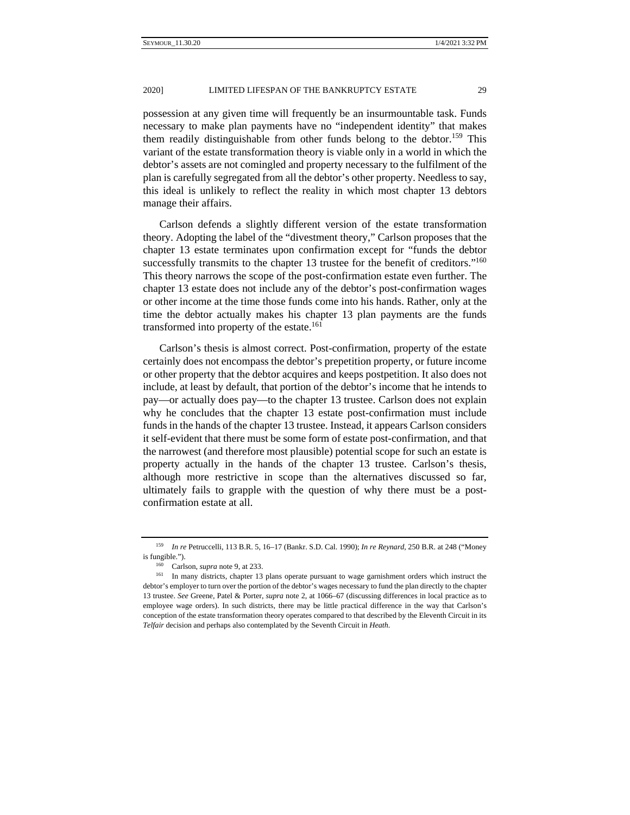#### 2020] LIMITED LIFESPAN OF THE BANKRUPTCY ESTATE 29

possession at any given time will frequently be an insurmountable task. Funds necessary to make plan payments have no "independent identity" that makes them readily distinguishable from other funds belong to the debtor.<sup>159</sup> This variant of the estate transformation theory is viable only in a world in which the debtor's assets are not comingled and property necessary to the fulfilment of the plan is carefully segregated from all the debtor's other property. Needless to say, this ideal is unlikely to reflect the reality in which most chapter 13 debtors manage their affairs.

Carlson defends a slightly different version of the estate transformation theory. Adopting the label of the "divestment theory," Carlson proposes that the chapter 13 estate terminates upon confirmation except for "funds the debtor successfully transmits to the chapter 13 trustee for the benefit of creditors."<sup>160</sup> This theory narrows the scope of the post-confirmation estate even further. The chapter 13 estate does not include any of the debtor's post-confirmation wages or other income at the time those funds come into his hands. Rather, only at the time the debtor actually makes his chapter 13 plan payments are the funds transformed into property of the estate.<sup>161</sup>

Carlson's thesis is almost correct. Post-confirmation, property of the estate certainly does not encompass the debtor's prepetition property, or future income or other property that the debtor acquires and keeps postpetition. It also does not include, at least by default, that portion of the debtor's income that he intends to pay—or actually does pay—to the chapter 13 trustee. Carlson does not explain why he concludes that the chapter 13 estate post-confirmation must include funds in the hands of the chapter 13 trustee. Instead, it appears Carlson considers it self-evident that there must be some form of estate post-confirmation, and that the narrowest (and therefore most plausible) potential scope for such an estate is property actually in the hands of the chapter 13 trustee. Carlson's thesis, although more restrictive in scope than the alternatives discussed so far, ultimately fails to grapple with the question of why there must be a postconfirmation estate at all.

<sup>159</sup> *In re* Petruccelli, 113 B.R. 5, 16–17 (Bankr. S.D. Cal. 1990); *In re Reynard*, 250 B.R. at 248 ("Money

is fungible.").<br><sup>160</sup> Carlson, *supra* note 9, at 233.<br><sup>161</sup> In many districts, chapter 13 plans operate pursuant to wage garnishment orders which instruct the debtor's employer to turn over the portion of the debtor's wages necessary to fund the plan directly to the chapter 13 trustee. *See* Greene, Patel & Porter, *supra* note 2, at 1066–67 (discussing differences in local practice as to employee wage orders). In such districts, there may be little practical difference in the way that Carlson's conception of the estate transformation theory operates compared to that described by the Eleventh Circuit in its *Telfair* decision and perhaps also contemplated by the Seventh Circuit in *Heath*.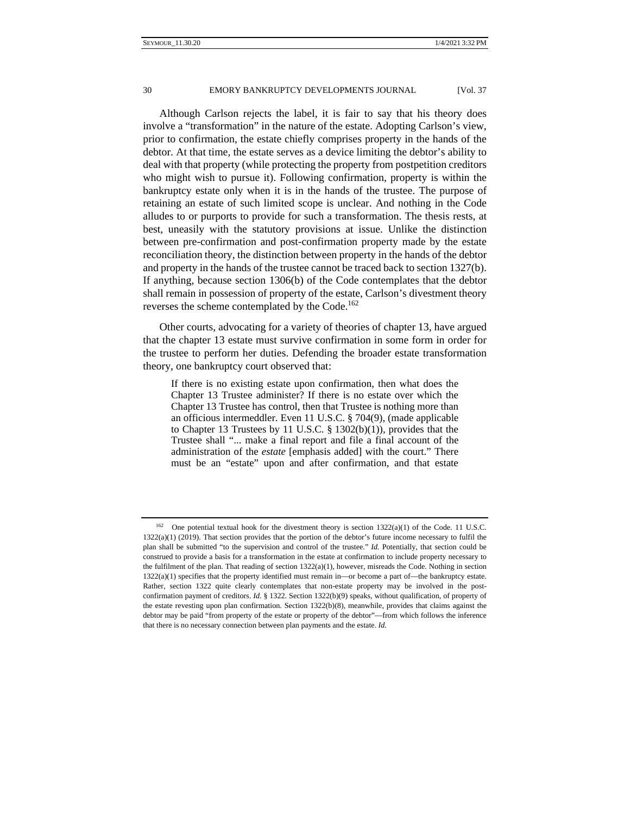Although Carlson rejects the label, it is fair to say that his theory does involve a "transformation" in the nature of the estate. Adopting Carlson's view, prior to confirmation, the estate chiefly comprises property in the hands of the debtor. At that time, the estate serves as a device limiting the debtor's ability to deal with that property (while protecting the property from postpetition creditors who might wish to pursue it). Following confirmation, property is within the bankruptcy estate only when it is in the hands of the trustee. The purpose of retaining an estate of such limited scope is unclear. And nothing in the Code alludes to or purports to provide for such a transformation. The thesis rests, at best, uneasily with the statutory provisions at issue. Unlike the distinction between pre-confirmation and post-confirmation property made by the estate reconciliation theory, the distinction between property in the hands of the debtor and property in the hands of the trustee cannot be traced back to section 1327(b). If anything, because section 1306(b) of the Code contemplates that the debtor shall remain in possession of property of the estate, Carlson's divestment theory reverses the scheme contemplated by the Code.<sup>162</sup>

Other courts, advocating for a variety of theories of chapter 13, have argued that the chapter 13 estate must survive confirmation in some form in order for the trustee to perform her duties. Defending the broader estate transformation theory, one bankruptcy court observed that:

If there is no existing estate upon confirmation, then what does the Chapter 13 Trustee administer? If there is no estate over which the Chapter 13 Trustee has control, then that Trustee is nothing more than an officious intermeddler. Even 11 U.S.C. § 704(9), (made applicable to Chapter 13 Trustees by 11 U.S.C. § 1302(b)(1)), provides that the Trustee shall "... make a final report and file a final account of the administration of the *estate* [emphasis added] with the court." There must be an "estate" upon and after confirmation, and that estate

One potential textual hook for the divestment theory is section  $1322(a)(1)$  of the Code. 11 U.S.C. 1322(a)(1) (2019). That section provides that the portion of the debtor's future income necessary to fulfil the plan shall be submitted "to the supervision and control of the trustee." *Id.* Potentially, that section could be construed to provide a basis for a transformation in the estate at confirmation to include property necessary to the fulfilment of the plan. That reading of section 1322(a)(1), however, misreads the Code. Nothing in section 1322(a)(1) specifies that the property identified must remain in—or become a part of—the bankruptcy estate. Rather, section 1322 quite clearly contemplates that non-estate property may be involved in the postconfirmation payment of creditors. *Id.* § 1322. Section 1322(b)(9) speaks, without qualification, of property of the estate revesting upon plan confirmation. Section 1322(b)(8), meanwhile, provides that claims against the debtor may be paid "from property of the estate or property of the debtor"—from which follows the inference that there is no necessary connection between plan payments and the estate. *Id.*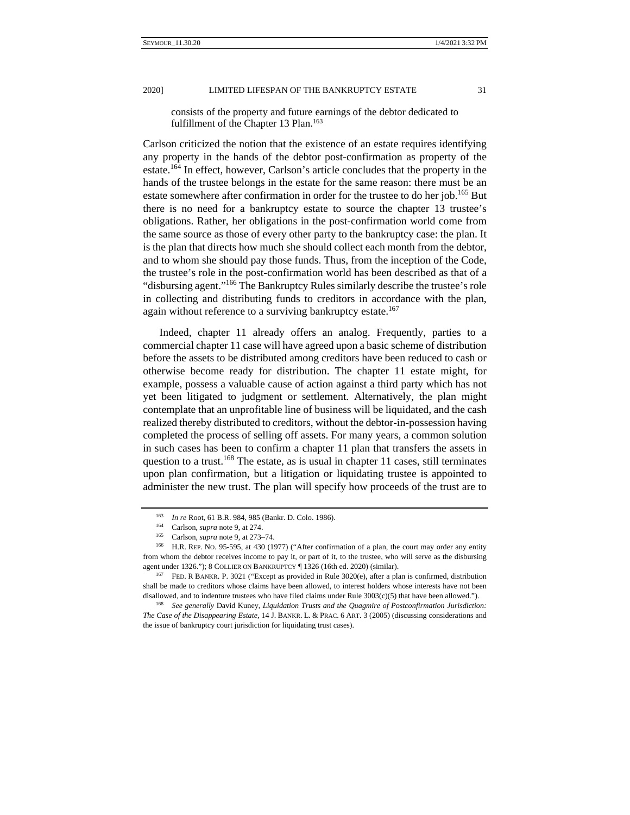consists of the property and future earnings of the debtor dedicated to fulfillment of the Chapter 13 Plan.<sup>163</sup>

Carlson criticized the notion that the existence of an estate requires identifying any property in the hands of the debtor post-confirmation as property of the estate.164 In effect, however, Carlson's article concludes that the property in the hands of the trustee belongs in the estate for the same reason: there must be an estate somewhere after confirmation in order for the trustee to do her job.<sup>165</sup> But there is no need for a bankruptcy estate to source the chapter 13 trustee's obligations. Rather, her obligations in the post-confirmation world come from the same source as those of every other party to the bankruptcy case: the plan. It is the plan that directs how much she should collect each month from the debtor, and to whom she should pay those funds. Thus, from the inception of the Code, the trustee's role in the post-confirmation world has been described as that of a "disbursing agent."166 The Bankruptcy Rules similarly describe the trustee's role in collecting and distributing funds to creditors in accordance with the plan, again without reference to a surviving bankruptcy estate.<sup>167</sup>

Indeed, chapter 11 already offers an analog. Frequently, parties to a commercial chapter 11 case will have agreed upon a basic scheme of distribution before the assets to be distributed among creditors have been reduced to cash or otherwise become ready for distribution. The chapter 11 estate might, for example, possess a valuable cause of action against a third party which has not yet been litigated to judgment or settlement. Alternatively, the plan might contemplate that an unprofitable line of business will be liquidated, and the cash realized thereby distributed to creditors, without the debtor-in-possession having completed the process of selling off assets. For many years, a common solution in such cases has been to confirm a chapter 11 plan that transfers the assets in question to a trust.<sup>168</sup> The estate, as is usual in chapter 11 cases, still terminates upon plan confirmation, but a litigation or liquidating trustee is appointed to administer the new trust. The plan will specify how proceeds of the trust are to

<sup>&</sup>lt;sup>163</sup> *In re* Root, 61 B.R. 984, 985 (Bankr. D. Colo. 1986).<br>
<sup>164</sup> Carlson, *supra* note 9, at 274.<br>
<sup>165</sup> Carlson, *supra* note 9, at 273–74.<br>
<sup>165</sup> H.R. REP. NO. 95-595, at 430 (1977) ("After confirmation of a plan, th from whom the debtor receives income to pay it, or part of it, to the trustee, who will serve as the disbursing agent under 1326."); 8 COLLIER ON BANKRUPTCY ¶ 1326 (16th ed. 2020) (similar).<br><sup>167</sup> FED. R BANKR. P. 3021 ("Except as provided in Rule 3020(e), after a plan is confirmed, distribution

shall be made to creditors whose claims have been allowed, to interest holders whose interests have not been disallowed, and to indenture trustees who have filed claims under Rule 3003(c)(5) that have been allowed."). 168 *See generally* David Kuney, *Liquidation Trusts and the Quagmire of Postconfirmation Jurisdiction:* 

*The Case of the Disappearing Estate*, 14 J. BANKR. L. & PRAC. 6 ART. 3 (2005) (discussing considerations and the issue of bankruptcy court jurisdiction for liquidating trust cases).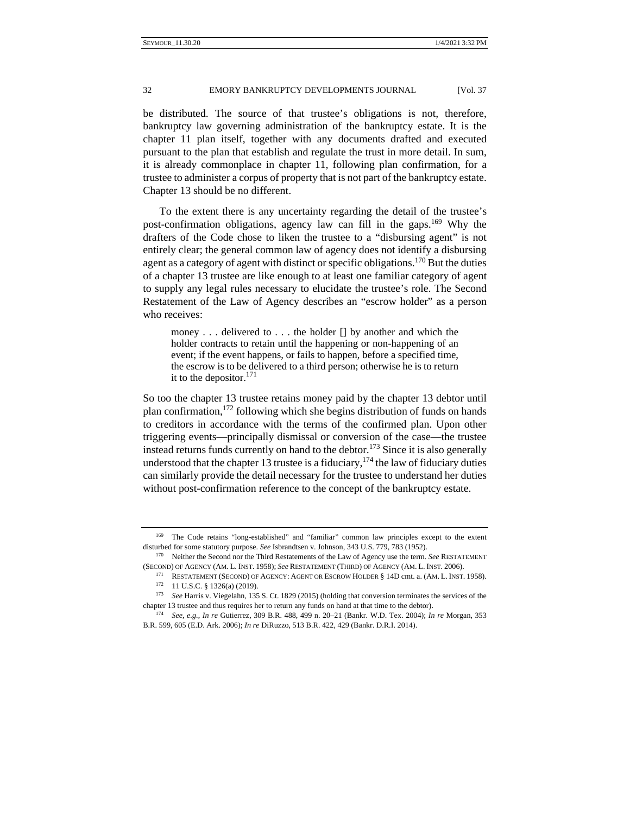be distributed. The source of that trustee's obligations is not, therefore, bankruptcy law governing administration of the bankruptcy estate. It is the chapter 11 plan itself, together with any documents drafted and executed pursuant to the plan that establish and regulate the trust in more detail. In sum, it is already commonplace in chapter 11, following plan confirmation, for a trustee to administer a corpus of property that is not part of the bankruptcy estate. Chapter 13 should be no different.

To the extent there is any uncertainty regarding the detail of the trustee's post-confirmation obligations, agency law can fill in the gaps.<sup>169</sup> Why the drafters of the Code chose to liken the trustee to a "disbursing agent" is not entirely clear; the general common law of agency does not identify a disbursing agent as a category of agent with distinct or specific obligations.<sup>170</sup> But the duties of a chapter 13 trustee are like enough to at least one familiar category of agent to supply any legal rules necessary to elucidate the trustee's role. The Second Restatement of the Law of Agency describes an "escrow holder" as a person who receives:

money . . . delivered to . . . the holder [] by another and which the holder contracts to retain until the happening or non-happening of an event; if the event happens, or fails to happen, before a specified time, the escrow is to be delivered to a third person; otherwise he is to return it to the depositor.<sup>171</sup>

So too the chapter 13 trustee retains money paid by the chapter 13 debtor until plan confirmation,  $^{172}$  following which she begins distribution of funds on hands to creditors in accordance with the terms of the confirmed plan. Upon other triggering events—principally dismissal or conversion of the case—the trustee instead returns funds currently on hand to the debtor.<sup>173</sup> Since it is also generally understood that the chapter 13 trustee is a fiduciary,  $174$  the law of fiduciary duties can similarly provide the detail necessary for the trustee to understand her duties without post-confirmation reference to the concept of the bankruptcy estate.

<sup>169</sup> The Code retains "long-established" and "familiar" common law principles except to the extent disturbed for some statutory purpose. *See* Isbrandtsen v. Johnson, 343 U.S. 779, 783 (1952).<br><sup>170</sup> Neither the Second nor the Third Restatements of the Law of Agency use the term. *See* RESTATEMENT

<sup>(</sup>SECOND) OF AGENCY (AM. L. INST. 1958); *See* RESTATEMENT (THIRD) OF AGENCY (AM. L. INST. 2006).<br><sup>171</sup> RESTATEMENT (SECOND) OF AGENCY: AGENT OR ESCROW HOLDER § 14D cmt. a. (AM. L. INST. 1958).<br><sup>172</sup> 11 U.S.C. § 1326(a) (2 chapter 13 trustee and thus requires her to return any funds on hand at that time to the debtor). 174 *See, e.g.*, *In re* Gutierrez, 309 B.R. 488, 499 n. 20–21 (Bankr. W.D. Tex. 2004); *In re* Morgan, 353

B.R. 599, 605 (E.D. Ark. 2006); *In re* DiRuzzo, 513 B.R. 422, 429 (Bankr. D.R.I. 2014).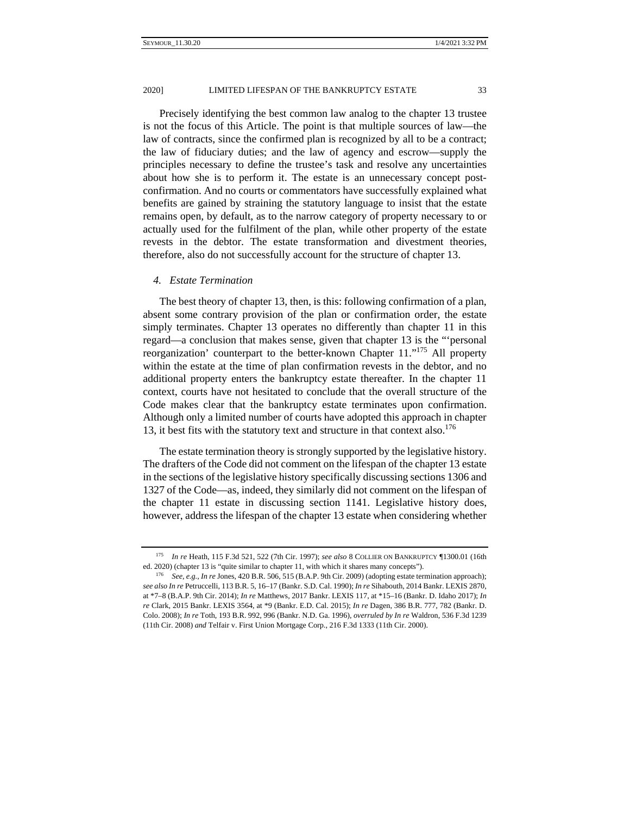Precisely identifying the best common law analog to the chapter 13 trustee is not the focus of this Article. The point is that multiple sources of law—the law of contracts, since the confirmed plan is recognized by all to be a contract; the law of fiduciary duties; and the law of agency and escrow—supply the principles necessary to define the trustee's task and resolve any uncertainties about how she is to perform it. The estate is an unnecessary concept postconfirmation. And no courts or commentators have successfully explained what benefits are gained by straining the statutory language to insist that the estate remains open, by default, as to the narrow category of property necessary to or actually used for the fulfilment of the plan, while other property of the estate revests in the debtor. The estate transformation and divestment theories, therefore, also do not successfully account for the structure of chapter 13.

### *4. Estate Termination*

The best theory of chapter 13, then, is this: following confirmation of a plan, absent some contrary provision of the plan or confirmation order, the estate simply terminates. Chapter 13 operates no differently than chapter 11 in this regard—a conclusion that makes sense, given that chapter 13 is the "'personal reorganization' counterpart to the better-known Chapter 11."<sup>175</sup> All property within the estate at the time of plan confirmation revests in the debtor, and no additional property enters the bankruptcy estate thereafter. In the chapter 11 context, courts have not hesitated to conclude that the overall structure of the Code makes clear that the bankruptcy estate terminates upon confirmation. Although only a limited number of courts have adopted this approach in chapter 13, it best fits with the statutory text and structure in that context also.<sup>176</sup>

The estate termination theory is strongly supported by the legislative history. The drafters of the Code did not comment on the lifespan of the chapter 13 estate in the sections of the legislative history specifically discussing sections 1306 and 1327 of the Code—as, indeed, they similarly did not comment on the lifespan of the chapter 11 estate in discussing section 1141. Legislative history does, however, address the lifespan of the chapter 13 estate when considering whether

<sup>175</sup> *In re* Heath, 115 F.3d 521, 522 (7th Cir. 1997); *see also* 8 COLLIER ON BANKRUPTCY ¶1300.01 (16th ed. 2020) (chapter 13 is "quite similar to chapter 11, with which it shares many concepts"). 176 *See*, *e.g.*, *In re* Jones, 420 B.R. 506, 515 (B.A.P. 9th Cir. 2009) (adopting estate termination approach);

*see also In re* Petruccelli, 113 B.R. 5, 16–17 (Bankr. S.D. Cal. 1990); *In re* Sihabouth, 2014 Bankr. LEXIS 2870, at \*7–8 (B.A.P. 9th Cir. 2014); *In re* Matthews, 2017 Bankr. LEXIS 117, at \*15–16 (Bankr. D. Idaho 2017); *In re* Clark, 2015 Bankr. LEXIS 3564, at \*9 (Bankr. E.D. Cal. 2015); *In re* Dagen, 386 B.R. 777, 782 (Bankr. D. Colo. 2008); *In re* Toth, 193 B.R. 992, 996 (Bankr. N.D. Ga. 1996), *overruled by In re* Waldron, 536 F.3d 1239 (11th Cir. 2008) *and* Telfair v. First Union Mortgage Corp., 216 F.3d 1333 (11th Cir. 2000).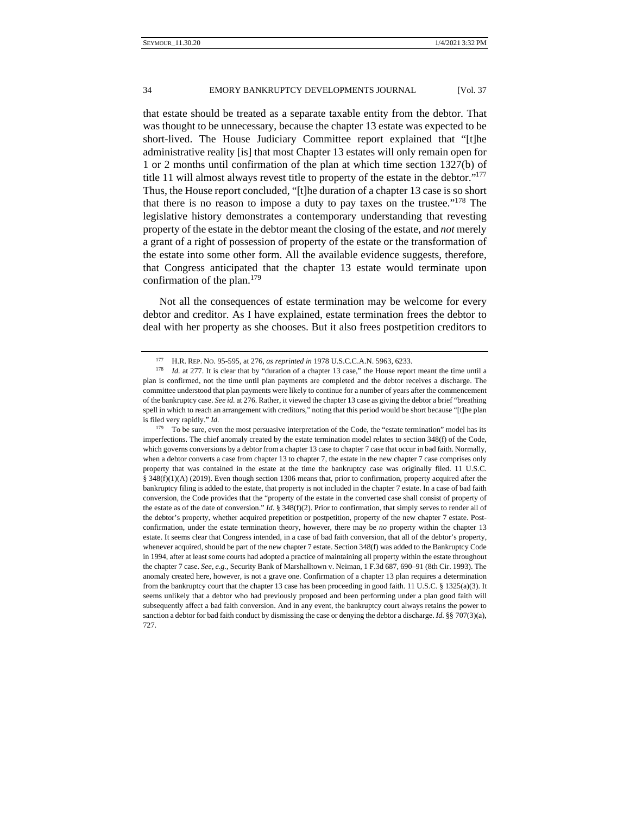that estate should be treated as a separate taxable entity from the debtor. That was thought to be unnecessary, because the chapter 13 estate was expected to be short-lived. The House Judiciary Committee report explained that "[t]he administrative reality [is] that most Chapter 13 estates will only remain open for 1 or 2 months until confirmation of the plan at which time section 1327(b) of title 11 will almost always revest title to property of the estate in the debtor."177 Thus, the House report concluded, "[t]he duration of a chapter 13 case is so short that there is no reason to impose a duty to pay taxes on the trustee."<sup>178</sup> The legislative history demonstrates a contemporary understanding that revesting property of the estate in the debtor meant the closing of the estate, and *not* merely a grant of a right of possession of property of the estate or the transformation of the estate into some other form. All the available evidence suggests, therefore, that Congress anticipated that the chapter 13 estate would terminate upon confirmation of the plan.<sup>179</sup>

Not all the consequences of estate termination may be welcome for every debtor and creditor. As I have explained, estate termination frees the debtor to deal with her property as she chooses. But it also frees postpetition creditors to

179 To be sure, even the most persuasive interpretation of the Code, the "estate termination" model has its imperfections. The chief anomaly created by the estate termination model relates to section 348(f) of the Code, which governs conversions by a debtor from a chapter 13 case to chapter 7 case that occur in bad faith. Normally, when a debtor converts a case from chapter 13 to chapter 7, the estate in the new chapter 7 case comprises only property that was contained in the estate at the time the bankruptcy case was originally filed. 11 U.S.C. § 348(f)(1)(A) (2019). Even though section 1306 means that, prior to confirmation, property acquired after the bankruptcy filing is added to the estate, that property is not included in the chapter 7 estate. In a case of bad faith conversion, the Code provides that the "property of the estate in the converted case shall consist of property of the estate as of the date of conversion." *Id*. § 348(f)(2). Prior to confirmation, that simply serves to render all of the debtor's property, whether acquired prepetition or postpetition, property of the new chapter 7 estate. Postconfirmation, under the estate termination theory, however, there may be *no* property within the chapter 13 estate. It seems clear that Congress intended, in a case of bad faith conversion, that all of the debtor's property, whenever acquired, should be part of the new chapter 7 estate. Section 348(f) was added to the Bankruptcy Code in 1994, after at least some courts had adopted a practice of maintaining all property within the estate throughout the chapter 7 case. *See*, *e.g.*, Security Bank of Marshalltown v. Neiman, 1 F.3d 687, 690–91 (8th Cir. 1993). The anomaly created here, however, is not a grave one. Confirmation of a chapter 13 plan requires a determination from the bankruptcy court that the chapter 13 case has been proceeding in good faith. 11 U.S.C. § 1325(a)(3). It seems unlikely that a debtor who had previously proposed and been performing under a plan good faith will subsequently affect a bad faith conversion. And in any event, the bankruptcy court always retains the power to sanction a debtor for bad faith conduct by dismissing the case or denying the debtor a discharge. *Id.* §§ 707(3)(a), 727.

<sup>&</sup>lt;sup>177</sup> H.R. REP. No. 95-595, at 276, *as reprinted in* 1978 U.S.C.C.A.N. 5963, 6233.<br><sup>178</sup> *Id.* at 277. It is clear that by "duration of a chapter 13 case," the House report meant the time until a plan is confirmed, not the time until plan payments are completed and the debtor receives a discharge. The committee understood that plan payments were likely to continue for a number of years after the commencement of the bankruptcy case. *See id.* at 276. Rather, it viewed the chapter 13 case as giving the debtor a brief "breathing spell in which to reach an arrangement with creditors," noting that this period would be short because "[t]he plan is filed very rapidly." *Id.*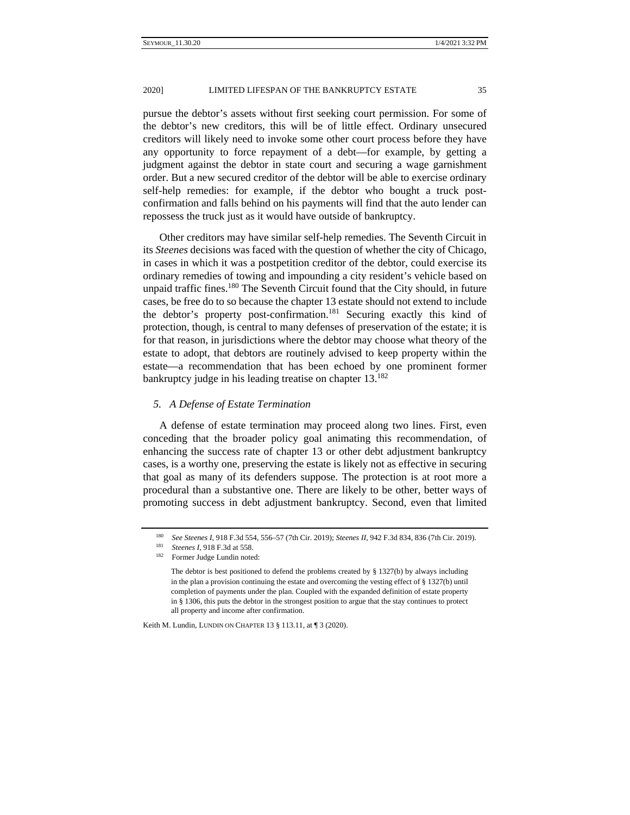#### 2020] LIMITED LIFESPAN OF THE BANKRUPTCY ESTATE 35

pursue the debtor's assets without first seeking court permission. For some of the debtor's new creditors, this will be of little effect. Ordinary unsecured creditors will likely need to invoke some other court process before they have any opportunity to force repayment of a debt—for example, by getting a judgment against the debtor in state court and securing a wage garnishment order. But a new secured creditor of the debtor will be able to exercise ordinary self-help remedies: for example, if the debtor who bought a truck postconfirmation and falls behind on his payments will find that the auto lender can repossess the truck just as it would have outside of bankruptcy.

Other creditors may have similar self-help remedies. The Seventh Circuit in its *Steenes* decisions was faced with the question of whether the city of Chicago, in cases in which it was a postpetition creditor of the debtor, could exercise its ordinary remedies of towing and impounding a city resident's vehicle based on unpaid traffic fines.<sup>180</sup> The Seventh Circuit found that the City should, in future cases, be free do to so because the chapter 13 estate should not extend to include the debtor's property post-confirmation.<sup>181</sup> Securing exactly this kind of protection, though, is central to many defenses of preservation of the estate; it is for that reason, in jurisdictions where the debtor may choose what theory of the estate to adopt, that debtors are routinely advised to keep property within the estate—a recommendation that has been echoed by one prominent former bankruptcy judge in his leading treatise on chapter  $13^{182}$ 

## *5. A Defense of Estate Termination*

A defense of estate termination may proceed along two lines. First, even conceding that the broader policy goal animating this recommendation, of enhancing the success rate of chapter 13 or other debt adjustment bankruptcy cases, is a worthy one, preserving the estate is likely not as effective in securing that goal as many of its defenders suppose. The protection is at root more a procedural than a substantive one. There are likely to be other, better ways of promoting success in debt adjustment bankruptcy. Second, even that limited

Keith M. Lundin, LUNDIN ON CHAPTER 13 § 113.11, at ¶ 3 (2020).

<sup>180</sup> *See Steenes I*, 918 F.3d 554, 556–57 (7th Cir. 2019); *Steenes II*, 942 F.3d 834, 836 (7th Cir. 2019).<br>
<sup>181</sup> *Steenes I*, 918 F.3d at 558.<br>
<sup>182</sup> Former Judge Lundin noted:

The debtor is best positioned to defend the problems created by  $\S$  1327(b) by always including in the plan a provision continuing the estate and overcoming the vesting effect of § 1327(b) until completion of payments under the plan. Coupled with the expanded definition of estate property in § 1306, this puts the debtor in the strongest position to argue that the stay continues to protect all property and income after confirmation.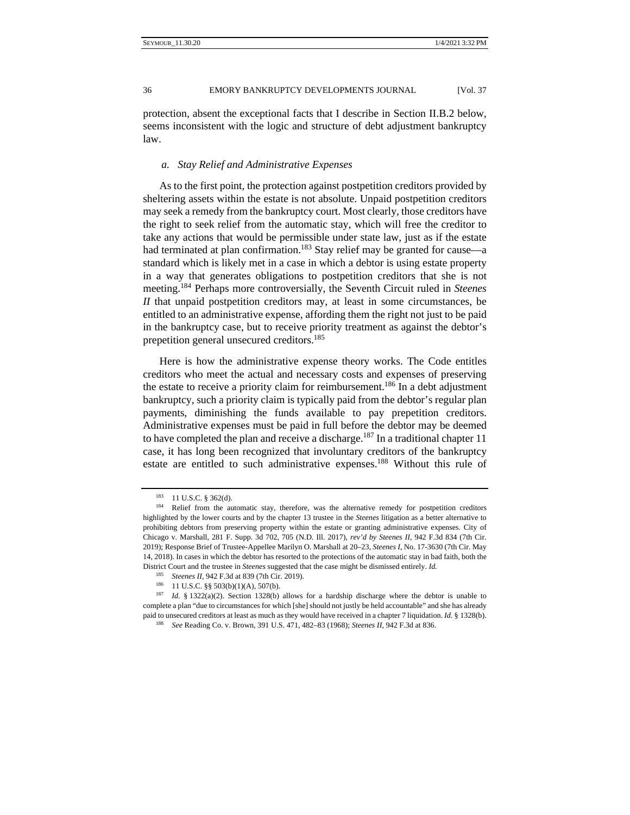protection, absent the exceptional facts that I describe in Section II.B.2 below, seems inconsistent with the logic and structure of debt adjustment bankruptcy law.

## *a. Stay Relief and Administrative Expenses*

As to the first point, the protection against postpetition creditors provided by sheltering assets within the estate is not absolute. Unpaid postpetition creditors may seek a remedy from the bankruptcy court. Most clearly, those creditors have the right to seek relief from the automatic stay, which will free the creditor to take any actions that would be permissible under state law, just as if the estate had terminated at plan confirmation.<sup>183</sup> Stay relief may be granted for cause—a standard which is likely met in a case in which a debtor is using estate property in a way that generates obligations to postpetition creditors that she is not meeting.184 Perhaps more controversially, the Seventh Circuit ruled in *Steenes II* that unpaid postpetition creditors may, at least in some circumstances, be entitled to an administrative expense, affording them the right not just to be paid in the bankruptcy case, but to receive priority treatment as against the debtor's prepetition general unsecured creditors.<sup>185</sup>

Here is how the administrative expense theory works. The Code entitles creditors who meet the actual and necessary costs and expenses of preserving the estate to receive a priority claim for reimbursement.<sup>186</sup> In a debt adjustment bankruptcy, such a priority claim is typically paid from the debtor's regular plan payments, diminishing the funds available to pay prepetition creditors. Administrative expenses must be paid in full before the debtor may be deemed to have completed the plan and receive a discharge.<sup>187</sup> In a traditional chapter 11 case, it has long been recognized that involuntary creditors of the bankruptcy estate are entitled to such administrative expenses.<sup>188</sup> Without this rule of

<sup>183 11</sup> U.S.C. § 362(d).<br><sup>184</sup> Relief from the automatic stay, therefore, was the alternative remedy for postpetition creditors highlighted by the lower courts and by the chapter 13 trustee in the *Steenes* litigation as a better alternative to prohibiting debtors from preserving property within the estate or granting administrative expenses. City of Chicago v. Marshall, 281 F. Supp. 3d 702, 705 (N.D. Ill. 2017), *rev'd by Steenes II*, 942 F.3d 834 (7th Cir. 2019); Response Brief of Trustee-Appellee Marilyn O. Marshall at 20–23, *Steenes I*, No. 17-3630 (7th Cir. May 14, 2018). In cases in which the debtor has resorted to the protections of the automatic stay in bad faith, both the District Court and the trustee in *Steenes* suggested that the case might be dismissed entirely. *Id.*

<sup>185</sup> *Steenes II*, 942 F.3d at 839 (7th Cir. 2019).<br>
<sup>186</sup> 11 U.S.C. §§ 503(b)(1)(A), 507(b).<br>
<sup>187</sup> *Id.* § 1322(a)(2). Section 1328(b) allows for a hardship discharge where the debtor is unable to complete a plan "due to circumstances for which [she] should not justly be held accountable" and she has already paid to unsecured creditors at least as much as they would have received in a chapter 7 liquidation. *Id.* § 1328(b). <sup>188</sup> *See* Reading Co. v. Brown, 391 U.S. 471, 482–83 (1968); *Steenes II*, 942 F.3d at 836.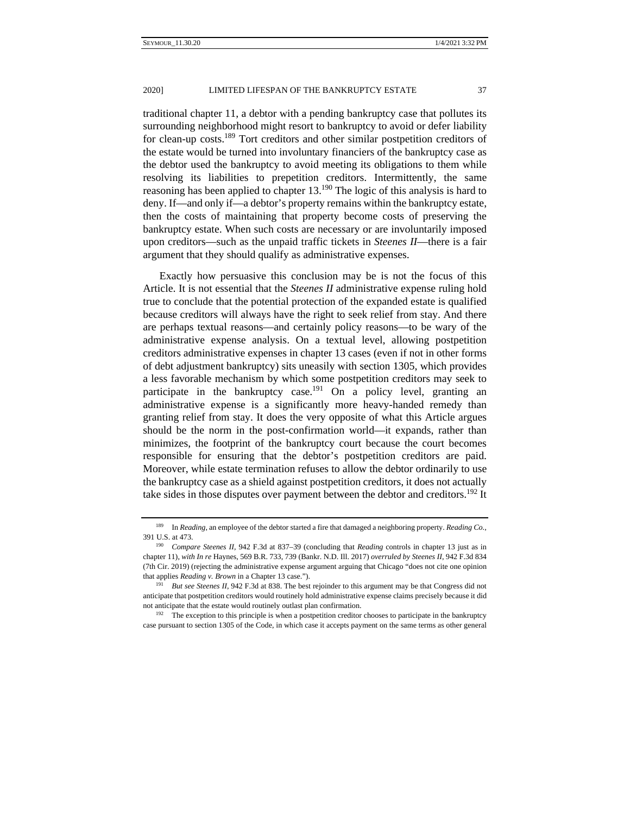traditional chapter 11, a debtor with a pending bankruptcy case that pollutes its surrounding neighborhood might resort to bankruptcy to avoid or defer liability for clean-up costs.189 Tort creditors and other similar postpetition creditors of the estate would be turned into involuntary financiers of the bankruptcy case as the debtor used the bankruptcy to avoid meeting its obligations to them while resolving its liabilities to prepetition creditors. Intermittently, the same reasoning has been applied to chapter 13.<sup>190</sup> The logic of this analysis is hard to deny. If—and only if—a debtor's property remains within the bankruptcy estate, then the costs of maintaining that property become costs of preserving the bankruptcy estate. When such costs are necessary or are involuntarily imposed upon creditors—such as the unpaid traffic tickets in *Steenes II*—there is a fair argument that they should qualify as administrative expenses.

Exactly how persuasive this conclusion may be is not the focus of this Article. It is not essential that the *Steenes II* administrative expense ruling hold true to conclude that the potential protection of the expanded estate is qualified because creditors will always have the right to seek relief from stay. And there are perhaps textual reasons—and certainly policy reasons—to be wary of the administrative expense analysis. On a textual level, allowing postpetition creditors administrative expenses in chapter 13 cases (even if not in other forms of debt adjustment bankruptcy) sits uneasily with section 1305, which provides a less favorable mechanism by which some postpetition creditors may seek to participate in the bankruptcy case.<sup>191</sup> On a policy level, granting an administrative expense is a significantly more heavy-handed remedy than granting relief from stay. It does the very opposite of what this Article argues should be the norm in the post-confirmation world—it expands, rather than minimizes, the footprint of the bankruptcy court because the court becomes responsible for ensuring that the debtor's postpetition creditors are paid. Moreover, while estate termination refuses to allow the debtor ordinarily to use the bankruptcy case as a shield against postpetition creditors, it does not actually take sides in those disputes over payment between the debtor and creditors.<sup>192</sup> It

<sup>189</sup> In *Reading*, an employee of the debtor started a fire that damaged a neighboring property. *Reading Co.*, 391 U.S. at 473. 190 *Compare Steenes II,* 942 F.3d at 837–39 (concluding that *Reading* controls in chapter 13 just as in

chapter 11), *with In re* Haynes, 569 B.R. 733, 739 (Bankr. N.D. Ill. 2017) *overruled by Steenes II*, 942 F.3d 834 (7th Cir. 2019) (rejecting the administrative expense argument arguing that Chicago "does not cite one opinion that applies *Reading v. Brown* in a Chapter 13 case."). 191 *But see Steenes II*, 942 F.3d at 838. The best rejoinder to this argument may be that Congress did not

anticipate that postpetition creditors would routinely hold administrative expense claims precisely because it did not anticipate that the estate would routinely outlast plan confirmation.<br><sup>192</sup> The exception to this principle is when a postpetition creditor chooses to participate in the bankruptcy

case pursuant to section 1305 of the Code, in which case it accepts payment on the same terms as other general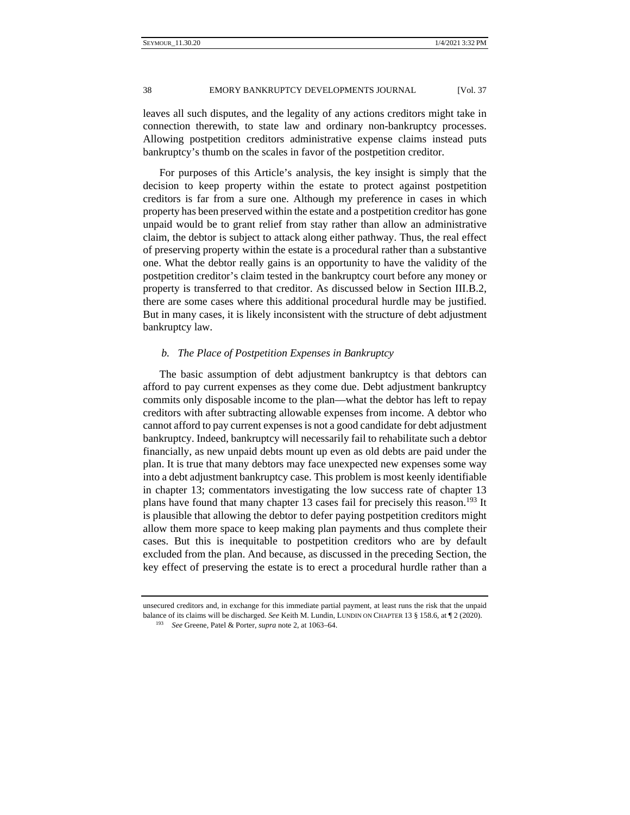leaves all such disputes, and the legality of any actions creditors might take in connection therewith, to state law and ordinary non-bankruptcy processes. Allowing postpetition creditors administrative expense claims instead puts bankruptcy's thumb on the scales in favor of the postpetition creditor.

For purposes of this Article's analysis, the key insight is simply that the decision to keep property within the estate to protect against postpetition creditors is far from a sure one. Although my preference in cases in which property has been preserved within the estate and a postpetition creditor has gone unpaid would be to grant relief from stay rather than allow an administrative claim, the debtor is subject to attack along either pathway. Thus, the real effect of preserving property within the estate is a procedural rather than a substantive one. What the debtor really gains is an opportunity to have the validity of the postpetition creditor's claim tested in the bankruptcy court before any money or property is transferred to that creditor. As discussed below in Section III.B.2, there are some cases where this additional procedural hurdle may be justified. But in many cases, it is likely inconsistent with the structure of debt adjustment bankruptcy law.

## *b. The Place of Postpetition Expenses in Bankruptcy*

The basic assumption of debt adjustment bankruptcy is that debtors can afford to pay current expenses as they come due. Debt adjustment bankruptcy commits only disposable income to the plan—what the debtor has left to repay creditors with after subtracting allowable expenses from income. A debtor who cannot afford to pay current expenses is not a good candidate for debt adjustment bankruptcy. Indeed, bankruptcy will necessarily fail to rehabilitate such a debtor financially, as new unpaid debts mount up even as old debts are paid under the plan. It is true that many debtors may face unexpected new expenses some way into a debt adjustment bankruptcy case. This problem is most keenly identifiable in chapter 13; commentators investigating the low success rate of chapter 13 plans have found that many chapter 13 cases fail for precisely this reason.<sup>193</sup> It is plausible that allowing the debtor to defer paying postpetition creditors might allow them more space to keep making plan payments and thus complete their cases. But this is inequitable to postpetition creditors who are by default excluded from the plan. And because, as discussed in the preceding Section, the key effect of preserving the estate is to erect a procedural hurdle rather than a

unsecured creditors and, in exchange for this immediate partial payment, at least runs the risk that the unpaid balance of its claims will be discharged. *See* Keith M. Lundin, LUNDIN ON CHAPTER 13 § 158.6, at ¶ 2 (2020). 193 *See* Greene, Patel & Porter, *supra* note 2, at 1063–64.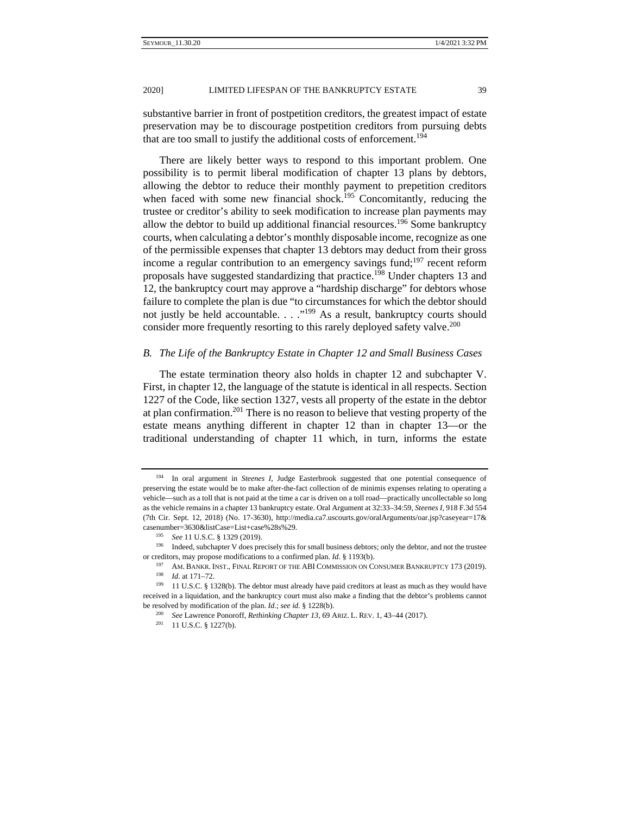substantive barrier in front of postpetition creditors, the greatest impact of estate preservation may be to discourage postpetition creditors from pursuing debts that are too small to justify the additional costs of enforcement.<sup>194</sup>

There are likely better ways to respond to this important problem. One possibility is to permit liberal modification of chapter 13 plans by debtors, allowing the debtor to reduce their monthly payment to prepetition creditors when faced with some new financial shock.<sup>195</sup> Concomitantly, reducing the trustee or creditor's ability to seek modification to increase plan payments may allow the debtor to build up additional financial resources.<sup>196</sup> Some bankruptcy courts, when calculating a debtor's monthly disposable income, recognize as one of the permissible expenses that chapter 13 debtors may deduct from their gross income a regular contribution to an emergency savings fund;<sup>197</sup> recent reform proposals have suggested standardizing that practice.<sup>198</sup> Under chapters 13 and 12, the bankruptcy court may approve a "hardship discharge" for debtors whose failure to complete the plan is due "to circumstances for which the debtor should not justly be held accountable. . . . .<sup>"199</sup> As a result, bankruptcy courts should consider more frequently resorting to this rarely deployed safety valve.<sup>200</sup>

## *B. The Life of the Bankruptcy Estate in Chapter 12 and Small Business Cases*

The estate termination theory also holds in chapter 12 and subchapter V. First, in chapter 12, the language of the statute is identical in all respects. Section 1227 of the Code, like section 1327, vests all property of the estate in the debtor at plan confirmation.<sup>201</sup> There is no reason to believe that vesting property of the estate means anything different in chapter 12 than in chapter 13—or the traditional understanding of chapter 11 which, in turn, informs the estate

<sup>194</sup> In oral argument in *Steenes I*, Judge Easterbrook suggested that one potential consequence of preserving the estate would be to make after-the-fact collection of de minimis expenses relating to operating a vehicle—such as a toll that is not paid at the time a car is driven on a toll road—practically uncollectable so long as the vehicle remains in a chapter 13 bankruptcy estate. Oral Argument at 32:33–34:59, *Steenes I*, 918 F.3d 554 (7th Cir. Sept. 12, 2018) (No. 17-3630), http://media.ca7.uscourts.gov/oralArguments/oar.jsp?caseyear=17& casenumber=3630&listCase=List+case%28s%29.<br><sup>195</sup> *See* 11 U.S.C. § 1329 (2019).<br><sup>196</sup> Indeed, subchapter V does precisely this for small business debtors; only the debtor, and not the trustee

or creditors, may propose modifications to a confirmed plan. *Id.* § 1193(b).<br><sup>197</sup> AM. BANKR. INST., FINAL REPORT OF THE ABI COMMISSION ON CONSUMER BANKRUPTCY 173 (2019).<br><sup>198</sup> *Id.* at 171–72.<br><sup>199</sup> 11 U.S.C. § 1328(b).

received in a liquidation, and the bankruptcy court must also make a finding that the debtor's problems cannot be resolved by modification of the plan. *Id.*; *see id.* § 1228(b).<br><sup>200</sup> *See* Lawrence Ponoroff, *Rethinking Chapter 13*, 69 ARIZ. L. REV. 1, 43–44 (2017).<br><sup>201</sup> 11 U.S.C. § 1227(b).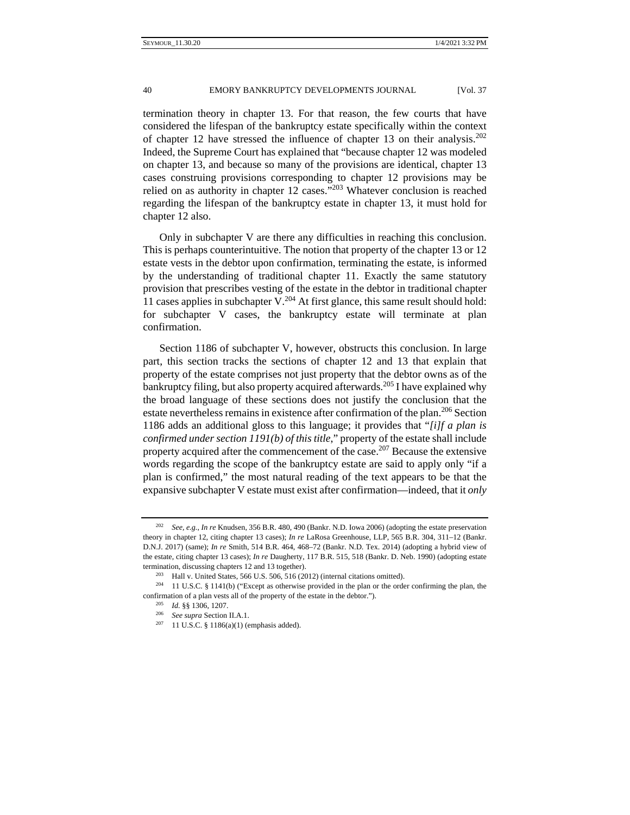termination theory in chapter 13. For that reason, the few courts that have considered the lifespan of the bankruptcy estate specifically within the context of chapter 12 have stressed the influence of chapter 13 on their analysis.<sup>202</sup> Indeed, the Supreme Court has explained that "because chapter 12 was modeled on chapter 13, and because so many of the provisions are identical, chapter 13 cases construing provisions corresponding to chapter 12 provisions may be relied on as authority in chapter 12 cases."203 Whatever conclusion is reached regarding the lifespan of the bankruptcy estate in chapter 13, it must hold for chapter 12 also.

Only in subchapter V are there any difficulties in reaching this conclusion. This is perhaps counterintuitive. The notion that property of the chapter 13 or 12 estate vests in the debtor upon confirmation, terminating the estate, is informed by the understanding of traditional chapter 11. Exactly the same statutory provision that prescribes vesting of the estate in the debtor in traditional chapter 11 cases applies in subchapter  $V^{204}$  At first glance, this same result should hold: for subchapter V cases, the bankruptcy estate will terminate at plan confirmation.

Section 1186 of subchapter V, however, obstructs this conclusion. In large part, this section tracks the sections of chapter 12 and 13 that explain that property of the estate comprises not just property that the debtor owns as of the bankruptcy filing, but also property acquired afterwards.<sup>205</sup> I have explained why the broad language of these sections does not justify the conclusion that the estate nevertheless remains in existence after confirmation of the plan.<sup>206</sup> Section 1186 adds an additional gloss to this language; it provides that "*[i]f a plan is confirmed under section 1191(b) of this title*," property of the estate shall include property acquired after the commencement of the case.<sup>207</sup> Because the extensive words regarding the scope of the bankruptcy estate are said to apply only "if a plan is confirmed," the most natural reading of the text appears to be that the expansive subchapter V estate must exist after confirmation—indeed, that it *only*

<sup>202</sup> *See, e.g.*, *In re* Knudsen, 356 B.R. 480, 490 (Bankr. N.D. Iowa 2006) (adopting the estate preservation theory in chapter 12, citing chapter 13 cases); *In re* LaRosa Greenhouse, LLP, 565 B.R. 304, 311–12 (Bankr. D.N.J. 2017) (same); *In re* Smith, 514 B.R. 464, 468–72 (Bankr. N.D. Tex. 2014) (adopting a hybrid view of the estate, citing chapter 13 cases); *In re* Daugherty, 117 B.R. 515, 518 (Bankr. D. Neb. 1990) (adopting estate termination, discussing chapters 12 and 13 together).<br><sup>203</sup> Hall v. United States, 566 U.S. 506, 516 (2012) (internal citations omitted).<br><sup>204</sup> 11 U.S.C. § 1141(b) ("Except as otherwise provided in the plan or the order c

confirmation of a plan vests all of the property of the estate in the debtor.").<br><sup>205</sup> *Id.* §§ 1306, 1207.<br><sup>206</sup> *See supra* Section II.A.1.<br><sup>207</sup> 11 U.S.C. § 1186(a)(1) (emphasis added).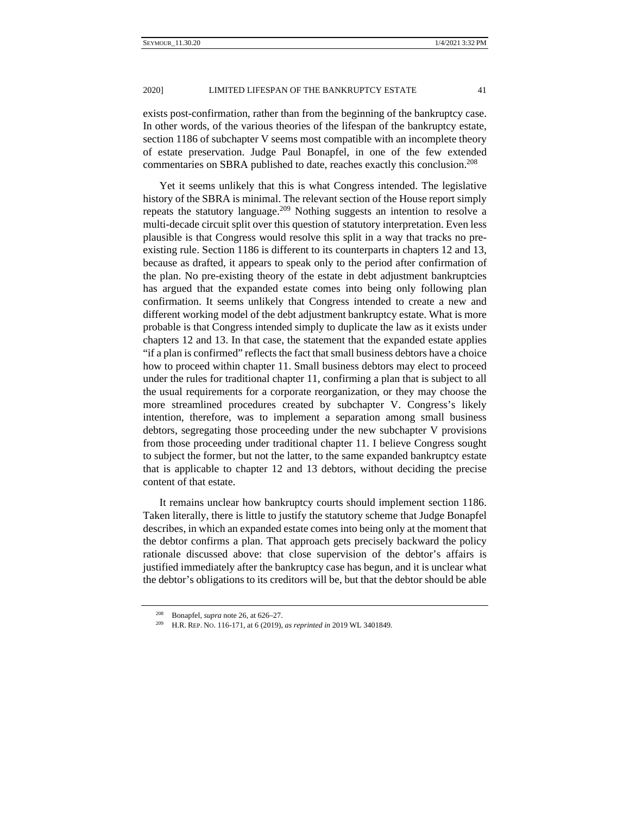exists post-confirmation, rather than from the beginning of the bankruptcy case. In other words, of the various theories of the lifespan of the bankruptcy estate, section 1186 of subchapter V seems most compatible with an incomplete theory of estate preservation. Judge Paul Bonapfel, in one of the few extended commentaries on SBRA published to date, reaches exactly this conclusion.<sup>208</sup>

Yet it seems unlikely that this is what Congress intended. The legislative history of the SBRA is minimal. The relevant section of the House report simply repeats the statutory language.209 Nothing suggests an intention to resolve a multi-decade circuit split over this question of statutory interpretation. Even less plausible is that Congress would resolve this split in a way that tracks no preexisting rule. Section 1186 is different to its counterparts in chapters 12 and 13, because as drafted, it appears to speak only to the period after confirmation of the plan. No pre-existing theory of the estate in debt adjustment bankruptcies has argued that the expanded estate comes into being only following plan confirmation. It seems unlikely that Congress intended to create a new and different working model of the debt adjustment bankruptcy estate. What is more probable is that Congress intended simply to duplicate the law as it exists under chapters 12 and 13. In that case, the statement that the expanded estate applies "if a plan is confirmed" reflects the fact that small business debtors have a choice how to proceed within chapter 11. Small business debtors may elect to proceed under the rules for traditional chapter 11, confirming a plan that is subject to all the usual requirements for a corporate reorganization, or they may choose the more streamlined procedures created by subchapter V. Congress's likely intention, therefore, was to implement a separation among small business debtors, segregating those proceeding under the new subchapter V provisions from those proceeding under traditional chapter 11. I believe Congress sought to subject the former, but not the latter, to the same expanded bankruptcy estate that is applicable to chapter 12 and 13 debtors, without deciding the precise content of that estate.

It remains unclear how bankruptcy courts should implement section 1186. Taken literally, there is little to justify the statutory scheme that Judge Bonapfel describes, in which an expanded estate comes into being only at the moment that the debtor confirms a plan. That approach gets precisely backward the policy rationale discussed above: that close supervision of the debtor's affairs is justified immediately after the bankruptcy case has begun, and it is unclear what the debtor's obligations to its creditors will be, but that the debtor should be able

<sup>208</sup> Bonapfel, *supra* note 26, at 626–27. 209 H.R. REP. NO. 116-171, at 6 (2019), *as reprinted in* 2019 WL 3401849.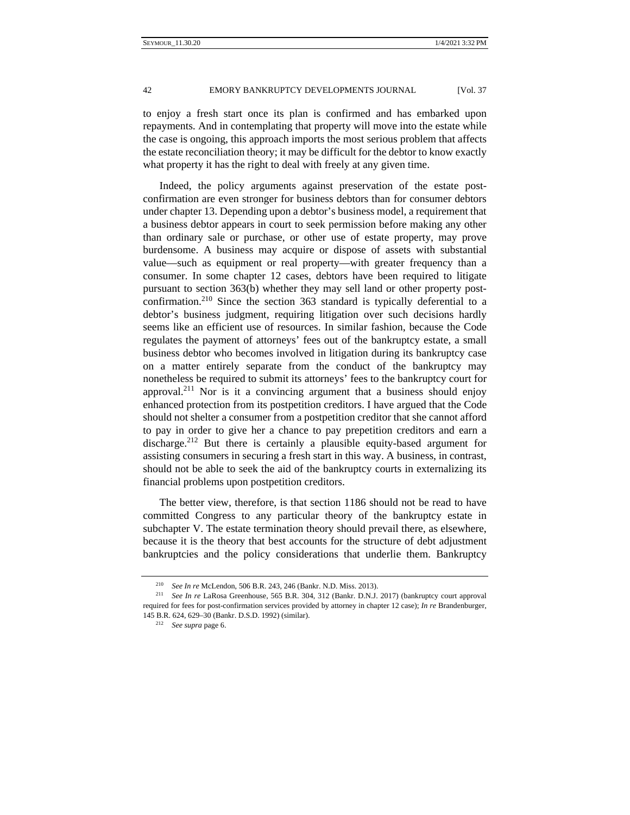to enjoy a fresh start once its plan is confirmed and has embarked upon repayments. And in contemplating that property will move into the estate while the case is ongoing, this approach imports the most serious problem that affects the estate reconciliation theory; it may be difficult for the debtor to know exactly what property it has the right to deal with freely at any given time.

Indeed, the policy arguments against preservation of the estate postconfirmation are even stronger for business debtors than for consumer debtors under chapter 13. Depending upon a debtor's business model, a requirement that a business debtor appears in court to seek permission before making any other than ordinary sale or purchase, or other use of estate property, may prove burdensome. A business may acquire or dispose of assets with substantial value—such as equipment or real property—with greater frequency than a consumer. In some chapter 12 cases, debtors have been required to litigate pursuant to section 363(b) whether they may sell land or other property postconfirmation.210 Since the section 363 standard is typically deferential to a debtor's business judgment, requiring litigation over such decisions hardly seems like an efficient use of resources. In similar fashion, because the Code regulates the payment of attorneys' fees out of the bankruptcy estate, a small business debtor who becomes involved in litigation during its bankruptcy case on a matter entirely separate from the conduct of the bankruptcy may nonetheless be required to submit its attorneys' fees to the bankruptcy court for approval.<sup>211</sup> Nor is it a convincing argument that a business should enjoy enhanced protection from its postpetition creditors. I have argued that the Code should not shelter a consumer from a postpetition creditor that she cannot afford to pay in order to give her a chance to pay prepetition creditors and earn a discharge.212 But there is certainly a plausible equity-based argument for assisting consumers in securing a fresh start in this way. A business, in contrast, should not be able to seek the aid of the bankruptcy courts in externalizing its financial problems upon postpetition creditors.

The better view, therefore, is that section 1186 should not be read to have committed Congress to any particular theory of the bankruptcy estate in subchapter V. The estate termination theory should prevail there, as elsewhere, because it is the theory that best accounts for the structure of debt adjustment bankruptcies and the policy considerations that underlie them. Bankruptcy

<sup>&</sup>lt;sup>210</sup> *See In re* McLendon, 506 B.R. 243, 246 (Bankr. N.D. Miss. 2013).<br><sup>211</sup> *See In re* LaRosa Greenhouse, 565 B.R. 304, 312 (Bankr. D.N.J. 2017) (bankruptcy court approval required for fees for post-confirmation services provided by attorney in chapter 12 case); *In re* Brandenburger, 145 B.R. 624, 629–30 (Bankr. D.S.D. 1992) (similar). 212 *See supra* page 6.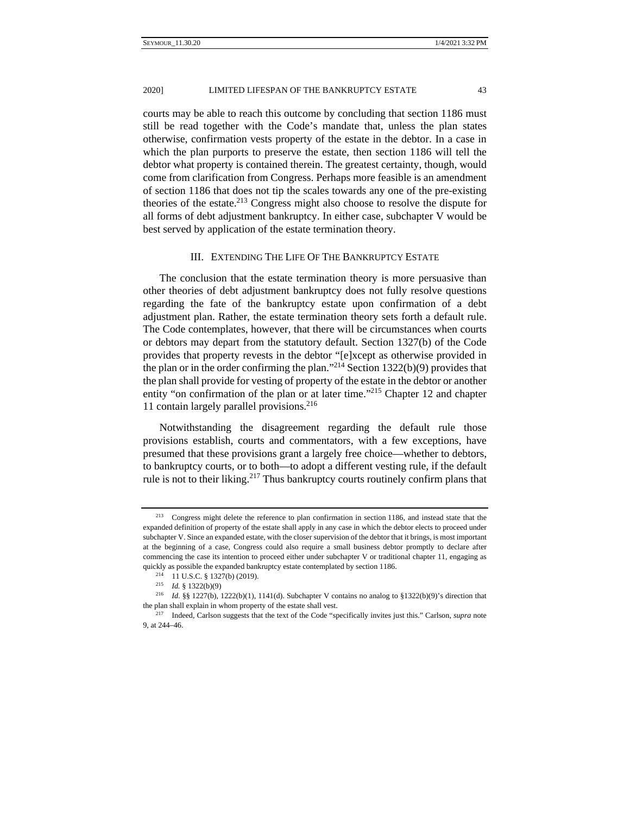#### 20201 LIMITED LIFESPAN OF THE BANKRUPTCY ESTATE 43

courts may be able to reach this outcome by concluding that section 1186 must still be read together with the Code's mandate that, unless the plan states otherwise, confirmation vests property of the estate in the debtor. In a case in which the plan purports to preserve the estate, then section 1186 will tell the debtor what property is contained therein. The greatest certainty, though, would come from clarification from Congress. Perhaps more feasible is an amendment of section 1186 that does not tip the scales towards any one of the pre-existing theories of the estate. $2^{13}$  Congress might also choose to resolve the dispute for all forms of debt adjustment bankruptcy. In either case, subchapter V would be best served by application of the estate termination theory.

#### III. EXTENDING THE LIFE OF THE BANKRUPTCY ESTATE

The conclusion that the estate termination theory is more persuasive than other theories of debt adjustment bankruptcy does not fully resolve questions regarding the fate of the bankruptcy estate upon confirmation of a debt adjustment plan. Rather, the estate termination theory sets forth a default rule. The Code contemplates, however, that there will be circumstances when courts or debtors may depart from the statutory default. Section 1327(b) of the Code provides that property revests in the debtor "[e]xcept as otherwise provided in the plan or in the order confirming the plan."<sup>214</sup> Section 1322(b)(9) provides that the plan shall provide for vesting of property of the estate in the debtor or another entity "on confirmation of the plan or at later time."215 Chapter 12 and chapter 11 contain largely parallel provisions. $216$ 

Notwithstanding the disagreement regarding the default rule those provisions establish, courts and commentators, with a few exceptions, have presumed that these provisions grant a largely free choice—whether to debtors, to bankruptcy courts, or to both—to adopt a different vesting rule, if the default rule is not to their liking.<sup>217</sup> Thus bankruptcy courts routinely confirm plans that

<sup>213</sup> Congress might delete the reference to plan confirmation in section 1186, and instead state that the expanded definition of property of the estate shall apply in any case in which the debtor elects to proceed under subchapter V. Since an expanded estate, with the closer supervision of the debtor that it brings, is most important at the beginning of a case, Congress could also require a small business debtor promptly to declare after commencing the case its intention to proceed either under subchapter V or traditional chapter 11, engaging as quickly as possible the expanded bankruptcy estate contemplated by section 1186.<br><sup>214</sup> 11 U.S.C. § 1327(b) (2019).<br><sup>215</sup> *Id.* § 1322(b)(9)

<sup>216</sup> *Id.* §§ 1227(b), 1222(b)(1), 1141(d). Subchapter V contains no analog to §1322(b)(9)'s direction that the plan shall explain in whom property of the estate shall vest. 217 Indeed, Carlson suggests that the text of the Code "specifically invites just this." Carlson, *supra* note

<sup>9,</sup> at 244–46.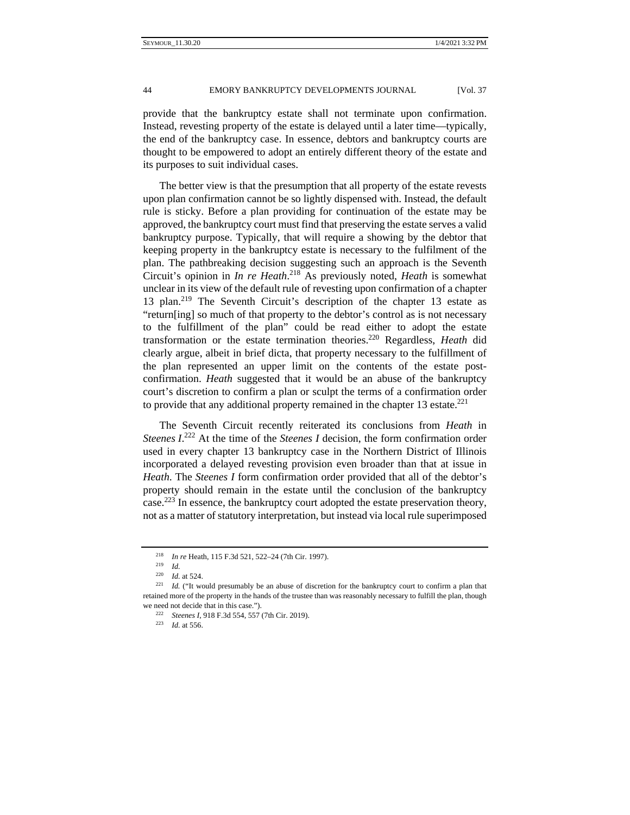provide that the bankruptcy estate shall not terminate upon confirmation. Instead, revesting property of the estate is delayed until a later time—typically, the end of the bankruptcy case. In essence, debtors and bankruptcy courts are thought to be empowered to adopt an entirely different theory of the estate and its purposes to suit individual cases.

The better view is that the presumption that all property of the estate revests upon plan confirmation cannot be so lightly dispensed with. Instead, the default rule is sticky. Before a plan providing for continuation of the estate may be approved, the bankruptcy court must find that preserving the estate serves a valid bankruptcy purpose. Typically, that will require a showing by the debtor that keeping property in the bankruptcy estate is necessary to the fulfilment of the plan. The pathbreaking decision suggesting such an approach is the Seventh Circuit's opinion in *In re Heath*. 218 As previously noted, *Heath* is somewhat unclear in its view of the default rule of revesting upon confirmation of a chapter 13 plan.<sup>219</sup> The Seventh Circuit's description of the chapter 13 estate as "return[ing] so much of that property to the debtor's control as is not necessary to the fulfillment of the plan" could be read either to adopt the estate transformation or the estate termination theories.220 Regardless, *Heath* did clearly argue, albeit in brief dicta, that property necessary to the fulfillment of the plan represented an upper limit on the contents of the estate postconfirmation. *Heath* suggested that it would be an abuse of the bankruptcy court's discretion to confirm a plan or sculpt the terms of a confirmation order to provide that any additional property remained in the chapter 13 estate.<sup>221</sup>

The Seventh Circuit recently reiterated its conclusions from *Heath* in *Steenes I*. 222 At the time of the *Steenes I* decision, the form confirmation order used in every chapter 13 bankruptcy case in the Northern District of Illinois incorporated a delayed revesting provision even broader than that at issue in *Heath*. The *Steenes I* form confirmation order provided that all of the debtor's property should remain in the estate until the conclusion of the bankruptcy case.<sup>223</sup> In essence, the bankruptcy court adopted the estate preservation theory, not as a matter of statutory interpretation, but instead via local rule superimposed

<sup>218</sup> *In re* Heath, 115 F.3d 521, 522–24 (7th Cir. 1997). 219 *Id.*

<sup>&</sup>lt;sup>220</sup> *Id.* at 524.<br><sup>221</sup> *Id.* ("It would presumably be an abuse of discretion for the bankruptcy court to confirm a plan that retained more of the property in the hands of the trustee than was reasonably necessary to fulfill the plan, though we need not decide that in this case."). 222 *Steenes I*, 918 F.3d 554, 557 (7th Cir. 2019). 223 *Id.* at 556.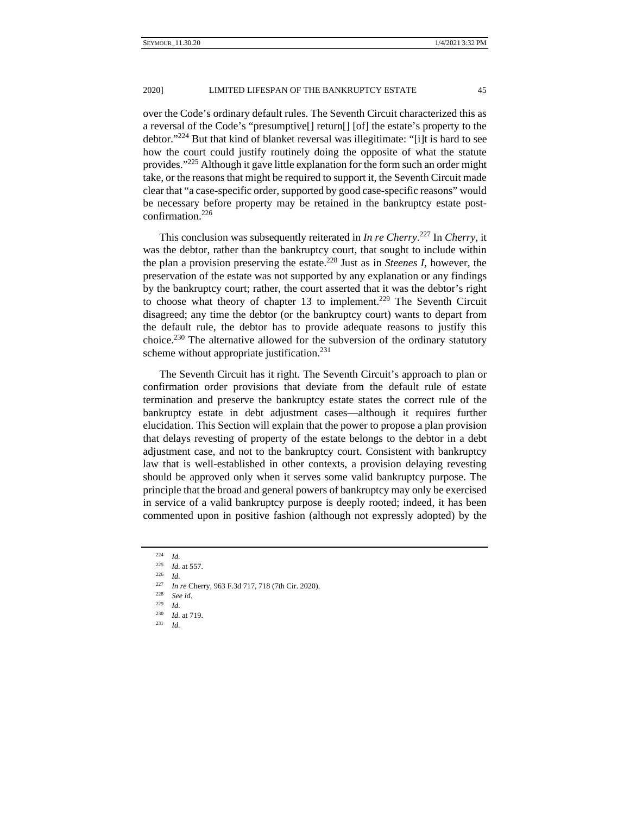2020] LIMITED LIFESPAN OF THE BANKRUPTCY ESTATE 45

over the Code's ordinary default rules. The Seventh Circuit characterized this as a reversal of the Code's "presumptive[] return[] [of] the estate's property to the debtor."224 But that kind of blanket reversal was illegitimate: "[i]t is hard to see how the court could justify routinely doing the opposite of what the statute provides."225 Although it gave little explanation for the form such an order might take, or the reasons that might be required to support it, the Seventh Circuit made clear that "a case-specific order, supported by good case-specific reasons" would be necessary before property may be retained in the bankruptcy estate postconfirmation.226

This conclusion was subsequently reiterated in *In re Cherry*. 227 In *Cherry*, it was the debtor, rather than the bankruptcy court, that sought to include within the plan a provision preserving the estate.228 Just as in *Steenes I*, however, the preservation of the estate was not supported by any explanation or any findings by the bankruptcy court; rather, the court asserted that it was the debtor's right to choose what theory of chapter 13 to implement.<sup>229</sup> The Seventh Circuit disagreed; any time the debtor (or the bankruptcy court) wants to depart from the default rule, the debtor has to provide adequate reasons to justify this choice.<sup>230</sup> The alternative allowed for the subversion of the ordinary statutory scheme without appropriate justification.<sup>231</sup>

The Seventh Circuit has it right. The Seventh Circuit's approach to plan or confirmation order provisions that deviate from the default rule of estate termination and preserve the bankruptcy estate states the correct rule of the bankruptcy estate in debt adjustment cases—although it requires further elucidation. This Section will explain that the power to propose a plan provision that delays revesting of property of the estate belongs to the debtor in a debt adjustment case, and not to the bankruptcy court. Consistent with bankruptcy law that is well-established in other contexts, a provision delaying revesting should be approved only when it serves some valid bankruptcy purpose. The principle that the broad and general powers of bankruptcy may only be exercised in service of a valid bankruptcy purpose is deeply rooted; indeed, it has been commented upon in positive fashion (although not expressly adopted) by the

<sup>&</sup>lt;sup>224</sup> *Id.*<br><sup>225</sup> *Id.* at 557.

<sup>226</sup> *Id.*<br>
227 *In re* Cherry, 963 F.3d 717, 718 (7th Cir. 2020).<br>
228 *See id.*<br>
229 *Id* 

 $\frac{229}{230}$  *Id.* 

<sup>230</sup> *Id.* at 719. 231 *Id.*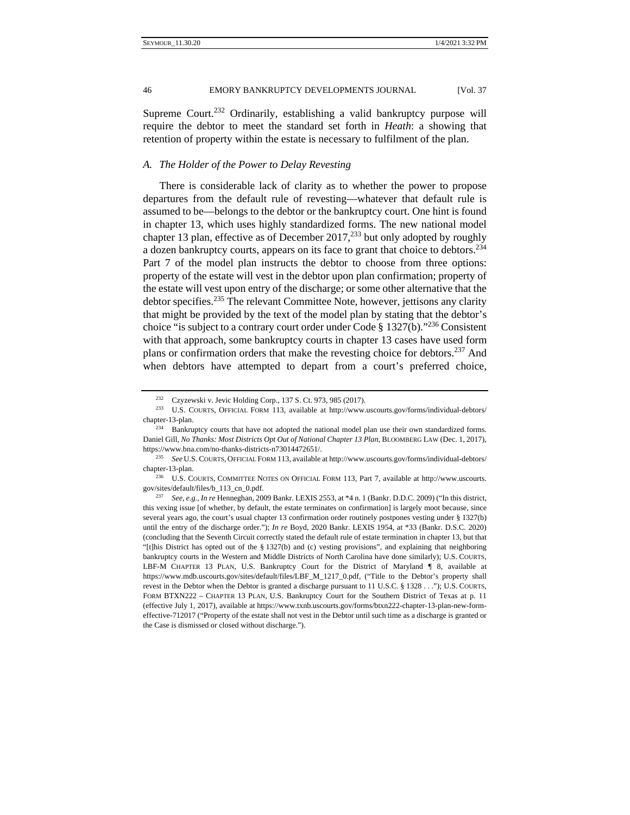Supreme Court.<sup>232</sup> Ordinarily, establishing a valid bankruptcy purpose will require the debtor to meet the standard set forth in *Heath*: a showing that retention of property within the estate is necessary to fulfilment of the plan.

## *A. The Holder of the Power to Delay Revesting*

There is considerable lack of clarity as to whether the power to propose departures from the default rule of revesting—whatever that default rule is assumed to be—belongs to the debtor or the bankruptcy court. One hint is found in chapter 13, which uses highly standardized forms. The new national model chapter 13 plan, effective as of December  $2017<sup>233</sup>$  but only adopted by roughly a dozen bankruptcy courts, appears on its face to grant that choice to debtors.<sup>234</sup> Part 7 of the model plan instructs the debtor to choose from three options: property of the estate will vest in the debtor upon plan confirmation; property of the estate will vest upon entry of the discharge; or some other alternative that the debtor specifies.<sup>235</sup> The relevant Committee Note, however, jettisons any clarity that might be provided by the text of the model plan by stating that the debtor's choice "is subject to a contrary court order under Code §  $1327(b)$ ."<sup>236</sup> Consistent with that approach, some bankruptcy courts in chapter 13 cases have used form plans or confirmation orders that make the revesting choice for debtors.<sup>237</sup> And when debtors have attempted to depart from a court's preferred choice,

<sup>&</sup>lt;sup>232</sup> Czyzewski v. Jevic Holding Corp., 137 S. Ct. 973, 985 (2017).<br><sup>233</sup> U.S. COURTS, OFFICIAL FORM 113, available at http://www.uscourts.gov/forms/individual-debtors/

chapter-13-plan.<br><sup>234</sup> Bankruptcy courts that have not adopted the national model plan use their own standardized forms. Daniel Gill, *No Thanks: Most Districts Opt Out of National Chapter 13 Plan*, BLOOMBERG LAW (Dec. 1, 2017), https://www.bna.com/no-thanks-districts-n73014472651/. 235 *See* U.S. COURTS, OFFICIAL FORM 113, available at http://www.uscourts.gov/forms/individual-debtors/

chapter-13-plan.<br><sup>236</sup> U.S. COURTS, COMMITTEE NOTES ON OFFICIAL FORM 113, Part 7, available at http://www.uscourts. gov/sites/default/files/b\_113\_cn\_0.pdf. 237 *See*, *e.g.*, *In re* Henneghan, 2009 Bankr. LEXIS 2553, at \*4 n. 1 (Bankr. D.D.C. 2009) ("In this district,

this vexing issue [of whether, by default, the estate terminates on confirmation] is largely moot because, since several years ago, the court's usual chapter 13 confirmation order routinely postpones vesting under § 1327(b) until the entry of the discharge order."); *In re* Boyd, 2020 Bankr. LEXIS 1954, at \*33 (Bankr. D.S.C. 2020) (concluding that the Seventh Circuit correctly stated the default rule of estate termination in chapter 13, but that "[t]his District has opted out of the § 1327(b) and (c) vesting provisions", and explaining that neighboring bankruptcy courts in the Western and Middle Districts of North Carolina have done similarly); U.S. COURTS, LBF-M CHAPTER 13 PLAN, U.S. Bankruptcy Court for the District of Maryland ¶ 8, available at https://www.mdb.uscourts.gov/sites/default/files/LBF\_M\_1217\_0.pdf, ("Title to the Debtor's property shall revest in the Debtor when the Debtor is granted a discharge pursuant to 11 U.S.C. § 1328 . . ."); U.S. COURTS, FORM BTXN222 – CHAPTER 13 PLAN, U.S. Bankruptcy Court for the Southern District of Texas at p. 11 (effective July 1, 2017), available at https://www.txnb.uscourts.gov/forms/btxn222-chapter-13-plan-new-formeffective-712017 ("Property of the estate shall not vest in the Debtor until such time as a discharge is granted or the Case is dismissed or closed without discharge.").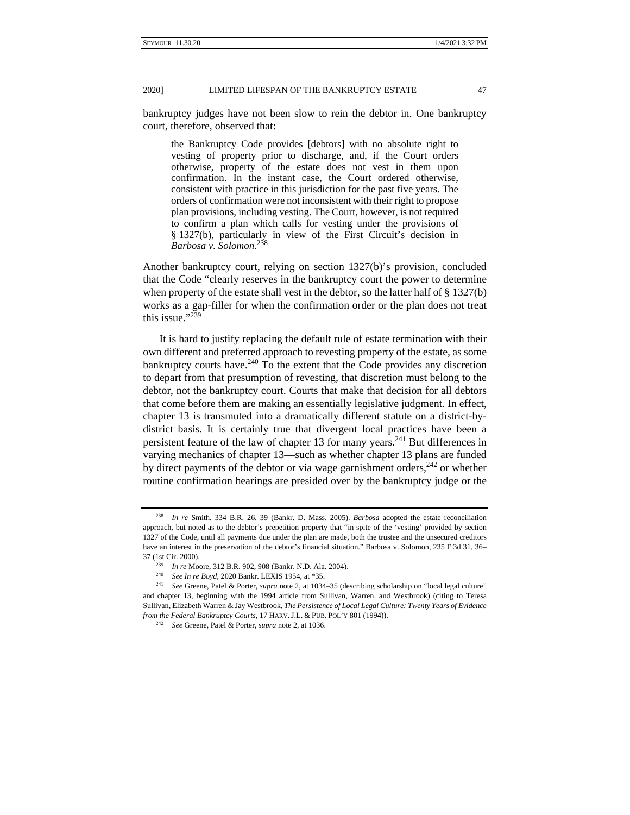20201 LIMITED LIFESPAN OF THE BANKRUPTCY ESTATE 47

bankruptcy judges have not been slow to rein the debtor in. One bankruptcy court, therefore, observed that:

the Bankruptcy Code provides [debtors] with no absolute right to vesting of property prior to discharge, and, if the Court orders otherwise, property of the estate does not vest in them upon confirmation. In the instant case, the Court ordered otherwise, consistent with practice in this jurisdiction for the past five years. The orders of confirmation were not inconsistent with their right to propose plan provisions, including vesting. The Court, however, is not required to confirm a plan which calls for vesting under the provisions of § 1327(b), particularly in view of the First Circuit's decision in *Barbosa v. Solomon*. 238

Another bankruptcy court, relying on section 1327(b)'s provision, concluded that the Code "clearly reserves in the bankruptcy court the power to determine when property of the estate shall vest in the debtor, so the latter half of § 1327(b) works as a gap-filler for when the confirmation order or the plan does not treat this issue."239

It is hard to justify replacing the default rule of estate termination with their own different and preferred approach to revesting property of the estate, as some bankruptcy courts have.<sup>240</sup> To the extent that the Code provides any discretion to depart from that presumption of revesting, that discretion must belong to the debtor, not the bankruptcy court. Courts that make that decision for all debtors that come before them are making an essentially legislative judgment. In effect, chapter 13 is transmuted into a dramatically different statute on a district-bydistrict basis. It is certainly true that divergent local practices have been a persistent feature of the law of chapter 13 for many years.<sup>241</sup> But differences in varying mechanics of chapter 13—such as whether chapter 13 plans are funded by direct payments of the debtor or via wage garnishment orders,  $242$  or whether routine confirmation hearings are presided over by the bankruptcy judge or the

<sup>238</sup> *In re* Smith, 334 B.R. 26, 39 (Bankr. D. Mass. 2005). *Barbosa* adopted the estate reconciliation approach, but noted as to the debtor's prepetition property that "in spite of the 'vesting' provided by section 1327 of the Code, until all payments due under the plan are made, both the trustee and the unsecured creditors have an interest in the preservation of the debtor's financial situation." Barbosa v. Solomon*,* 235 F.3d 31, 36– 37 (1st Cir. 2000).<br>
<sup>239</sup> In re Moore, 312 B.R. 902, 908 (Bankr. N.D. Ala. 2004).<br>
<sup>240</sup> See In re Boyd, 2020 Bankr. LEXIS 1954, at \*35.<br>
<sup>241</sup> See Greene, Patel & Porter, *supra* note 2, at 1034–35 (describing scholarsh

and chapter 13, beginning with the 1994 article from Sullivan, Warren, and Westbrook) (citing to Teresa Sullivan, Elizabeth Warren & Jay Westbrook, *The Persistence of Local Legal Culture: Twenty Years of Evidence from the Federal Bankruptcy Courts*, 17 HARV. J.L. & PUB. POL'Y 801 (1994)). 242 *See* Greene, Patel & Porter, *supra* note 2, at 1036.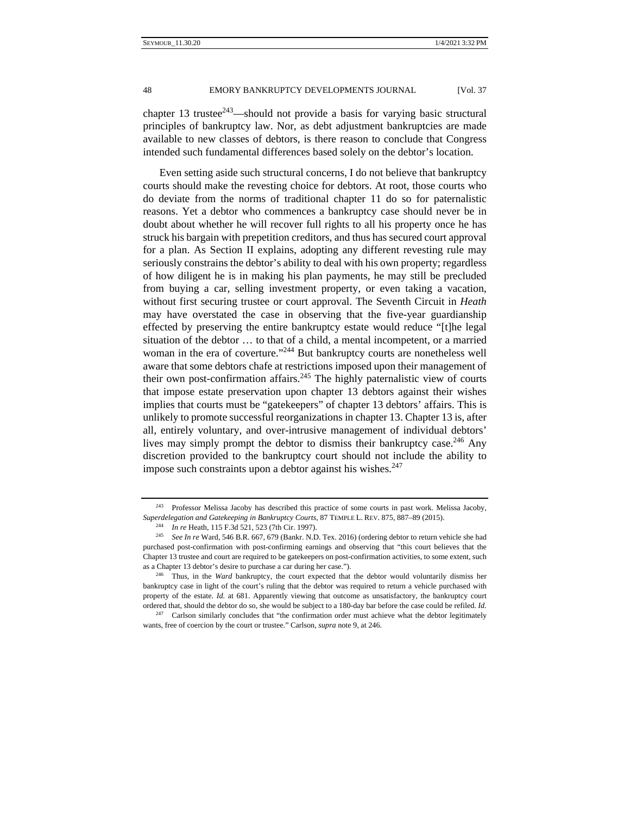chapter 13 trustee $243$ —should not provide a basis for varying basic structural principles of bankruptcy law. Nor, as debt adjustment bankruptcies are made available to new classes of debtors, is there reason to conclude that Congress intended such fundamental differences based solely on the debtor's location.

Even setting aside such structural concerns, I do not believe that bankruptcy courts should make the revesting choice for debtors. At root, those courts who do deviate from the norms of traditional chapter 11 do so for paternalistic reasons. Yet a debtor who commences a bankruptcy case should never be in doubt about whether he will recover full rights to all his property once he has struck his bargain with prepetition creditors, and thus has secured court approval for a plan. As Section II explains, adopting any different revesting rule may seriously constrains the debtor's ability to deal with his own property; regardless of how diligent he is in making his plan payments, he may still be precluded from buying a car, selling investment property, or even taking a vacation, without first securing trustee or court approval. The Seventh Circuit in *Heath*  may have overstated the case in observing that the five-year guardianship effected by preserving the entire bankruptcy estate would reduce "[t]he legal situation of the debtor … to that of a child, a mental incompetent, or a married woman in the era of coverture."<sup>244</sup> But bankruptcy courts are nonetheless well aware that some debtors chafe at restrictions imposed upon their management of their own post-confirmation affairs.<sup>245</sup> The highly paternalistic view of courts that impose estate preservation upon chapter 13 debtors against their wishes implies that courts must be "gatekeepers" of chapter 13 debtors' affairs. This is unlikely to promote successful reorganizations in chapter 13. Chapter 13 is, after all, entirely voluntary, and over-intrusive management of individual debtors' lives may simply prompt the debtor to dismiss their bankruptcy case.<sup>246</sup> Any discretion provided to the bankruptcy court should not include the ability to impose such constraints upon a debtor against his wishes. $247$ 

<sup>243</sup> Professor Melissa Jacoby has described this practice of some courts in past work. Melissa Jacoby, Superdelegation and Gatekeeping in Bankruptcy Courts, 87 TEMPLE L. REV. 875, 887–89 (2015).<br><sup>244</sup> In re Heath, 115 F.3d 521, 523 (7th Cir. 1997).<br><sup>245</sup> See In re Ward, 546 B.R. 667, 679 (Bankr. N.D. Tex. 2016) (ordering de

purchased post-confirmation with post-confirming earnings and observing that "this court believes that the Chapter 13 trustee and court are required to be gatekeepers on post-confirmation activities, to some extent, such as a Chapter 13 debtor's desire to purchase a car during her case."). 246 Thus, in the *Ward* bankruptcy, the court expected that the debtor would voluntarily dismiss her

bankruptcy case in light of the court's ruling that the debtor was required to return a vehicle purchased with property of the estate. *Id.* at 681. Apparently viewing that outcome as unsatisfactory, the bankruptcy court ordered that, should the debtor do so, she would be subject to a 180-day bar before the case could be refiled. *Id.*

<sup>&</sup>lt;sup>247</sup> Carlson similarly concludes that "the confirmation order must achieve what the debtor legitimately wants, free of coercion by the court or trustee." Carlson, *supra* note 9, at 246.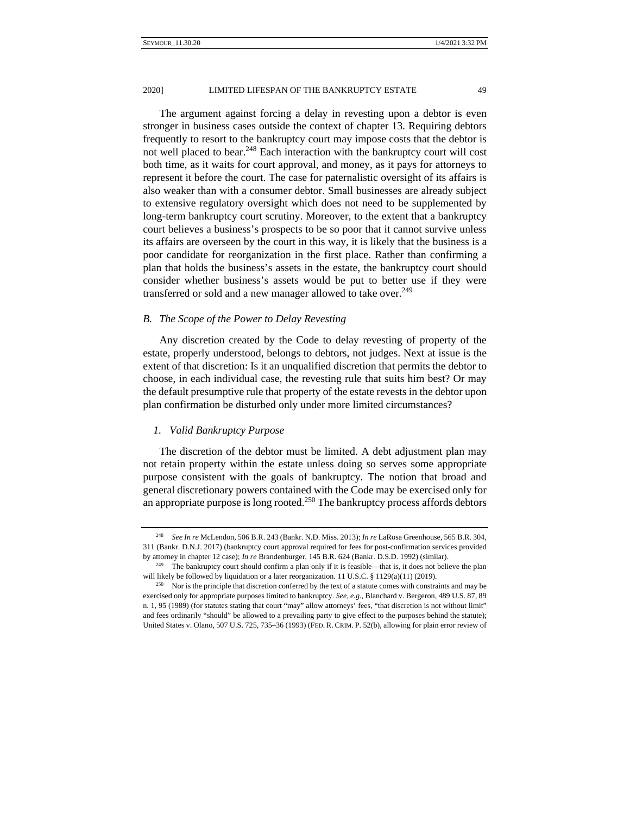The argument against forcing a delay in revesting upon a debtor is even stronger in business cases outside the context of chapter 13. Requiring debtors frequently to resort to the bankruptcy court may impose costs that the debtor is not well placed to bear. $248$  Each interaction with the bankruptcy court will cost both time, as it waits for court approval, and money, as it pays for attorneys to represent it before the court. The case for paternalistic oversight of its affairs is also weaker than with a consumer debtor. Small businesses are already subject to extensive regulatory oversight which does not need to be supplemented by long-term bankruptcy court scrutiny. Moreover, to the extent that a bankruptcy court believes a business's prospects to be so poor that it cannot survive unless its affairs are overseen by the court in this way, it is likely that the business is a poor candidate for reorganization in the first place. Rather than confirming a plan that holds the business's assets in the estate, the bankruptcy court should consider whether business's assets would be put to better use if they were transferred or sold and a new manager allowed to take over.<sup>249</sup>

## *B. The Scope of the Power to Delay Revesting*

Any discretion created by the Code to delay revesting of property of the estate, properly understood, belongs to debtors, not judges. Next at issue is the extent of that discretion: Is it an unqualified discretion that permits the debtor to choose, in each individual case, the revesting rule that suits him best? Or may the default presumptive rule that property of the estate revests in the debtor upon plan confirmation be disturbed only under more limited circumstances?

#### *1. Valid Bankruptcy Purpose*

The discretion of the debtor must be limited. A debt adjustment plan may not retain property within the estate unless doing so serves some appropriate purpose consistent with the goals of bankruptcy. The notion that broad and general discretionary powers contained with the Code may be exercised only for an appropriate purpose is long rooted.<sup>250</sup> The bankruptcy process affords debtors

<sup>248</sup> *See In re* McLendon, 506 B.R. 243 (Bankr. N.D. Miss. 2013); *In re* LaRosa Greenhouse, 565 B.R. 304, 311 (Bankr. D.N.J. 2017) (bankruptcy court approval required for fees for post-confirmation services provided by attorney in chapter 12 case); *In re* Brandenburger, 145 B.R. 624 (Bankr. D.S.D. 1992) (similar). <sup>249</sup> The bankruptcy court should confirm a plan only if it is feasible—that is, it does not believe the plan

will likely be followed by liquidation or a later reorganization. 11 U.S.C. § 1129(a)(11) (2019).<br><sup>250</sup> Nor is the principle that discretion conferred by the text of a statute comes with constraints and may be

exercised only for appropriate purposes limited to bankruptcy. *See, e.g.*, Blanchard v. Bergeron, 489 U.S. 87, 89 n. 1, 95 (1989) (for statutes stating that court "may" allow attorneys' fees, "that discretion is not without limit" and fees ordinarily "should" be allowed to a prevailing party to give effect to the purposes behind the statute); United States v. Olano, 507 U.S. 725, 735–36 (1993) (FED. R. CRIM. P. 52(b), allowing for plain error review of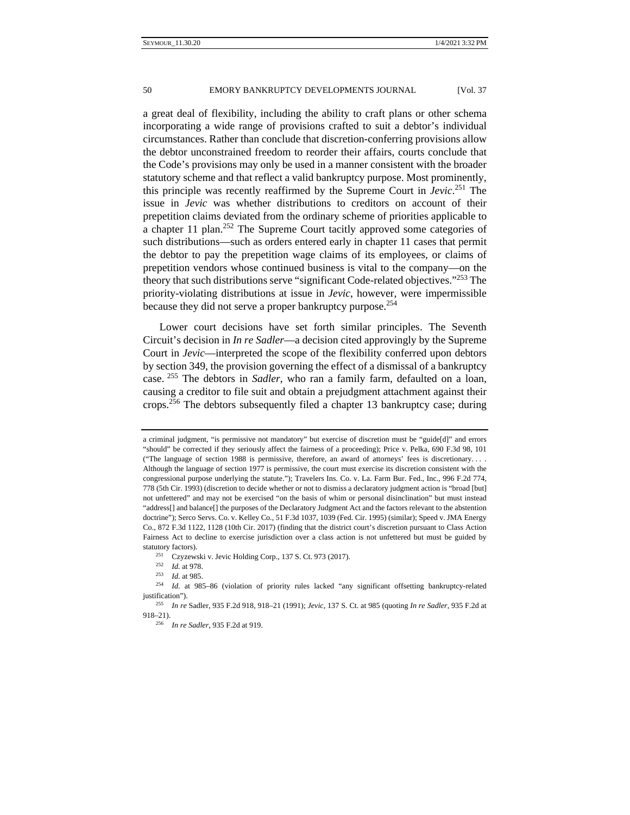a great deal of flexibility, including the ability to craft plans or other schema incorporating a wide range of provisions crafted to suit a debtor's individual circumstances. Rather than conclude that discretion-conferring provisions allow the debtor unconstrained freedom to reorder their affairs, courts conclude that the Code's provisions may only be used in a manner consistent with the broader statutory scheme and that reflect a valid bankruptcy purpose. Most prominently, this principle was recently reaffirmed by the Supreme Court in *Jevic*. 251 The issue in *Jevic* was whether distributions to creditors on account of their prepetition claims deviated from the ordinary scheme of priorities applicable to a chapter 11 plan.<sup>252</sup> The Supreme Court tacitly approved some categories of such distributions—such as orders entered early in chapter 11 cases that permit the debtor to pay the prepetition wage claims of its employees, or claims of prepetition vendors whose continued business is vital to the company—on the theory that such distributions serve "significant Code-related objectives."253 The priority-violating distributions at issue in *Jevic*, however, were impermissible because they did not serve a proper bankruptcy purpose.<sup>254</sup>

Lower court decisions have set forth similar principles. The Seventh Circuit's decision in *In re Sadler*—a decision cited approvingly by the Supreme Court in *Jevic*—interpreted the scope of the flexibility conferred upon debtors by section 349, the provision governing the effect of a dismissal of a bankruptcy case. 255 The debtors in *Sadler*, who ran a family farm, defaulted on a loan, causing a creditor to file suit and obtain a prejudgment attachment against their crops.256 The debtors subsequently filed a chapter 13 bankruptcy case; during

a criminal judgment, "is permissive not mandatory" but exercise of discretion must be "guide[d]" and errors "should" be corrected if they seriously affect the fairness of a proceeding); Price v. Pelka, 690 F.3d 98, 101 ("The language of section 1988 is permissive, therefore, an award of attorneys' fees is discretionary. . . . Although the language of section 1977 is permissive, the court must exercise its discretion consistent with the congressional purpose underlying the statute."); Travelers Ins. Co. v. La. Farm Bur. Fed., Inc., 996 F.2d 774, 778 (5th Cir. 1993) (discretion to decide whether or not to dismiss a declaratory judgment action is "broad [but] not unfettered" and may not be exercised "on the basis of whim or personal disinclination" but must instead "address[] and balance[] the purposes of the Declaratory Judgment Act and the factors relevant to the abstention doctrine"); Serco Servs. Co. v. Kelley Co*.*, 51 F.3d 1037, 1039 (Fed. Cir. 1995) (similar); Speed v. JMA Energy Co., 872 F.3d 1122, 1128 (10th Cir. 2017) (finding that the district court's discretion pursuant to Class Action Fairness Act to decline to exercise jurisdiction over a class action is not unfettered but must be guided by statutory factors).<br>
<sup>251</sup> Czyzewski v. Jevic Holding Corp., 137 S. Ct. 973 (2017).<br>
<sup>252</sup> Id. at 978.<br>
<sup>253</sup> Id. at 985.<br>
<sup>254</sup> Id. at 985–86 (violation of priority rules lacked "any significant offsetting bankruptcy-rel

justification"). 255 *In re* Sadler, 935 F.2d 918, 918–21 (1991); *Jevic*, 137 S. Ct. at 985 (quoting *In re Sadler*, 935 F.2d at

<sup>918–21). 256</sup> *In re Sadler*, 935 F.2d at 919.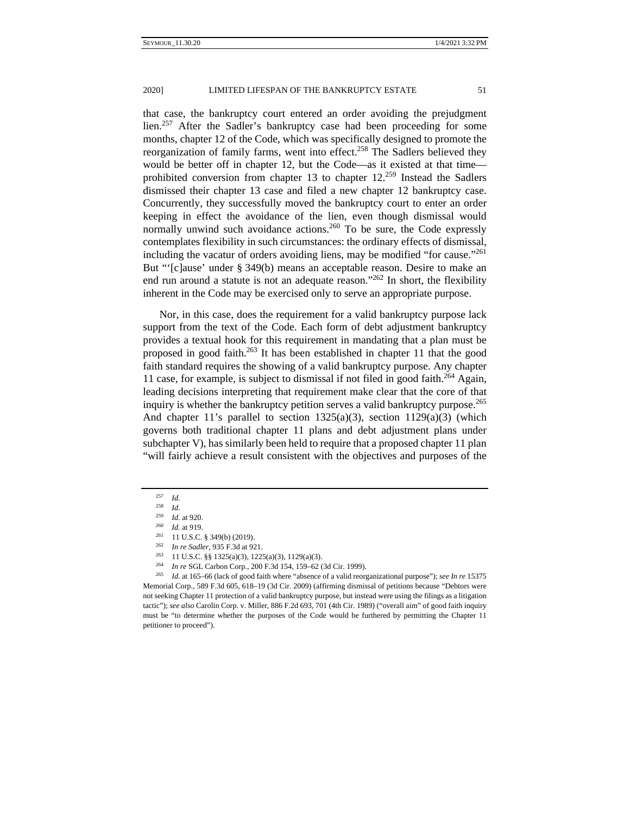that case, the bankruptcy court entered an order avoiding the prejudgment  $\frac{1}{257}$  After the Sadler's bankruptcy case had been proceeding for some months, chapter 12 of the Code, which was specifically designed to promote the reorganization of family farms, went into effect.<sup>258</sup> The Sadlers believed they would be better off in chapter 12, but the Code—as it existed at that time prohibited conversion from chapter 13 to chapter 12.259 Instead the Sadlers dismissed their chapter 13 case and filed a new chapter 12 bankruptcy case. Concurrently, they successfully moved the bankruptcy court to enter an order keeping in effect the avoidance of the lien, even though dismissal would normally unwind such avoidance actions.<sup>260</sup> To be sure, the Code expressly contemplates flexibility in such circumstances: the ordinary effects of dismissal, including the vacatur of orders avoiding liens, may be modified "for cause."261 But "'[c]ause' under § 349(b) means an acceptable reason. Desire to make an end run around a statute is not an adequate reason."<sup>262</sup> In short, the flexibility inherent in the Code may be exercised only to serve an appropriate purpose.

Nor, in this case, does the requirement for a valid bankruptcy purpose lack support from the text of the Code. Each form of debt adjustment bankruptcy provides a textual hook for this requirement in mandating that a plan must be proposed in good faith. $263$  It has been established in chapter 11 that the good faith standard requires the showing of a valid bankruptcy purpose. Any chapter 11 case, for example, is subject to dismissal if not filed in good faith.<sup>264</sup> Again, leading decisions interpreting that requirement make clear that the core of that inquiry is whether the bankruptcy petition serves a valid bankruptcy purpose.<sup>265</sup> And chapter 11's parallel to section  $1325(a)(3)$ , section  $1129(a)(3)$  (which governs both traditional chapter 11 plans and debt adjustment plans under subchapter V), has similarly been held to require that a proposed chapter 11 plan "will fairly achieve a result consistent with the objectives and purposes of the

<sup>257</sup> *Id.*

<sup>258</sup> *Id.*

<sup>&</sup>lt;sup>259</sup> *Id.* at 920.<br>
<sup>260</sup> *Id.* at 919.<br>
<sup>261</sup> 11 U.S.C. § 349(b) (2019).<br>
<sup>262</sup> *In re Sadler*, 935 F.3d at 921.<br>
<sup>263</sup> 11 U.S.C. §§ 1325(a)(3), 1225(a)(3), 1129(a)(3).<br>
<sup>264</sup> *In re* SGL Carbon Corp., 200 F.3d 154, 159 Memorial Corp., 589 F.3d 605, 618–19 (3d Cir. 2009) (affirming dismissal of petitions because "Debtors were not seeking Chapter 11 protection of a valid bankruptcy purpose, but instead were using the filings as a litigation tactic"); see also Carolin Corp. v. Miller, 886 F.2d 693, 701 (4th Cir. 1989) ("overall aim" of good faith inquiry must be "to determine whether the purposes of the Code would be furthered by permitting the Chapter 11 petitioner to proceed").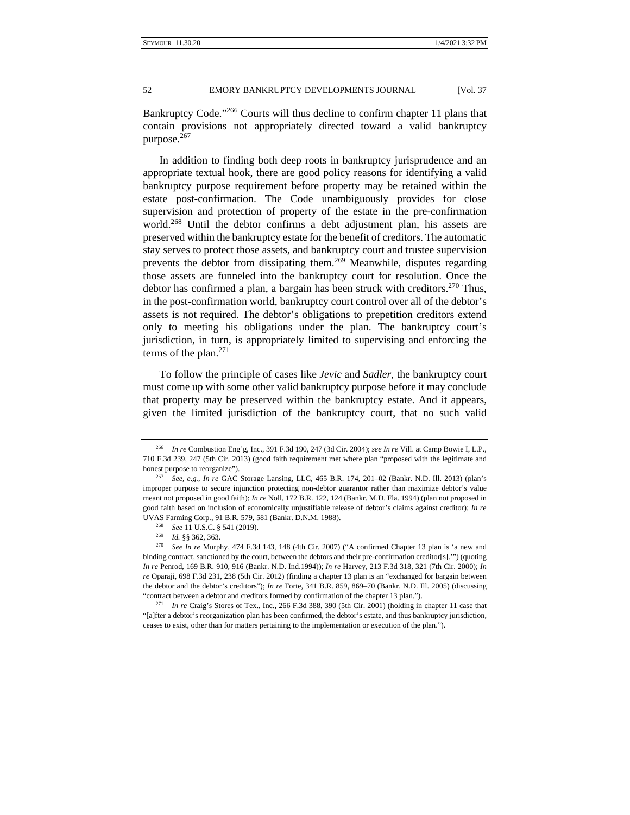In addition to finding both deep roots in bankruptcy jurisprudence and an appropriate textual hook, there are good policy reasons for identifying a valid bankruptcy purpose requirement before property may be retained within the estate post-confirmation. The Code unambiguously provides for close supervision and protection of property of the estate in the pre-confirmation world.<sup>268</sup> Until the debtor confirms a debt adjustment plan, his assets are preserved within the bankruptcy estate for the benefit of creditors. The automatic stay serves to protect those assets, and bankruptcy court and trustee supervision prevents the debtor from dissipating them.<sup>269</sup> Meanwhile, disputes regarding those assets are funneled into the bankruptcy court for resolution. Once the debtor has confirmed a plan, a bargain has been struck with creditors.<sup>270</sup> Thus, in the post-confirmation world, bankruptcy court control over all of the debtor's assets is not required. The debtor's obligations to prepetition creditors extend only to meeting his obligations under the plan. The bankruptcy court's jurisdiction, in turn, is appropriately limited to supervising and enforcing the terms of the plan. $271$ 

To follow the principle of cases like *Jevic* and *Sadler*, the bankruptcy court must come up with some other valid bankruptcy purpose before it may conclude that property may be preserved within the bankruptcy estate. And it appears, given the limited jurisdiction of the bankruptcy court, that no such valid

<sup>266</sup> *In re* Combustion Eng'g, Inc., 391 F.3d 190, 247 (3d Cir. 2004); *see In re* Vill. at Camp Bowie I, L.P., 710 F.3d 239, 247 (5th Cir. 2013) (good faith requirement met where plan "proposed with the legitimate and honest purpose to reorganize"). 267 *See, e.g.*, *In re* GAC Storage Lansing, LLC, 465 B.R. 174, 201–02 (Bankr. N.D. Ill. 2013) (plan's

improper purpose to secure injunction protecting non-debtor guarantor rather than maximize debtor's value meant not proposed in good faith); *In re* Noll, 172 B.R. 122, 124 (Bankr. M.D. Fla. 1994) (plan not proposed in good faith based on inclusion of economically unjustifiable release of debtor's claims against creditor); *In re* UVAS Farming Corp., 91 B.R. 579, 581 (Bankr. D.N.M. 1988).<br>
<sup>268</sup> See 11 U.S.C. § 541 (2019).<br>
<sup>269</sup> Id. §§ 362, 363.<br>
<sup>270</sup> See In re Murphy, 474 F.3d 143, 148 (4th Cir. 2007) ("A confirmed Chapter 13 plan is 'a new and

binding contract, sanctioned by the court, between the debtors and their pre-confirmation creditor[s].'") (quoting *In re* Penrod, 169 B.R. 910, 916 (Bankr. N.D. Ind.1994)); *In re* Harvey, 213 F.3d 318, 321 (7th Cir. 2000); *In re* Oparaji, 698 F.3d 231, 238 (5th Cir. 2012) (finding a chapter 13 plan is an "exchanged for bargain between the debtor and the debtor's creditors"); *In re* Forte, 341 B.R. 859, 869–70 (Bankr. N.D. Ill. 2005) (discussing "contract between a debtor and creditors formed by confirmation of the chapter 13 plan."). 271 *In re* Craig's Stores of Tex., Inc., 266 F.3d 388, 390 (5th Cir. 2001) (holding in chapter 11 case that

<sup>&</sup>quot;[a]fter a debtor's reorganization plan has been confirmed, the debtor's estate, and thus bankruptcy jurisdiction, ceases to exist, other than for matters pertaining to the implementation or execution of the plan.").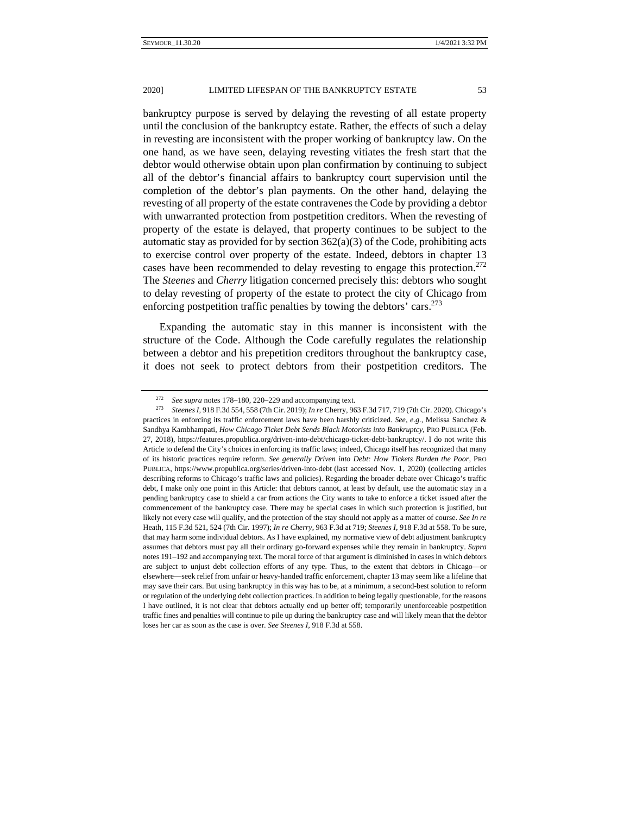bankruptcy purpose is served by delaying the revesting of all estate property until the conclusion of the bankruptcy estate. Rather, the effects of such a delay in revesting are inconsistent with the proper working of bankruptcy law. On the one hand, as we have seen, delaying revesting vitiates the fresh start that the debtor would otherwise obtain upon plan confirmation by continuing to subject all of the debtor's financial affairs to bankruptcy court supervision until the completion of the debtor's plan payments. On the other hand, delaying the revesting of all property of the estate contravenes the Code by providing a debtor with unwarranted protection from postpetition creditors. When the revesting of property of the estate is delayed, that property continues to be subject to the automatic stay as provided for by section  $362(a)(3)$  of the Code, prohibiting acts to exercise control over property of the estate. Indeed, debtors in chapter 13 cases have been recommended to delay revesting to engage this protection.<sup>272</sup> The *Steenes* and *Cherry* litigation concerned precisely this: debtors who sought to delay revesting of property of the estate to protect the city of Chicago from enforcing postpetition traffic penalties by towing the debtors' cars.  $273$ 

Expanding the automatic stay in this manner is inconsistent with the structure of the Code. Although the Code carefully regulates the relationship between a debtor and his prepetition creditors throughout the bankruptcy case, it does not seek to protect debtors from their postpetition creditors. The

<sup>272</sup> *See supra* notes 178–180, 220–229 and accompanying text. 273 *Steenes <sup>I</sup>*, 918 F.3d 554, 558 (7th Cir. 2019); *In re* Cherry, 963 F.3d 717, 719 (7th Cir. 2020). Chicago's practices in enforcing its traffic enforcement laws have been harshly criticized. *See, e.g.*, Melissa Sanchez & Sandhya Kambhampati, *How Chicago Ticket Debt Sends Black Motorists into Bankruptcy*, PRO PUBLICA (Feb. 27, 2018), https://features.propublica.org/driven-into-debt/chicago-ticket-debt-bankruptcy/. I do not write this Article to defend the City's choices in enforcing its traffic laws; indeed, Chicago itself has recognized that many of its historic practices require reform. *See generally Driven into Debt: How Tickets Burden the Poor*, PRO PUBLICA, https://www.propublica.org/series/driven-into-debt (last accessed Nov. 1, 2020) (collecting articles describing reforms to Chicago's traffic laws and policies). Regarding the broader debate over Chicago's traffic debt, I make only one point in this Article: that debtors cannot, at least by default, use the automatic stay in a pending bankruptcy case to shield a car from actions the City wants to take to enforce a ticket issued after the commencement of the bankruptcy case. There may be special cases in which such protection is justified, but likely not every case will qualify, and the protection of the stay should not apply as a matter of course. *See In re*  Heath, 115 F.3d 521, 524 (7th Cir. 1997); *In re Cherry*, 963 F.3d at 719; *Steenes I*, 918 F.3d at 558. To be sure, that may harm some individual debtors. As I have explained, my normative view of debt adjustment bankruptcy assumes that debtors must pay all their ordinary go-forward expenses while they remain in bankruptcy. *Supra*  notes 191–192 and accompanying text. The moral force of that argument is diminished in cases in which debtors are subject to unjust debt collection efforts of any type. Thus, to the extent that debtors in Chicago—or elsewhere—seek relief from unfair or heavy-handed traffic enforcement, chapter 13 may seem like a lifeline that may save their cars. But using bankruptcy in this way has to be, at a minimum, a second-best solution to reform or regulation of the underlying debt collection practices. In addition to being legally questionable, for the reasons I have outlined, it is not clear that debtors actually end up better off; temporarily unenforceable postpetition traffic fines and penalties will continue to pile up during the bankruptcy case and will likely mean that the debtor loses her car as soon as the case is over. *See Steenes I*, 918 F.3d at 558.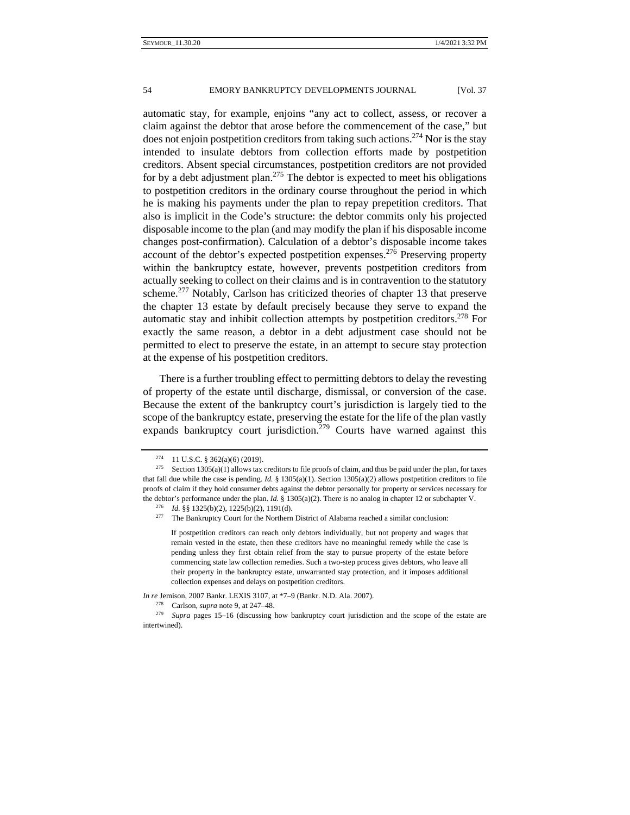automatic stay, for example, enjoins "any act to collect, assess, or recover a claim against the debtor that arose before the commencement of the case," but does not enjoin postpetition creditors from taking such actions.<sup>274</sup> Nor is the stay intended to insulate debtors from collection efforts made by postpetition creditors. Absent special circumstances, postpetition creditors are not provided for by a debt adjustment plan.<sup>275</sup> The debtor is expected to meet his obligations to postpetition creditors in the ordinary course throughout the period in which he is making his payments under the plan to repay prepetition creditors. That also is implicit in the Code's structure: the debtor commits only his projected disposable income to the plan (and may modify the plan if his disposable income changes post-confirmation). Calculation of a debtor's disposable income takes account of the debtor's expected postpetition expenses.276 Preserving property within the bankruptcy estate, however, prevents postpetition creditors from actually seeking to collect on their claims and is in contravention to the statutory scheme.<sup>277</sup> Notably, Carlson has criticized theories of chapter 13 that preserve the chapter 13 estate by default precisely because they serve to expand the automatic stay and inhibit collection attempts by postpetition creditors.278 For exactly the same reason, a debtor in a debt adjustment case should not be permitted to elect to preserve the estate, in an attempt to secure stay protection at the expense of his postpetition creditors.

There is a further troubling effect to permitting debtors to delay the revesting of property of the estate until discharge, dismissal, or conversion of the case. Because the extent of the bankruptcy court's jurisdiction is largely tied to the scope of the bankruptcy estate, preserving the estate for the life of the plan vastly expands bankruptcy court jurisdiction.<sup>279</sup> Courts have warned against this

*In re* Jemison, 2007 Bankr. LEXIS 3107, at \*7–9 (Bankr. N.D. Ala. 2007).

<sup>&</sup>lt;sup>274</sup> 11 U.S.C. § 362(a)(6) (2019).<br><sup>275</sup> Section 1305(a)(1) allows tax creditors to file proofs of claim, and thus be paid under the plan, for taxes that fall due while the case is pending. *Id.* § 1305(a)(1). Section 1305(a)(2) allows postpetition creditors to file proofs of claim if they hold consumer debts against the debtor personally for property or services necessary for the debtor's performance under the plan. *Id.* § 1305(a)(2). There is no analog in chapter 12 or subchapter V.

<sup>&</sup>lt;sup>276</sup> *Id.* §§ 1325(b)(2), 1225(b)(2), 1191(d).<br><sup>277</sup> The Bankruptcy Court for the Northern District of Alabama reached a similar conclusion:

If postpetition creditors can reach only debtors individually, but not property and wages that remain vested in the estate, then these creditors have no meaningful remedy while the case is pending unless they first obtain relief from the stay to pursue property of the estate before commencing state law collection remedies. Such a two-step process gives debtors, who leave all their property in the bankruptcy estate, unwarranted stay protection, and it imposes additional collection expenses and delays on postpetition creditors.

<sup>278</sup> Carlson, *supra* note 9, at 247–48. 279 *Supra* pages 15–16 (discussing how bankruptcy court jurisdiction and the scope of the estate are intertwined).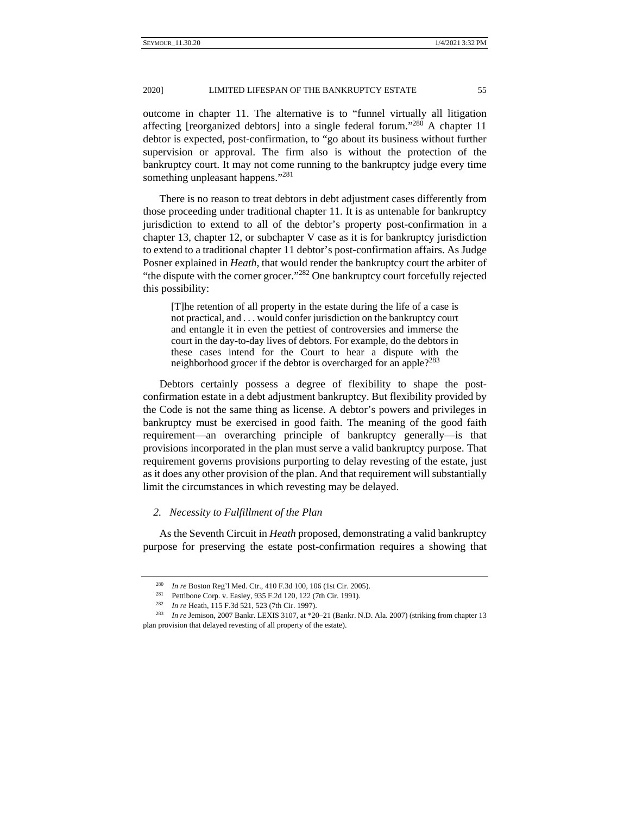something unpleasant happens."<sup>281</sup>

outcome in chapter 11. The alternative is to "funnel virtually all litigation affecting [reorganized debtors] into a single federal forum."280 A chapter 11 debtor is expected, post-confirmation, to "go about its business without further supervision or approval. The firm also is without the protection of the bankruptcy court. It may not come running to the bankruptcy judge every time

There is no reason to treat debtors in debt adjustment cases differently from those proceeding under traditional chapter 11. It is as untenable for bankruptcy jurisdiction to extend to all of the debtor's property post-confirmation in a chapter 13, chapter 12, or subchapter V case as it is for bankruptcy jurisdiction to extend to a traditional chapter 11 debtor's post-confirmation affairs. As Judge Posner explained in *Heath*, that would render the bankruptcy court the arbiter of "the dispute with the corner grocer."282 One bankruptcy court forcefully rejected this possibility:

[T]he retention of all property in the estate during the life of a case is not practical, and . . . would confer jurisdiction on the bankruptcy court and entangle it in even the pettiest of controversies and immerse the court in the day-to-day lives of debtors. For example, do the debtors in these cases intend for the Court to hear a dispute with the neighborhood grocer if the debtor is overcharged for an apple?<sup>283</sup>

Debtors certainly possess a degree of flexibility to shape the postconfirmation estate in a debt adjustment bankruptcy. But flexibility provided by the Code is not the same thing as license. A debtor's powers and privileges in bankruptcy must be exercised in good faith. The meaning of the good faith requirement—an overarching principle of bankruptcy generally—is that provisions incorporated in the plan must serve a valid bankruptcy purpose. That requirement governs provisions purporting to delay revesting of the estate, just as it does any other provision of the plan. And that requirement will substantially limit the circumstances in which revesting may be delayed.

## *2. Necessity to Fulfillment of the Plan*

As the Seventh Circuit in *Heath* proposed, demonstrating a valid bankruptcy purpose for preserving the estate post-confirmation requires a showing that

<sup>&</sup>lt;sup>280</sup> *In re* Boston Reg'l Med. Ctr., 410 F.3d 100, 106 (1st Cir. 2005).<br>
<sup>281</sup> Pettibone Corp. v. Easley, 935 F.2d 120, 122 (7th Cir. 1991).<br>
<sup>282</sup> *In re* Heath, 115 F.3d 521, 523 (7th Cir. 1997).<br>
<sup>283</sup> *In re* Jemison plan provision that delayed revesting of all property of the estate).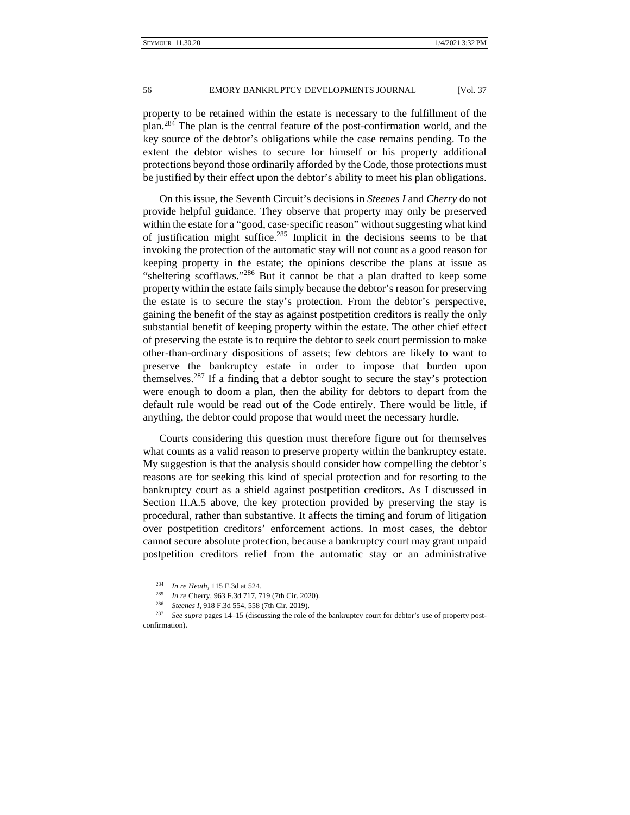property to be retained within the estate is necessary to the fulfillment of the plan.284 The plan is the central feature of the post-confirmation world, and the key source of the debtor's obligations while the case remains pending. To the extent the debtor wishes to secure for himself or his property additional protections beyond those ordinarily afforded by the Code, those protections must be justified by their effect upon the debtor's ability to meet his plan obligations.

On this issue, the Seventh Circuit's decisions in *Steenes I* and *Cherry* do not provide helpful guidance. They observe that property may only be preserved within the estate for a "good, case-specific reason" without suggesting what kind of justification might suffice.<sup>285</sup> Implicit in the decisions seems to be that invoking the protection of the automatic stay will not count as a good reason for keeping property in the estate; the opinions describe the plans at issue as "sheltering scofflaws."286 But it cannot be that a plan drafted to keep some property within the estate fails simply because the debtor's reason for preserving the estate is to secure the stay's protection. From the debtor's perspective, gaining the benefit of the stay as against postpetition creditors is really the only substantial benefit of keeping property within the estate. The other chief effect of preserving the estate is to require the debtor to seek court permission to make other-than-ordinary dispositions of assets; few debtors are likely to want to preserve the bankruptcy estate in order to impose that burden upon themselves.<sup>287</sup> If a finding that a debtor sought to secure the stay's protection were enough to doom a plan, then the ability for debtors to depart from the default rule would be read out of the Code entirely. There would be little, if anything, the debtor could propose that would meet the necessary hurdle.

Courts considering this question must therefore figure out for themselves what counts as a valid reason to preserve property within the bankruptcy estate. My suggestion is that the analysis should consider how compelling the debtor's reasons are for seeking this kind of special protection and for resorting to the bankruptcy court as a shield against postpetition creditors. As I discussed in Section II.A.5 above, the key protection provided by preserving the stay is procedural, rather than substantive. It affects the timing and forum of litigation over postpetition creditors' enforcement actions. In most cases, the debtor cannot secure absolute protection, because a bankruptcy court may grant unpaid postpetition creditors relief from the automatic stay or an administrative

<sup>&</sup>lt;sup>284</sup> In re Heath, 115 F.3d at 524.<br>
<sup>285</sup> In re Cherry, 963 F.3d 717, 719 (7th Cir. 2020).<br>
<sup>286</sup> Steenes I, 918 F.3d 554, 558 (7th Cir. 2019).<br>
<sup>286</sup> Steenes I, 918 F.3d 554, 558 (7th Cir. 2019).<br>
<sup>287</sup> See supra pages confirmation).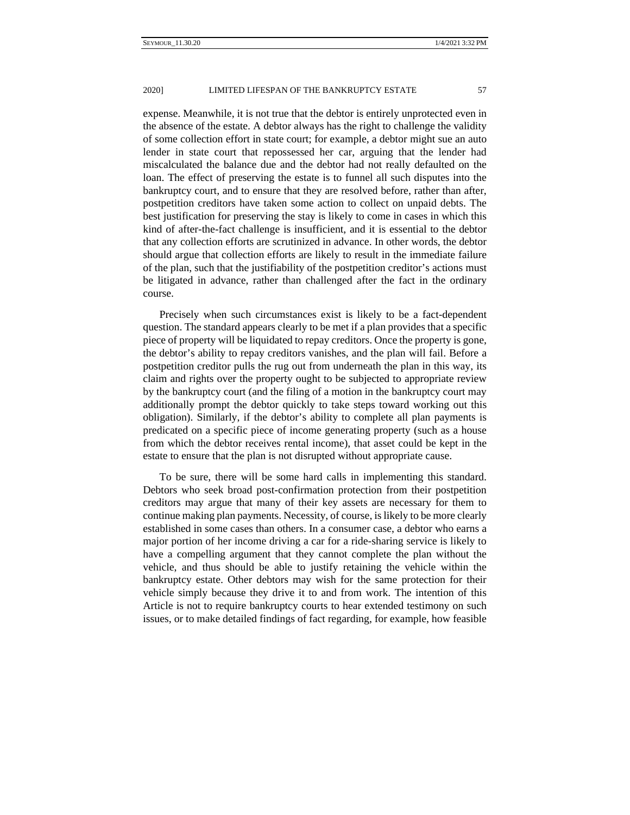expense. Meanwhile, it is not true that the debtor is entirely unprotected even in the absence of the estate. A debtor always has the right to challenge the validity of some collection effort in state court; for example, a debtor might sue an auto lender in state court that repossessed her car, arguing that the lender had miscalculated the balance due and the debtor had not really defaulted on the loan. The effect of preserving the estate is to funnel all such disputes into the bankruptcy court, and to ensure that they are resolved before, rather than after, postpetition creditors have taken some action to collect on unpaid debts. The best justification for preserving the stay is likely to come in cases in which this kind of after-the-fact challenge is insufficient, and it is essential to the debtor that any collection efforts are scrutinized in advance. In other words, the debtor should argue that collection efforts are likely to result in the immediate failure of the plan, such that the justifiability of the postpetition creditor's actions must be litigated in advance, rather than challenged after the fact in the ordinary course.

Precisely when such circumstances exist is likely to be a fact-dependent question. The standard appears clearly to be met if a plan provides that a specific piece of property will be liquidated to repay creditors. Once the property is gone, the debtor's ability to repay creditors vanishes, and the plan will fail. Before a postpetition creditor pulls the rug out from underneath the plan in this way, its claim and rights over the property ought to be subjected to appropriate review by the bankruptcy court (and the filing of a motion in the bankruptcy court may additionally prompt the debtor quickly to take steps toward working out this obligation). Similarly, if the debtor's ability to complete all plan payments is predicated on a specific piece of income generating property (such as a house from which the debtor receives rental income), that asset could be kept in the estate to ensure that the plan is not disrupted without appropriate cause.

To be sure, there will be some hard calls in implementing this standard. Debtors who seek broad post-confirmation protection from their postpetition creditors may argue that many of their key assets are necessary for them to continue making plan payments. Necessity, of course, is likely to be more clearly established in some cases than others. In a consumer case, a debtor who earns a major portion of her income driving a car for a ride-sharing service is likely to have a compelling argument that they cannot complete the plan without the vehicle, and thus should be able to justify retaining the vehicle within the bankruptcy estate. Other debtors may wish for the same protection for their vehicle simply because they drive it to and from work. The intention of this Article is not to require bankruptcy courts to hear extended testimony on such issues, or to make detailed findings of fact regarding, for example, how feasible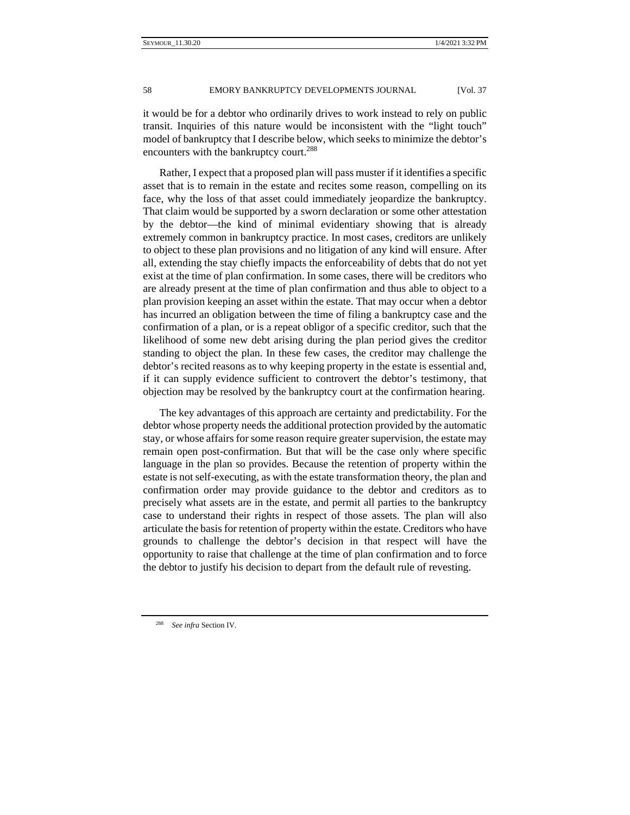it would be for a debtor who ordinarily drives to work instead to rely on public transit. Inquiries of this nature would be inconsistent with the "light touch" model of bankruptcy that I describe below, which seeks to minimize the debtor's encounters with the bankruptcy court.<sup>288</sup>

Rather, I expect that a proposed plan will pass muster if it identifies a specific asset that is to remain in the estate and recites some reason, compelling on its face, why the loss of that asset could immediately jeopardize the bankruptcy. That claim would be supported by a sworn declaration or some other attestation by the debtor—the kind of minimal evidentiary showing that is already extremely common in bankruptcy practice. In most cases, creditors are unlikely to object to these plan provisions and no litigation of any kind will ensure. After all, extending the stay chiefly impacts the enforceability of debts that do not yet exist at the time of plan confirmation. In some cases, there will be creditors who are already present at the time of plan confirmation and thus able to object to a plan provision keeping an asset within the estate. That may occur when a debtor has incurred an obligation between the time of filing a bankruptcy case and the confirmation of a plan, or is a repeat obligor of a specific creditor, such that the likelihood of some new debt arising during the plan period gives the creditor standing to object the plan. In these few cases, the creditor may challenge the debtor's recited reasons as to why keeping property in the estate is essential and, if it can supply evidence sufficient to controvert the debtor's testimony, that objection may be resolved by the bankruptcy court at the confirmation hearing.

The key advantages of this approach are certainty and predictability. For the debtor whose property needs the additional protection provided by the automatic stay, or whose affairs for some reason require greater supervision, the estate may remain open post-confirmation. But that will be the case only where specific language in the plan so provides. Because the retention of property within the estate is not self-executing, as with the estate transformation theory, the plan and confirmation order may provide guidance to the debtor and creditors as to precisely what assets are in the estate, and permit all parties to the bankruptcy case to understand their rights in respect of those assets. The plan will also articulate the basis for retention of property within the estate. Creditors who have grounds to challenge the debtor's decision in that respect will have the opportunity to raise that challenge at the time of plan confirmation and to force the debtor to justify his decision to depart from the default rule of revesting.

<sup>288</sup> *See infra* Section IV.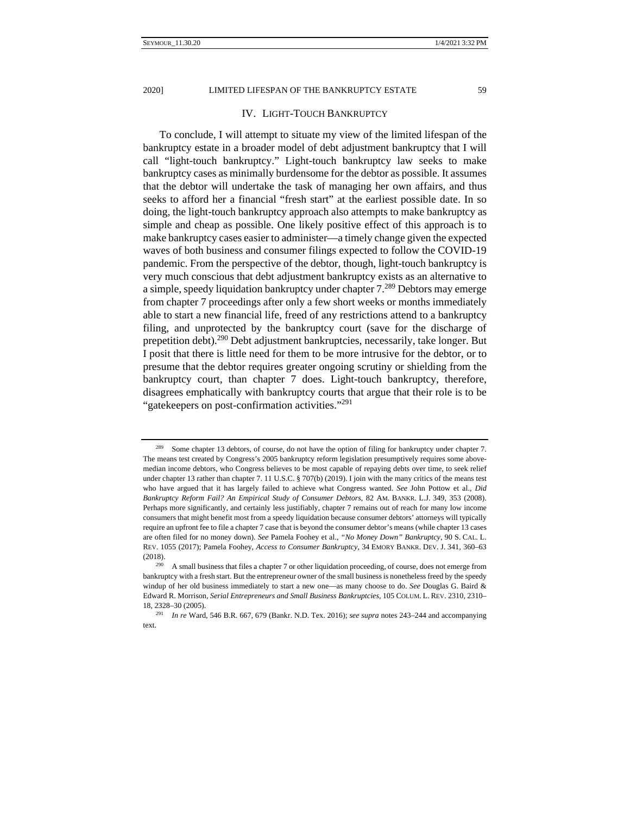## IV. LIGHT-TOUCH BANKRUPTCY

To conclude, I will attempt to situate my view of the limited lifespan of the bankruptcy estate in a broader model of debt adjustment bankruptcy that I will call "light-touch bankruptcy." Light-touch bankruptcy law seeks to make bankruptcy cases as minimally burdensome for the debtor as possible. It assumes that the debtor will undertake the task of managing her own affairs, and thus seeks to afford her a financial "fresh start" at the earliest possible date. In so doing, the light-touch bankruptcy approach also attempts to make bankruptcy as simple and cheap as possible. One likely positive effect of this approach is to make bankruptcy cases easier to administer—a timely change given the expected waves of both business and consumer filings expected to follow the COVID-19 pandemic. From the perspective of the debtor, though, light-touch bankruptcy is very much conscious that debt adjustment bankruptcy exists as an alternative to a simple, speedy liquidation bankruptcy under chapter  $7.^{289}$  Debtors may emerge from chapter 7 proceedings after only a few short weeks or months immediately able to start a new financial life, freed of any restrictions attend to a bankruptcy filing, and unprotected by the bankruptcy court (save for the discharge of prepetition debt).290 Debt adjustment bankruptcies, necessarily, take longer. But I posit that there is little need for them to be more intrusive for the debtor, or to presume that the debtor requires greater ongoing scrutiny or shielding from the bankruptcy court, than chapter 7 does. Light-touch bankruptcy, therefore, disagrees emphatically with bankruptcy courts that argue that their role is to be "gatekeepers on post-confirmation activities."<sup>291</sup>

<sup>&</sup>lt;sup>289</sup> Some chapter 13 debtors, of course, do not have the option of filing for bankruptcy under chapter 7. The means test created by Congress's 2005 bankruptcy reform legislation presumptively requires some abovemedian income debtors, who Congress believes to be most capable of repaying debts over time, to seek relief under chapter 13 rather than chapter 7. 11 U.S.C. § 707(b) (2019). I join with the many critics of the means test who have argued that it has largely failed to achieve what Congress wanted. *See* John Pottow et al., *Did Bankruptcy Reform Fail? An Empirical Study of Consumer Debtors*, 82 AM. BANKR. L.J. 349, 353 (2008). Perhaps more significantly, and certainly less justifiably, chapter 7 remains out of reach for many low income consumers that might benefit most from a speedy liquidation because consumer debtors' attorneys will typically require an upfront fee to file a chapter 7 case that is beyond the consumer debtor's means (while chapter 13 cases are often filed for no money down). *See* Pamela Foohey et al., *"No Money Down" Bankruptcy*, 90 S. CAL. L. REV. 1055 (2017); Pamela Foohey, *Access to Consumer Bankruptcy*, 34 EMORY BANKR. DEV. J. 341, 360–63 (2018).<br><sup>290</sup> A small business that files a chapter 7 or other liquidation proceeding, of course, does not emerge from

bankruptcy with a fresh start. But the entrepreneur owner of the small business is nonetheless freed by the speedy windup of her old business immediately to start a new one—as many choose to do. *See* Douglas G. Baird & Edward R. Morrison, *Serial Entrepreneurs and Small Business Bankruptcies*, 105 COLUM. L. REV. 2310, 2310– 18, 2328–30 (2005). 291 *In re* Ward, 546 B.R. 667, 679 (Bankr. N.D. Tex. 2016); *see supra* notes 243–244 and accompanying

text.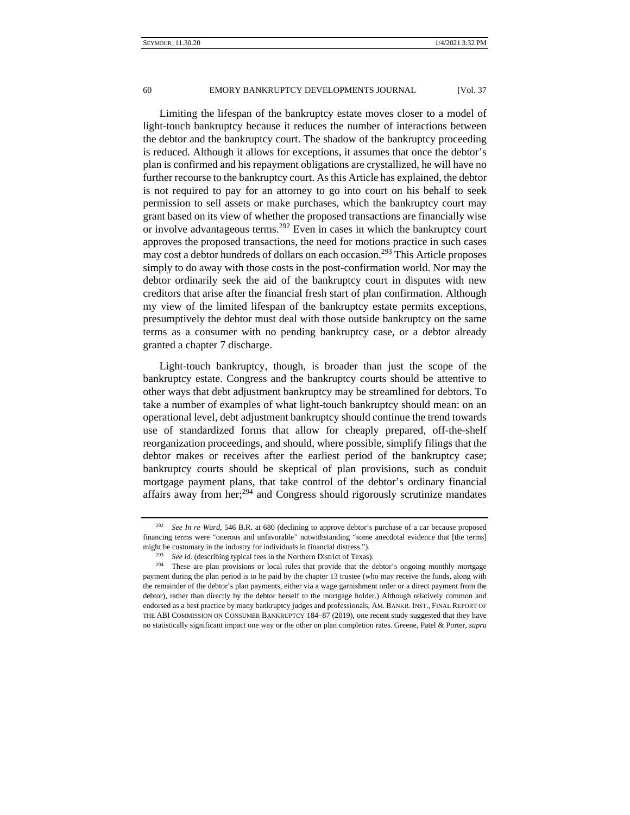Limiting the lifespan of the bankruptcy estate moves closer to a model of light-touch bankruptcy because it reduces the number of interactions between the debtor and the bankruptcy court. The shadow of the bankruptcy proceeding is reduced. Although it allows for exceptions, it assumes that once the debtor's plan is confirmed and his repayment obligations are crystallized, he will have no further recourse to the bankruptcy court. As this Article has explained, the debtor is not required to pay for an attorney to go into court on his behalf to seek permission to sell assets or make purchases, which the bankruptcy court may grant based on its view of whether the proposed transactions are financially wise or involve advantageous terms.<sup>292</sup> Even in cases in which the bankruptcy court approves the proposed transactions, the need for motions practice in such cases may cost a debtor hundreds of dollars on each occasion.<sup>293</sup> This Article proposes simply to do away with those costs in the post-confirmation world. Nor may the debtor ordinarily seek the aid of the bankruptcy court in disputes with new creditors that arise after the financial fresh start of plan confirmation. Although my view of the limited lifespan of the bankruptcy estate permits exceptions, presumptively the debtor must deal with those outside bankruptcy on the same terms as a consumer with no pending bankruptcy case, or a debtor already granted a chapter 7 discharge.

Light-touch bankruptcy, though, is broader than just the scope of the bankruptcy estate. Congress and the bankruptcy courts should be attentive to other ways that debt adjustment bankruptcy may be streamlined for debtors. To take a number of examples of what light-touch bankruptcy should mean: on an operational level, debt adjustment bankruptcy should continue the trend towards use of standardized forms that allow for cheaply prepared, off-the-shelf reorganization proceedings, and should, where possible, simplify filings that the debtor makes or receives after the earliest period of the bankruptcy case; bankruptcy courts should be skeptical of plan provisions, such as conduit mortgage payment plans, that take control of the debtor's ordinary financial affairs away from her;294 and Congress should rigorously scrutinize mandates

<sup>292</sup> *See In re Ward*, 546 B.R. at 680 (declining to approve debtor's purchase of a car because proposed financing terms were "onerous and unfavorable" notwithstanding "some anecdotal evidence that [the terms] might be customary in the industry for individuals in financial distress.").<br><sup>293</sup> See id. (describing typical fees in the Northern District of Texas).<br><sup>294</sup> These are plan provisions or local rules that provide that the

payment during the plan period is to be paid by the chapter 13 trustee (who may receive the funds, along with the remainder of the debtor's plan payments, either via a wage garnishment order or a direct payment from the debtor), rather than directly by the debtor herself to the mortgage holder.) Although relatively common and endorsed as a best practice by many bankruptcy judges and professionals, AM. BANKR. INST., FINAL REPORT OF THE ABI COMMISSION ON CONSUMER BANKRUPTCY 184–87 (2019), one recent study suggested that they have no statistically significant impact one way or the other on plan completion rates. Greene, Patel & Porter, *supra*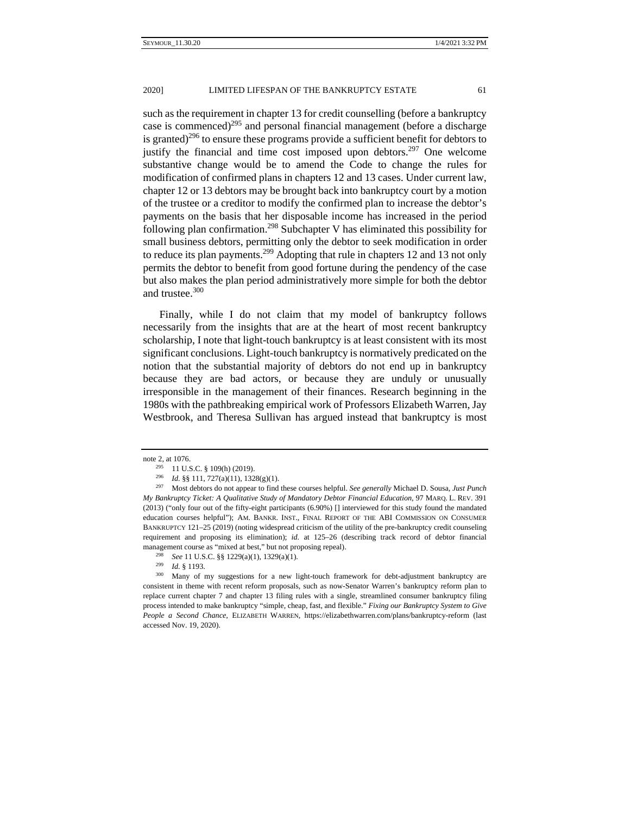such as the requirement in chapter 13 for credit counselling (before a bankruptcy case is commenced)<sup>295</sup> and personal financial management (before a discharge is granted)<sup>296</sup> to ensure these programs provide a sufficient benefit for debtors to justify the financial and time cost imposed upon debtors.<sup>297</sup> One welcome substantive change would be to amend the Code to change the rules for modification of confirmed plans in chapters 12 and 13 cases. Under current law, chapter 12 or 13 debtors may be brought back into bankruptcy court by a motion of the trustee or a creditor to modify the confirmed plan to increase the debtor's payments on the basis that her disposable income has increased in the period following plan confirmation.<sup>298</sup> Subchapter V has eliminated this possibility for small business debtors, permitting only the debtor to seek modification in order to reduce its plan payments.<sup>299</sup> Adopting that rule in chapters 12 and 13 not only permits the debtor to benefit from good fortune during the pendency of the case but also makes the plan period administratively more simple for both the debtor and trustee.<sup>300</sup>

Finally, while I do not claim that my model of bankruptcy follows necessarily from the insights that are at the heart of most recent bankruptcy scholarship, I note that light-touch bankruptcy is at least consistent with its most significant conclusions. Light-touch bankruptcy is normatively predicated on the notion that the substantial majority of debtors do not end up in bankruptcy because they are bad actors, or because they are unduly or unusually irresponsible in the management of their finances. Research beginning in the 1980s with the pathbreaking empirical work of Professors Elizabeth Warren, Jay Westbrook, and Theresa Sullivan has argued instead that bankruptcy is most

note 2, at 1076.<br><sup>295</sup> 11 U.S.C. § 109(h) (2019).<br><sup>296</sup> *Id.* §§ 111, 727(a)(11), 1328(g)(1).<br><sup>297</sup> Most debtors do not appear to find these courses helpful. *See generally* Michael D. Sousa, *Just Punch My Bankruptcy Ticket: A Qualitative Study of Mandatory Debtor Financial Education*, 97 MARQ. L. REV. 391 (2013) ("only four out of the fifty-eight participants (6.90%) [] interviewed for this study found the mandated education courses helpful"); AM. BANKR. INST., FINAL REPORT OF THE ABI COMMISSION ON CONSUMER BANKRUPTCY 121–25 (2019) (noting widespread criticism of the utility of the pre-bankruptcy credit counseling requirement and proposing its elimination); *id.* at 125–26 (describing track record of debtor financial management course as "mixed at best," but not proposing repeal).<br>
<sup>298</sup> See 11 U.S.C. §§ 1229(a)(1), 1329(a)(1).<br>
<sup>299</sup> Id. § 1193.<br>
<sup>300</sup> Many of my suggestions for a new light-touch framework for debt-adjustment bankrup

consistent in theme with recent reform proposals, such as now-Senator Warren's bankruptcy reform plan to replace current chapter 7 and chapter 13 filing rules with a single, streamlined consumer bankruptcy filing process intended to make bankruptcy "simple, cheap, fast, and flexible." *Fixing our Bankruptcy System to Give People a Second Chance*, ELIZABETH WARREN, https://elizabethwarren.com/plans/bankruptcy-reform (last accessed Nov. 19, 2020).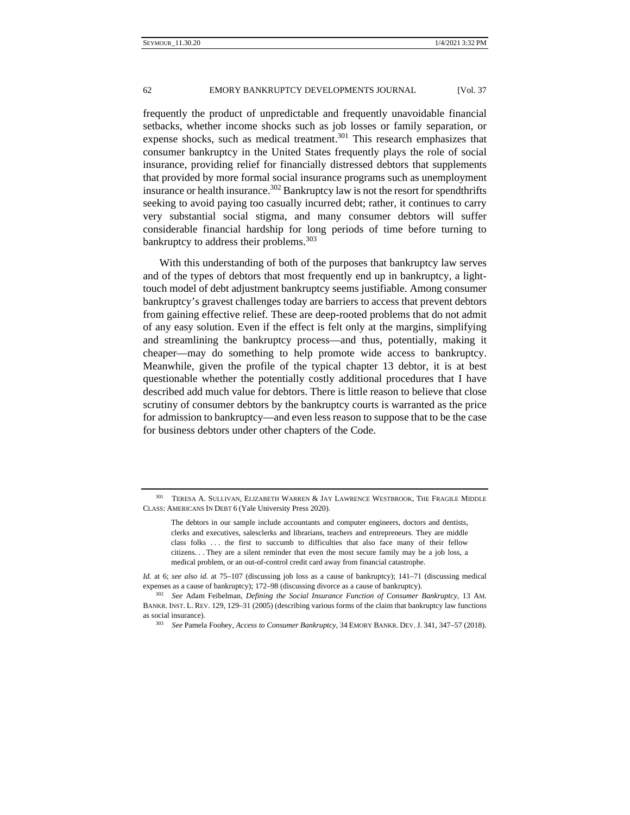frequently the product of unpredictable and frequently unavoidable financial setbacks, whether income shocks such as job losses or family separation, or expense shocks, such as medical treatment.<sup>301</sup> This research emphasizes that consumer bankruptcy in the United States frequently plays the role of social insurance, providing relief for financially distressed debtors that supplements that provided by more formal social insurance programs such as unemployment insurance or health insurance.<sup>302</sup> Bankruptcy law is not the resort for spendthrifts seeking to avoid paying too casually incurred debt; rather, it continues to carry very substantial social stigma, and many consumer debtors will suffer considerable financial hardship for long periods of time before turning to bankruptcy to address their problems.<sup>303</sup>

With this understanding of both of the purposes that bankruptcy law serves and of the types of debtors that most frequently end up in bankruptcy, a lighttouch model of debt adjustment bankruptcy seems justifiable. Among consumer bankruptcy's gravest challenges today are barriers to access that prevent debtors from gaining effective relief. These are deep-rooted problems that do not admit of any easy solution. Even if the effect is felt only at the margins, simplifying and streamlining the bankruptcy process—and thus, potentially, making it cheaper—may do something to help promote wide access to bankruptcy. Meanwhile, given the profile of the typical chapter 13 debtor, it is at best questionable whether the potentially costly additional procedures that I have described add much value for debtors. There is little reason to believe that close scrutiny of consumer debtors by the bankruptcy courts is warranted as the price for admission to bankruptcy—and even less reason to suppose that to be the case for business debtors under other chapters of the Code.

<sup>301</sup> TERESA A. SULLIVAN, ELIZABETH WARREN & JAY LAWRENCE WESTBROOK, THE FRAGILE MIDDLE CLASS: AMERICANS IN DEBT 6 (Yale University Press 2020).

The debtors in our sample include accountants and computer engineers, doctors and dentists, clerks and executives, salesclerks and librarians, teachers and entrepreneurs. They are middle class folks . . . the first to succumb to difficulties that also face many of their fellow citizens. . . They are a silent reminder that even the most secure family may be a job loss, a medical problem, or an out-of-control credit card away from financial catastrophe.

*Id.* at 6; *see also id.* at 75–107 (discussing job loss as a cause of bankruptcy); 141–71 (discussing medical expenses as a cause of bankruptcy); 172–98 (discussing divorce as a cause of bankruptcy). 302 *See* Adam Feibelman, *Defining the Social Insurance Function of Consumer Bankruptcy*, 13 AM.

BANKR. INST. L. REV. 129, 129–31 (2005) (describing various forms of the claim that bankruptcy law functions as social insurance). 303 *See* Pamela Foohey, *Access to Consumer Bankruptcy*, 34 EMORY BANKR. DEV. J. 341, 347–57 (2018).